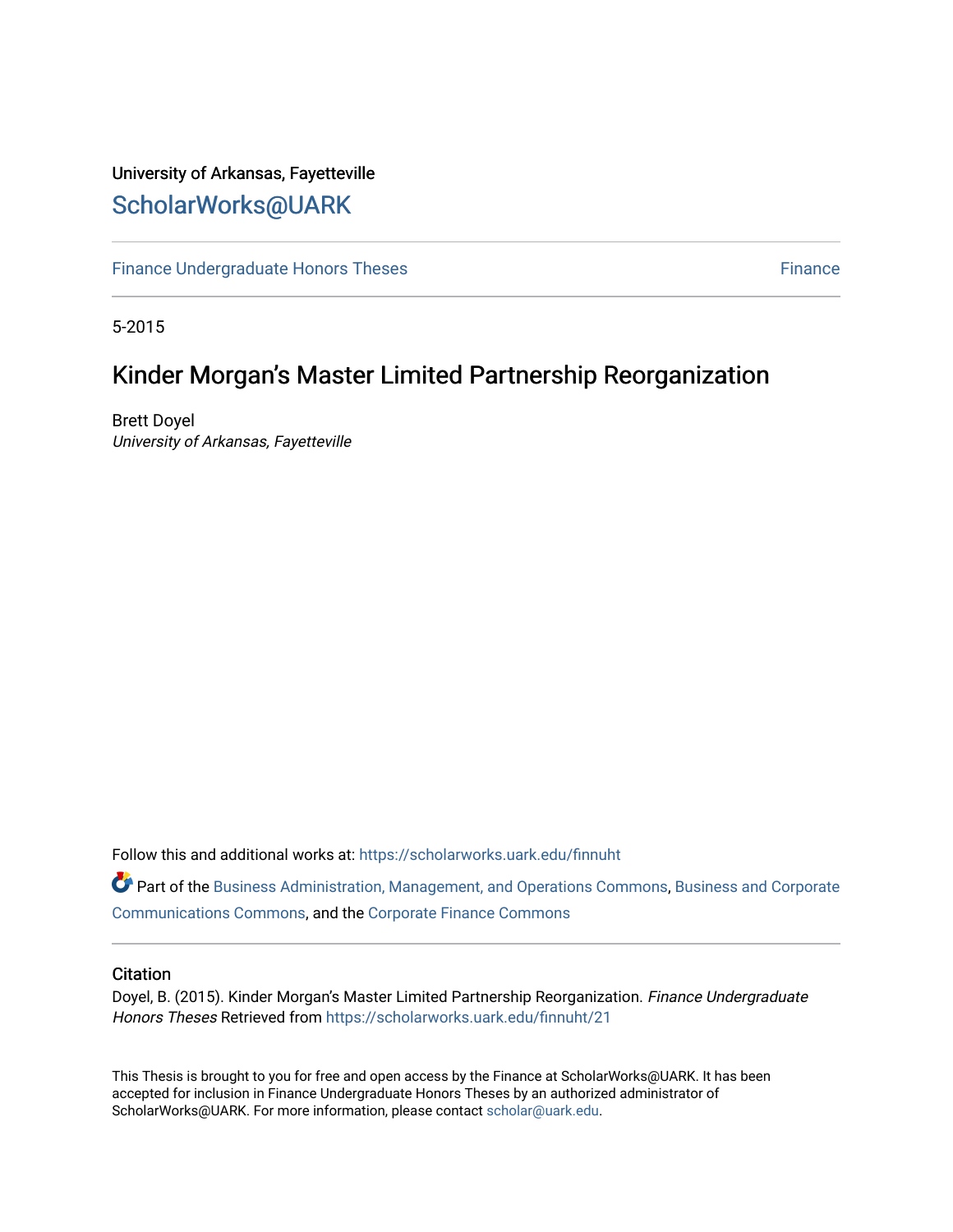# University of Arkansas, Fayetteville [ScholarWorks@UARK](https://scholarworks.uark.edu/)

[Finance Undergraduate Honors Theses](https://scholarworks.uark.edu/finnuht) [Finance](https://scholarworks.uark.edu/finn) **Finance Finance** 

5-2015

# Kinder Morgan's Master Limited Partnership Reorganization

Brett Doyel University of Arkansas, Fayetteville

Follow this and additional works at: [https://scholarworks.uark.edu/finnuht](https://scholarworks.uark.edu/finnuht?utm_source=scholarworks.uark.edu%2Ffinnuht%2F21&utm_medium=PDF&utm_campaign=PDFCoverPages)

Part of the [Business Administration, Management, and Operations Commons](http://network.bepress.com/hgg/discipline/623?utm_source=scholarworks.uark.edu%2Ffinnuht%2F21&utm_medium=PDF&utm_campaign=PDFCoverPages), [Business and Corporate](http://network.bepress.com/hgg/discipline/627?utm_source=scholarworks.uark.edu%2Ffinnuht%2F21&utm_medium=PDF&utm_campaign=PDFCoverPages)  [Communications Commons,](http://network.bepress.com/hgg/discipline/627?utm_source=scholarworks.uark.edu%2Ffinnuht%2F21&utm_medium=PDF&utm_campaign=PDFCoverPages) and the [Corporate Finance Commons](http://network.bepress.com/hgg/discipline/629?utm_source=scholarworks.uark.edu%2Ffinnuht%2F21&utm_medium=PDF&utm_campaign=PDFCoverPages) 

### **Citation**

Doyel, B. (2015). Kinder Morgan's Master Limited Partnership Reorganization. Finance Undergraduate Honors Theses Retrieved from [https://scholarworks.uark.edu/finnuht/21](https://scholarworks.uark.edu/finnuht/21?utm_source=scholarworks.uark.edu%2Ffinnuht%2F21&utm_medium=PDF&utm_campaign=PDFCoverPages)

This Thesis is brought to you for free and open access by the Finance at ScholarWorks@UARK. It has been accepted for inclusion in Finance Undergraduate Honors Theses by an authorized administrator of ScholarWorks@UARK. For more information, please contact [scholar@uark.edu](mailto:scholar@uark.edu).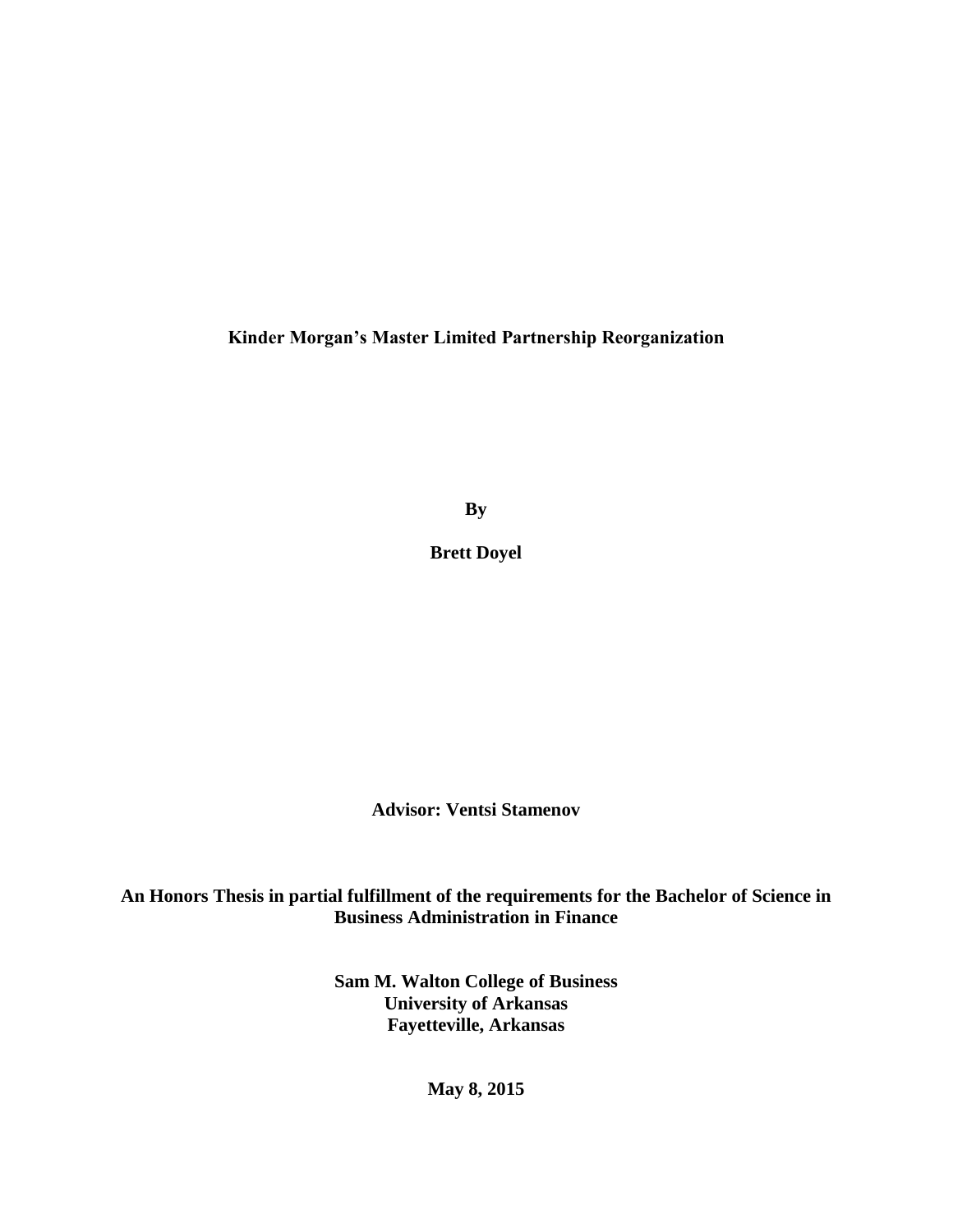**Kinder Morgan's Master Limited Partnership Reorganization**

**By**

**Brett Doyel**

**Advisor: Ventsi Stamenov**

**An Honors Thesis in partial fulfillment of the requirements for the Bachelor of Science in Business Administration in Finance**

> **Sam M. Walton College of Business University of Arkansas Fayetteville, Arkansas**

> > **May 8, 2015**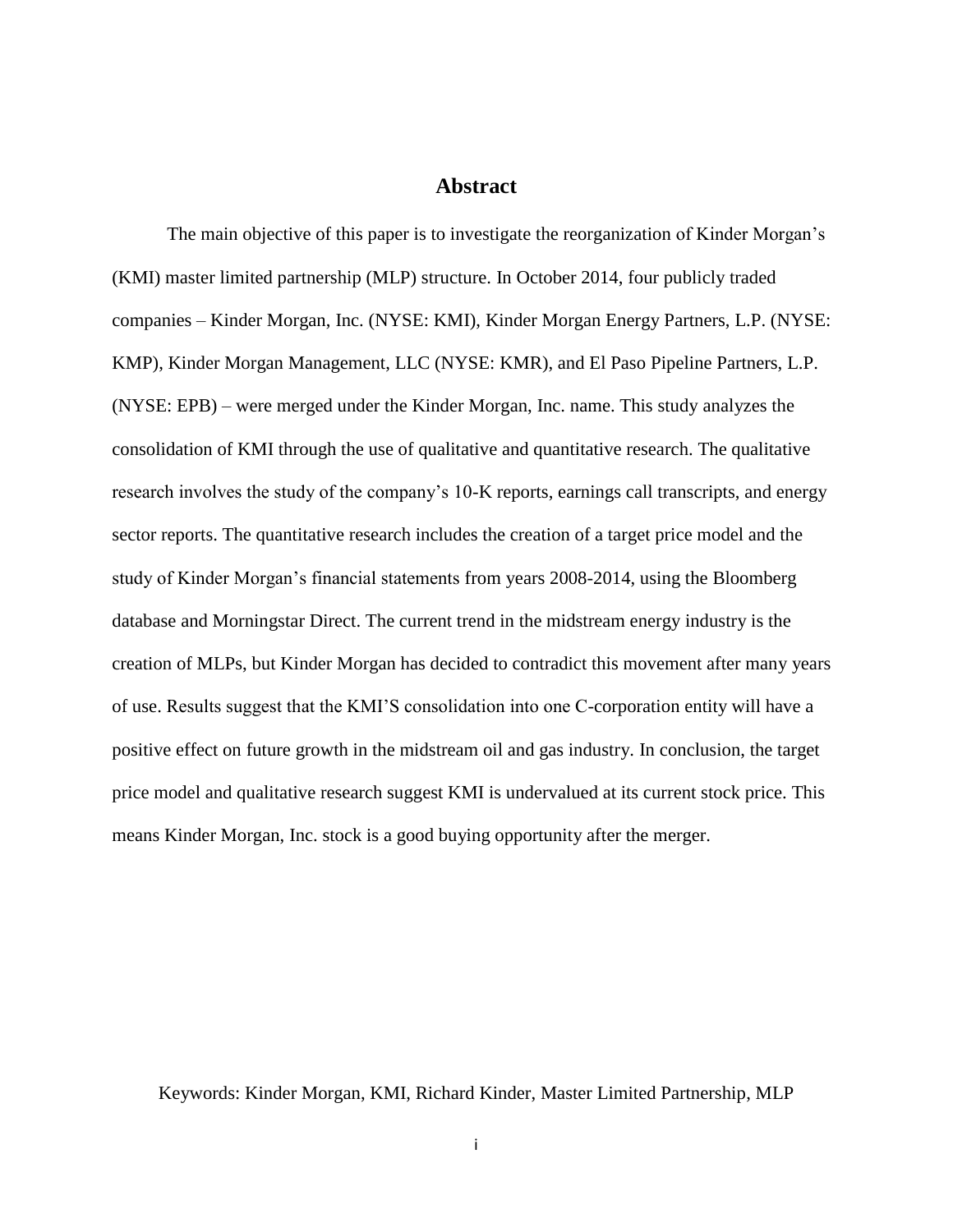### **Abstract**

<span id="page-2-0"></span>The main objective of this paper is to investigate the reorganization of Kinder Morgan's (KMI) master limited partnership (MLP) structure. In October 2014, four publicly traded companies – Kinder Morgan, Inc. (NYSE: KMI), Kinder Morgan Energy Partners, L.P. (NYSE: KMP), Kinder Morgan Management, LLC (NYSE: KMR), and El Paso Pipeline Partners, L.P. (NYSE: EPB) – were merged under the Kinder Morgan, Inc. name. This study analyzes the consolidation of KMI through the use of qualitative and quantitative research. The qualitative research involves the study of the company's 10-K reports, earnings call transcripts, and energy sector reports. The quantitative research includes the creation of a target price model and the study of Kinder Morgan's financial statements from years 2008-2014, using the Bloomberg database and Morningstar Direct. The current trend in the midstream energy industry is the creation of MLPs, but Kinder Morgan has decided to contradict this movement after many years of use. Results suggest that the KMI'S consolidation into one C-corporation entity will have a positive effect on future growth in the midstream oil and gas industry. In conclusion, the target price model and qualitative research suggest KMI is undervalued at its current stock price. This means Kinder Morgan, Inc. stock is a good buying opportunity after the merger.

Keywords: Kinder Morgan, KMI, Richard Kinder, Master Limited Partnership, MLP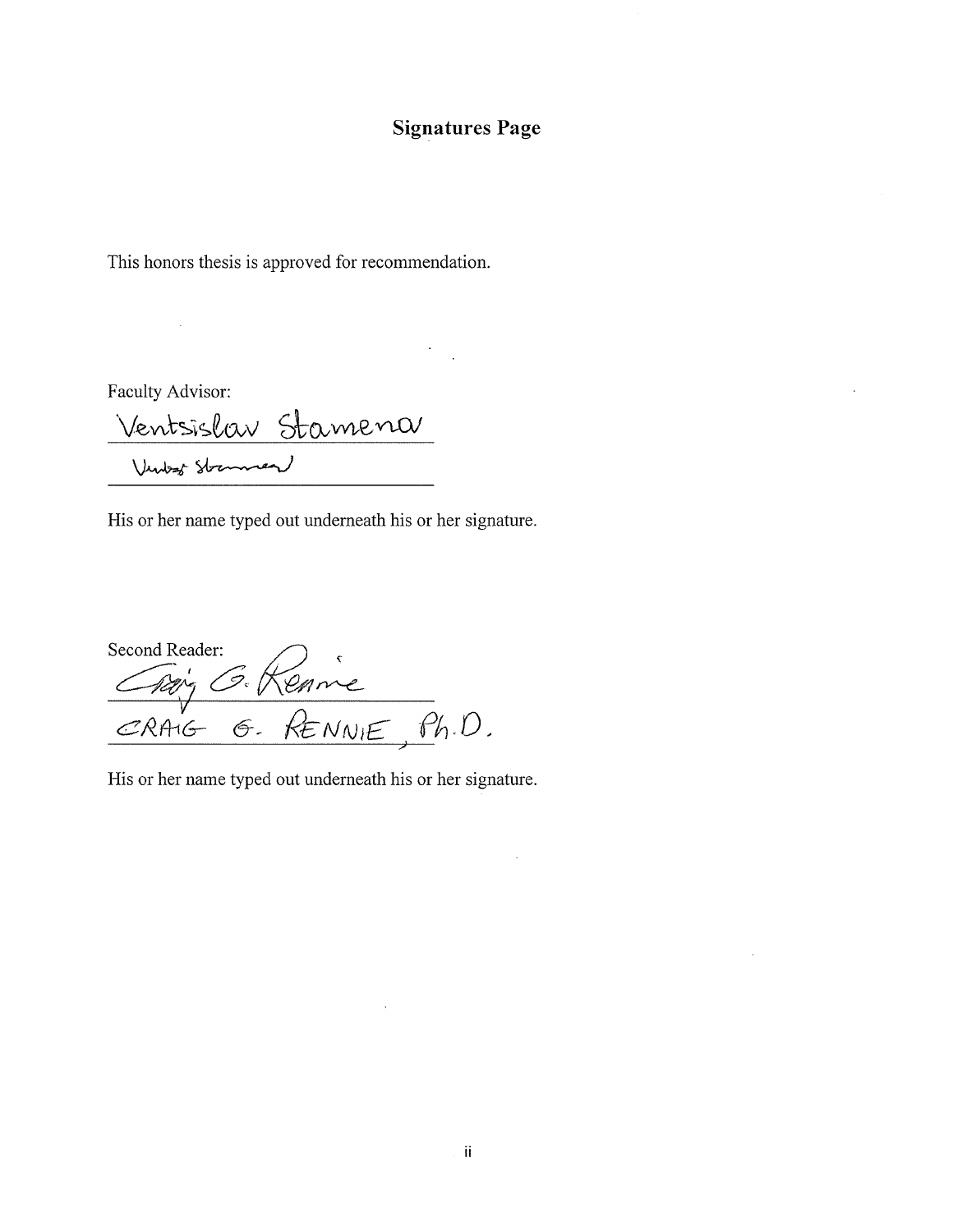## **Signatures Page**

This honors thesis is approved for recommendation.

Faculty Advisor:

 $\sim$   $\omega$ 

Ventsislav Stamena

His or her name typed out underneath his or her signature.

Second Reader:<br>Chip's G. Renne<br>CRAIG G. RENNIE, Ph.D.

His or her name typed out underneath his or her signature.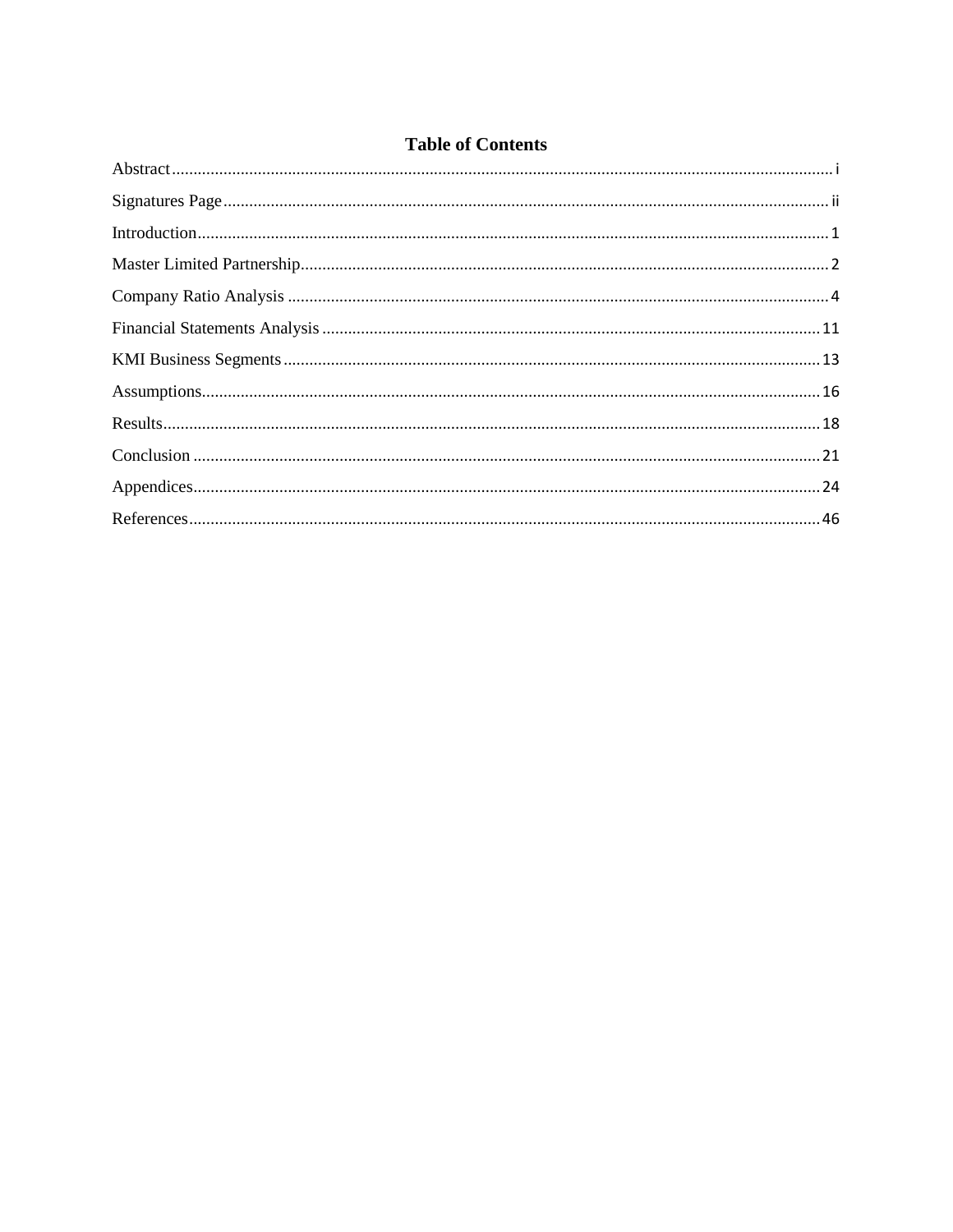## **Table of Contents**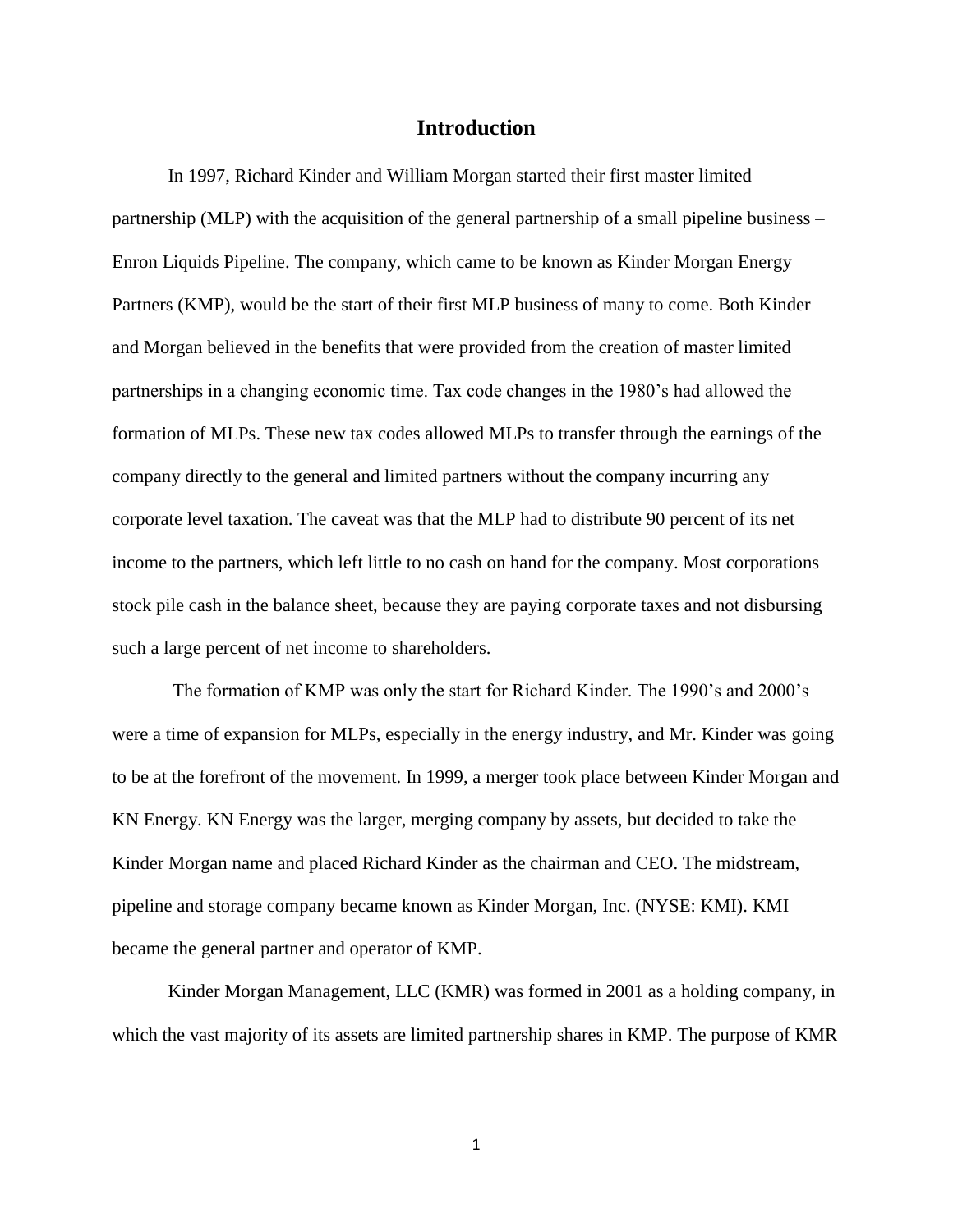### **Introduction**

<span id="page-5-0"></span>In 1997, Richard Kinder and William Morgan started their first master limited partnership (MLP) with the acquisition of the general partnership of a small pipeline business – Enron Liquids Pipeline. The company, which came to be known as Kinder Morgan Energy Partners (KMP), would be the start of their first MLP business of many to come. Both Kinder and Morgan believed in the benefits that were provided from the creation of master limited partnerships in a changing economic time. Tax code changes in the 1980's had allowed the formation of MLPs. These new tax codes allowed MLPs to transfer through the earnings of the company directly to the general and limited partners without the company incurring any corporate level taxation. The caveat was that the MLP had to distribute 90 percent of its net income to the partners, which left little to no cash on hand for the company. Most corporations stock pile cash in the balance sheet, because they are paying corporate taxes and not disbursing such a large percent of net income to shareholders.

The formation of KMP was only the start for Richard Kinder. The 1990's and 2000's were a time of expansion for MLPs, especially in the energy industry, and Mr. Kinder was going to be at the forefront of the movement. In 1999, a merger took place between Kinder Morgan and KN Energy. KN Energy was the larger, merging company by assets, but decided to take the Kinder Morgan name and placed Richard Kinder as the chairman and CEO. The midstream, pipeline and storage company became known as Kinder Morgan, Inc. (NYSE: KMI). KMI became the general partner and operator of KMP.

Kinder Morgan Management, LLC (KMR) was formed in 2001 as a holding company, in which the vast majority of its assets are limited partnership shares in KMP. The purpose of KMR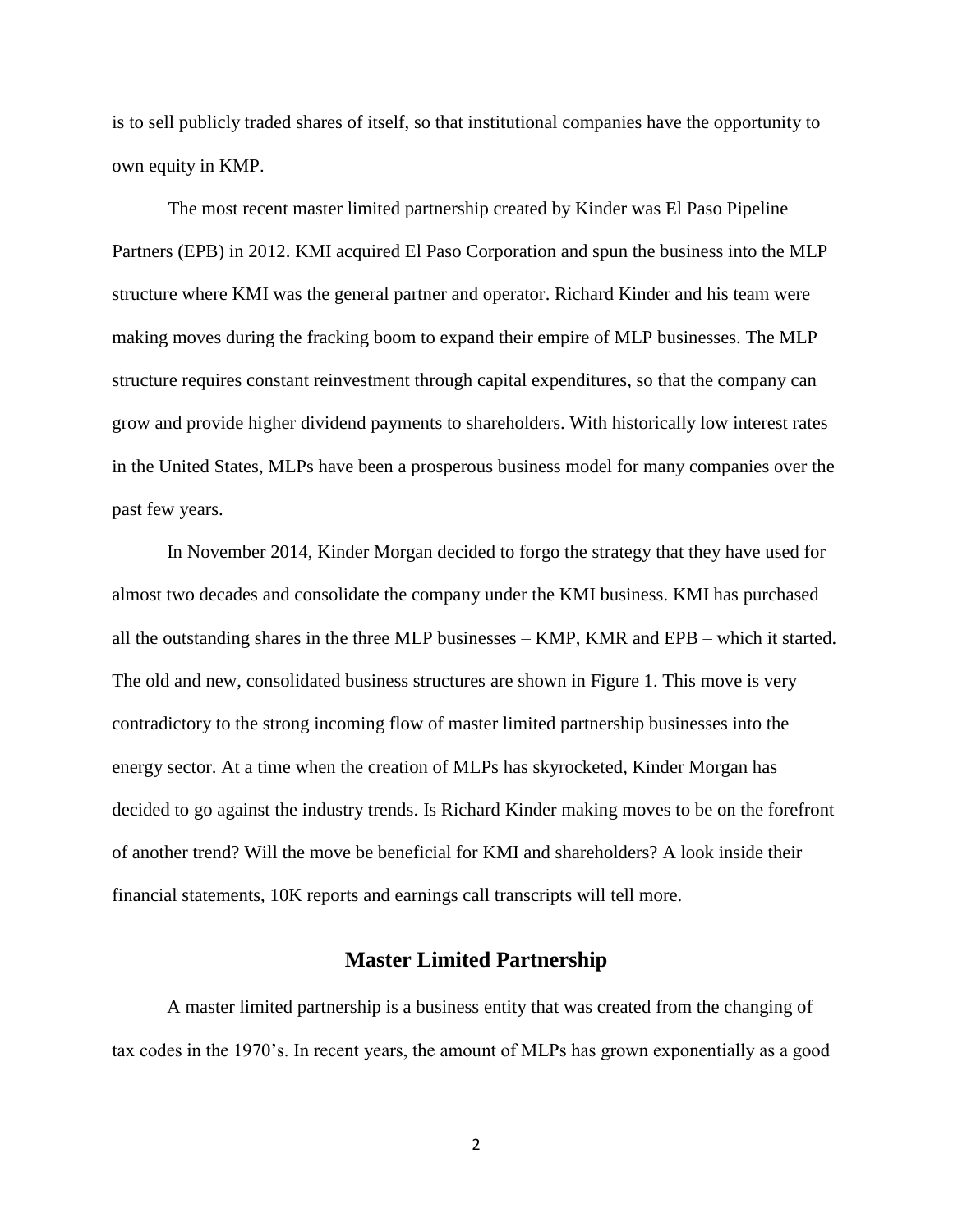is to sell publicly traded shares of itself, so that institutional companies have the opportunity to own equity in KMP.

The most recent master limited partnership created by Kinder was El Paso Pipeline Partners (EPB) in 2012. KMI acquired El Paso Corporation and spun the business into the MLP structure where KMI was the general partner and operator. Richard Kinder and his team were making moves during the fracking boom to expand their empire of MLP businesses. The MLP structure requires constant reinvestment through capital expenditures, so that the company can grow and provide higher dividend payments to shareholders. With historically low interest rates in the United States, MLPs have been a prosperous business model for many companies over the past few years.

In November 2014, Kinder Morgan decided to forgo the strategy that they have used for almost two decades and consolidate the company under the KMI business. KMI has purchased all the outstanding shares in the three MLP businesses – KMP, KMR and EPB – which it started. The old and new, consolidated business structures are shown in Figure 1. This move is very contradictory to the strong incoming flow of master limited partnership businesses into the energy sector. At a time when the creation of MLPs has skyrocketed, Kinder Morgan has decided to go against the industry trends. Is Richard Kinder making moves to be on the forefront of another trend? Will the move be beneficial for KMI and shareholders? A look inside their financial statements, 10K reports and earnings call transcripts will tell more.

### **Master Limited Partnership**

<span id="page-6-0"></span>A master limited partnership is a business entity that was created from the changing of tax codes in the 1970's. In recent years, the amount of MLPs has grown exponentially as a good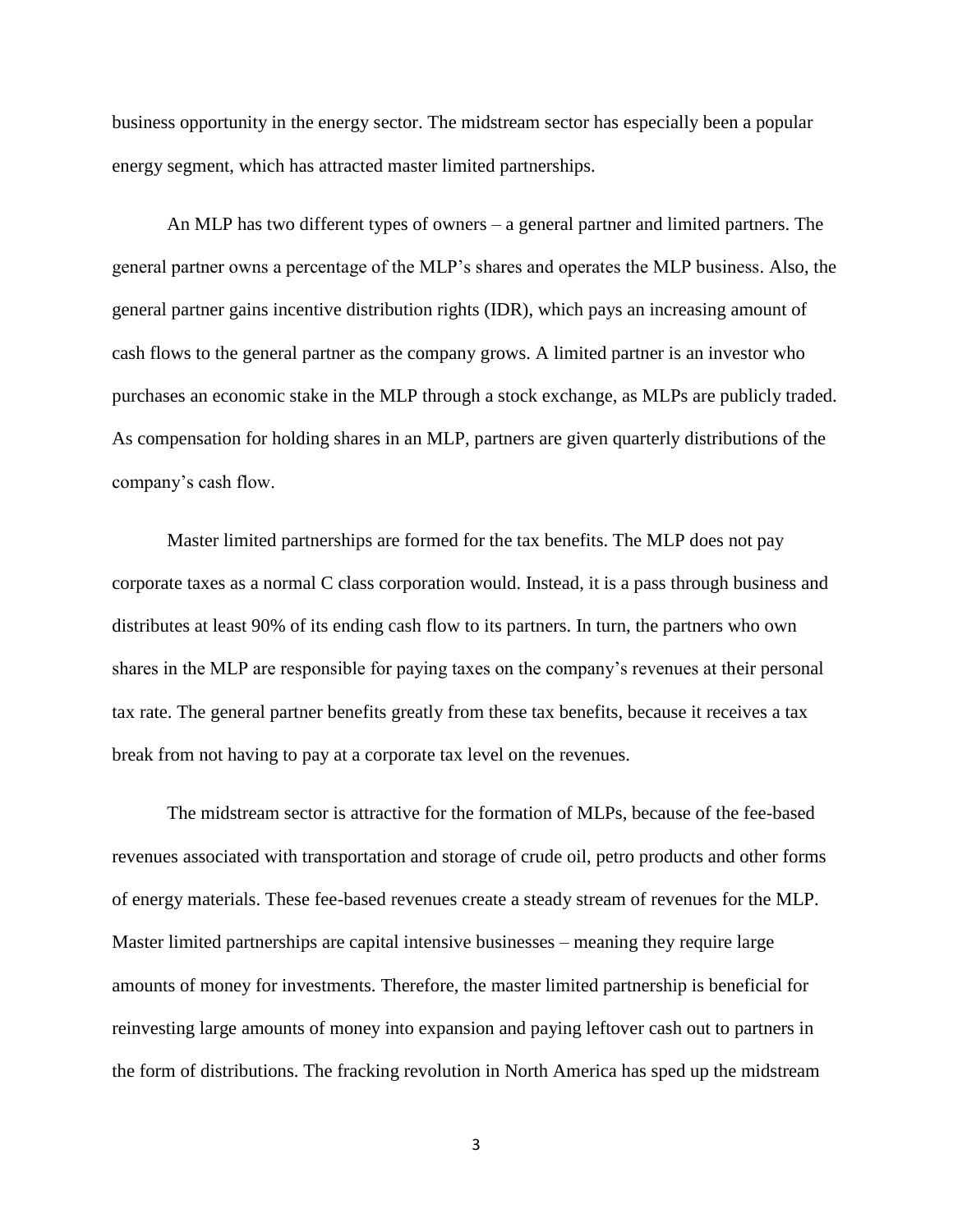business opportunity in the energy sector. The midstream sector has especially been a popular energy segment, which has attracted master limited partnerships.

An MLP has two different types of owners – a general partner and limited partners. The general partner owns a percentage of the MLP's shares and operates the MLP business. Also, the general partner gains incentive distribution rights (IDR), which pays an increasing amount of cash flows to the general partner as the company grows. A limited partner is an investor who purchases an economic stake in the MLP through a stock exchange, as MLPs are publicly traded. As compensation for holding shares in an MLP, partners are given quarterly distributions of the company's cash flow.

Master limited partnerships are formed for the tax benefits. The MLP does not pay corporate taxes as a normal C class corporation would. Instead, it is a pass through business and distributes at least 90% of its ending cash flow to its partners. In turn, the partners who own shares in the MLP are responsible for paying taxes on the company's revenues at their personal tax rate. The general partner benefits greatly from these tax benefits, because it receives a tax break from not having to pay at a corporate tax level on the revenues.

The midstream sector is attractive for the formation of MLPs, because of the fee-based revenues associated with transportation and storage of crude oil, petro products and other forms of energy materials. These fee-based revenues create a steady stream of revenues for the MLP. Master limited partnerships are capital intensive businesses – meaning they require large amounts of money for investments. Therefore, the master limited partnership is beneficial for reinvesting large amounts of money into expansion and paying leftover cash out to partners in the form of distributions. The fracking revolution in North America has sped up the midstream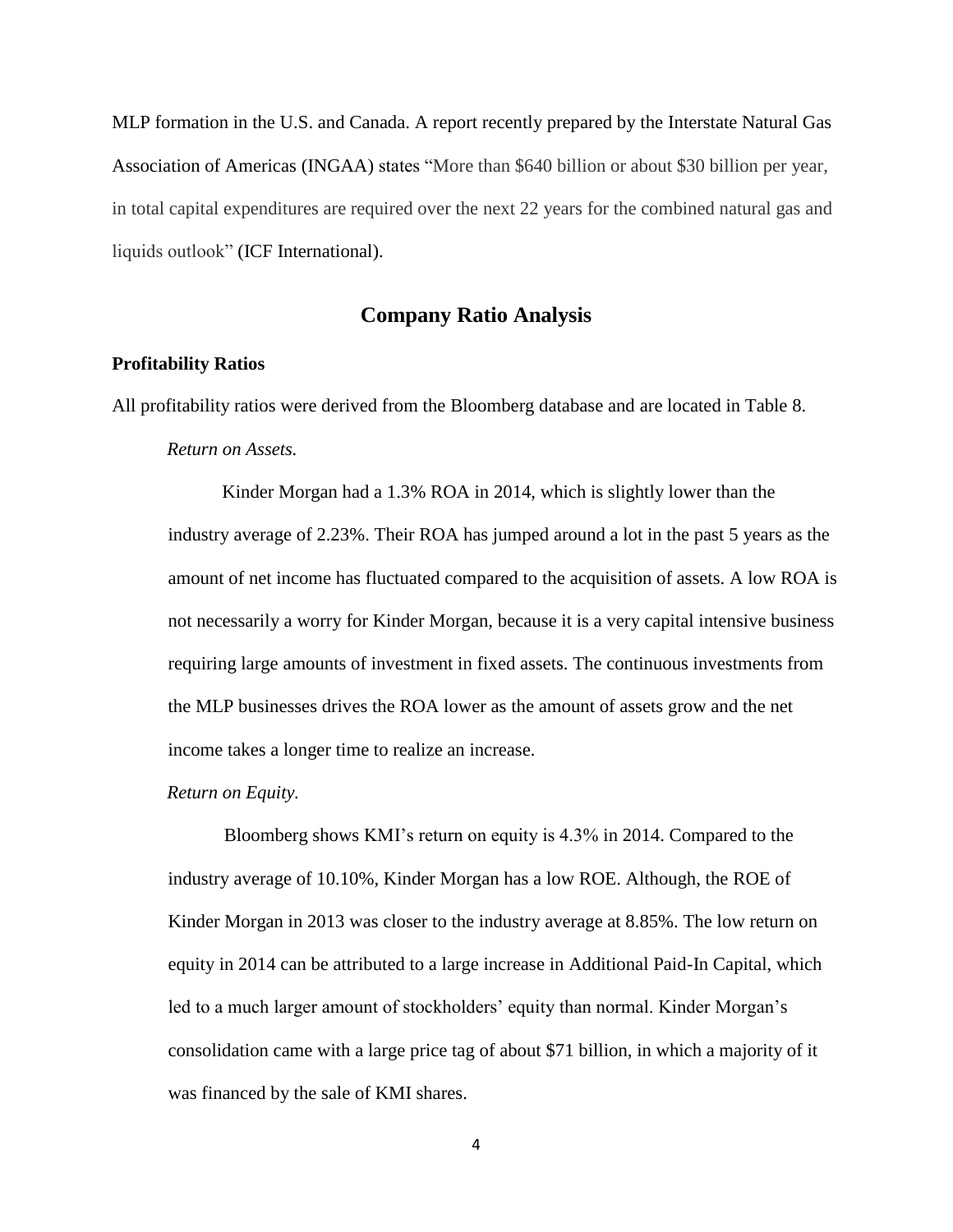MLP formation in the U.S. and Canada. A report recently prepared by the Interstate Natural Gas Association of Americas (INGAA) states "More than \$640 billion or about \$30 billion per year, in total capital expenditures are required over the next 22 years for the combined natural gas and liquids outlook" (ICF International).

### **Company Ratio Analysis**

### <span id="page-8-0"></span>**Profitability Ratios**

All profitability ratios were derived from the Bloomberg database and are located in Table 8.

### *Return on Assets.*

Kinder Morgan had a 1.3% ROA in 2014, which is slightly lower than the industry average of 2.23%. Their ROA has jumped around a lot in the past 5 years as the amount of net income has fluctuated compared to the acquisition of assets. A low ROA is not necessarily a worry for Kinder Morgan, because it is a very capital intensive business requiring large amounts of investment in fixed assets. The continuous investments from the MLP businesses drives the ROA lower as the amount of assets grow and the net income takes a longer time to realize an increase.

### *Return on Equity.*

Bloomberg shows KMI's return on equity is 4.3% in 2014. Compared to the industry average of 10.10%, Kinder Morgan has a low ROE. Although, the ROE of Kinder Morgan in 2013 was closer to the industry average at 8.85%. The low return on equity in 2014 can be attributed to a large increase in Additional Paid-In Capital, which led to a much larger amount of stockholders' equity than normal. Kinder Morgan's consolidation came with a large price tag of about \$71 billion, in which a majority of it was financed by the sale of KMI shares.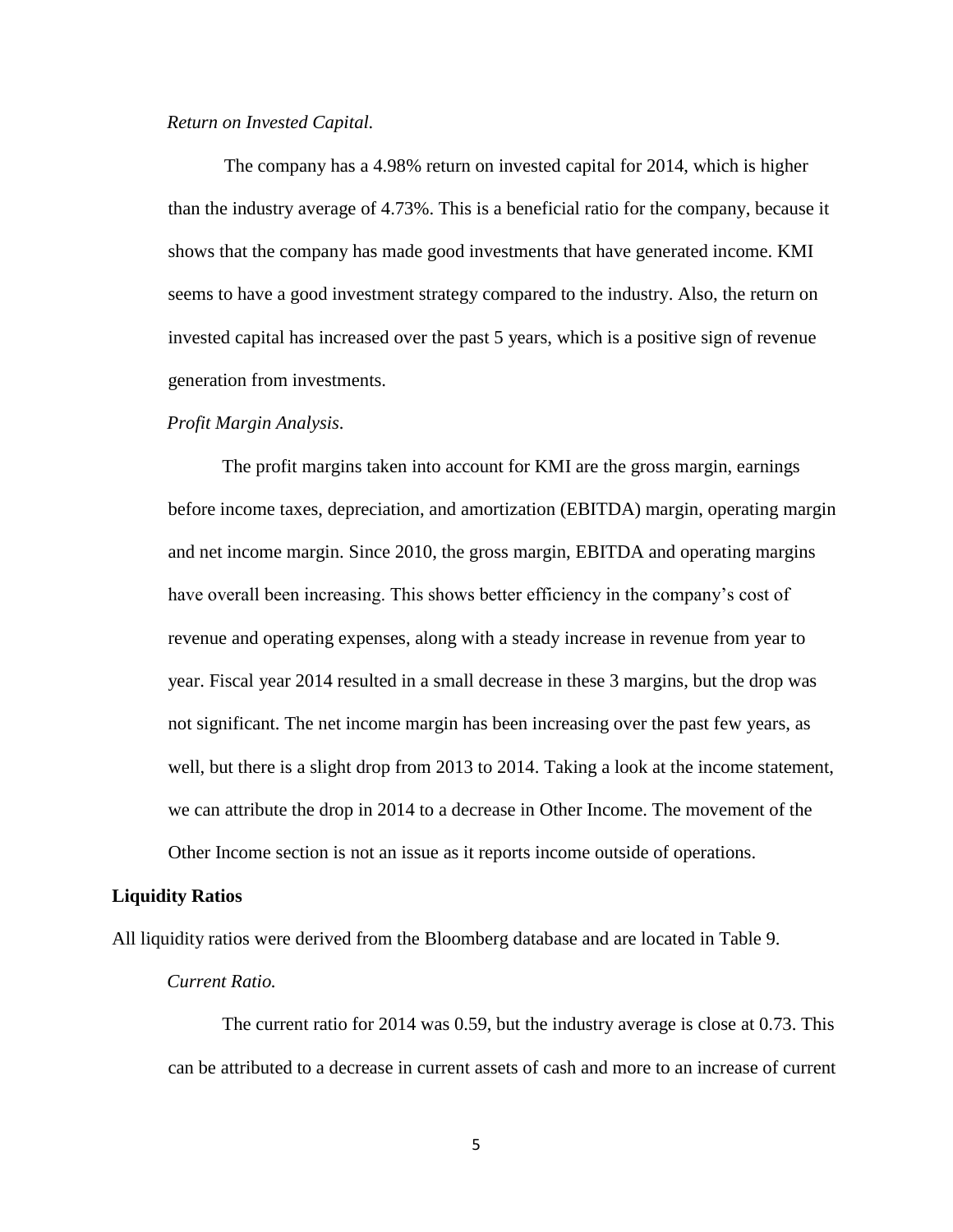### *Return on Invested Capital.*

The company has a 4.98% return on invested capital for 2014, which is higher than the industry average of 4.73%. This is a beneficial ratio for the company, because it shows that the company has made good investments that have generated income. KMI seems to have a good investment strategy compared to the industry. Also, the return on invested capital has increased over the past 5 years, which is a positive sign of revenue generation from investments.

#### *Profit Margin Analysis.*

The profit margins taken into account for KMI are the gross margin, earnings before income taxes, depreciation, and amortization (EBITDA) margin, operating margin and net income margin. Since 2010, the gross margin, EBITDA and operating margins have overall been increasing. This shows better efficiency in the company's cost of revenue and operating expenses, along with a steady increase in revenue from year to year. Fiscal year 2014 resulted in a small decrease in these 3 margins, but the drop was not significant. The net income margin has been increasing over the past few years, as well, but there is a slight drop from 2013 to 2014. Taking a look at the income statement, we can attribute the drop in 2014 to a decrease in Other Income. The movement of the Other Income section is not an issue as it reports income outside of operations.

#### **Liquidity Ratios**

All liquidity ratios were derived from the Bloomberg database and are located in Table 9.

#### *Current Ratio.*

The current ratio for 2014 was 0.59, but the industry average is close at 0.73. This can be attributed to a decrease in current assets of cash and more to an increase of current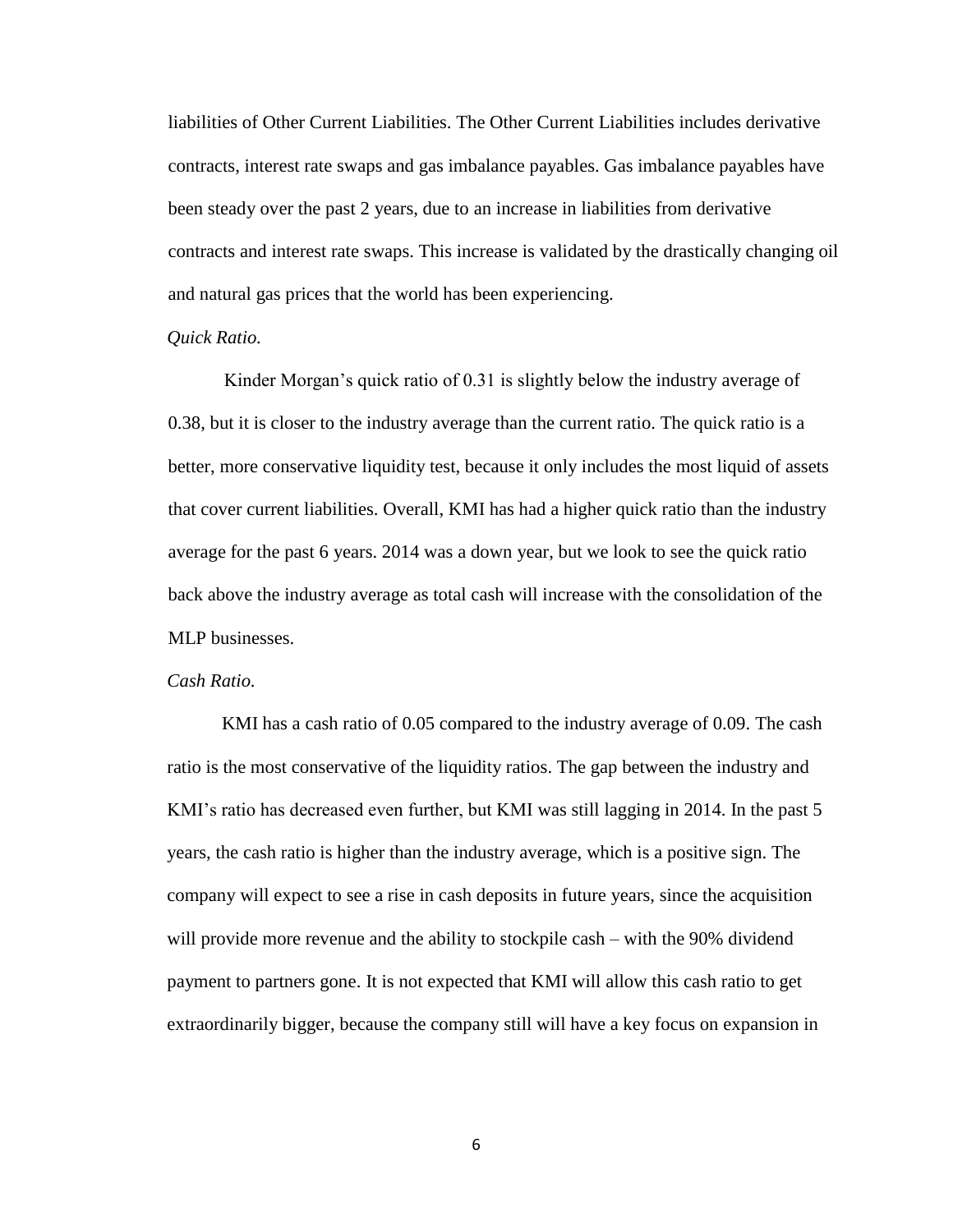liabilities of Other Current Liabilities. The Other Current Liabilities includes derivative contracts, interest rate swaps and gas imbalance payables. Gas imbalance payables have been steady over the past 2 years, due to an increase in liabilities from derivative contracts and interest rate swaps. This increase is validated by the drastically changing oil and natural gas prices that the world has been experiencing.

### *Quick Ratio.*

Kinder Morgan's quick ratio of 0.31 is slightly below the industry average of 0.38, but it is closer to the industry average than the current ratio. The quick ratio is a better, more conservative liquidity test, because it only includes the most liquid of assets that cover current liabilities. Overall, KMI has had a higher quick ratio than the industry average for the past 6 years. 2014 was a down year, but we look to see the quick ratio back above the industry average as total cash will increase with the consolidation of the MLP businesses.

### *Cash Ratio.*

KMI has a cash ratio of 0.05 compared to the industry average of 0.09. The cash ratio is the most conservative of the liquidity ratios. The gap between the industry and KMI's ratio has decreased even further, but KMI was still lagging in 2014. In the past 5 years, the cash ratio is higher than the industry average, which is a positive sign. The company will expect to see a rise in cash deposits in future years, since the acquisition will provide more revenue and the ability to stockpile cash – with the 90% dividend payment to partners gone. It is not expected that KMI will allow this cash ratio to get extraordinarily bigger, because the company still will have a key focus on expansion in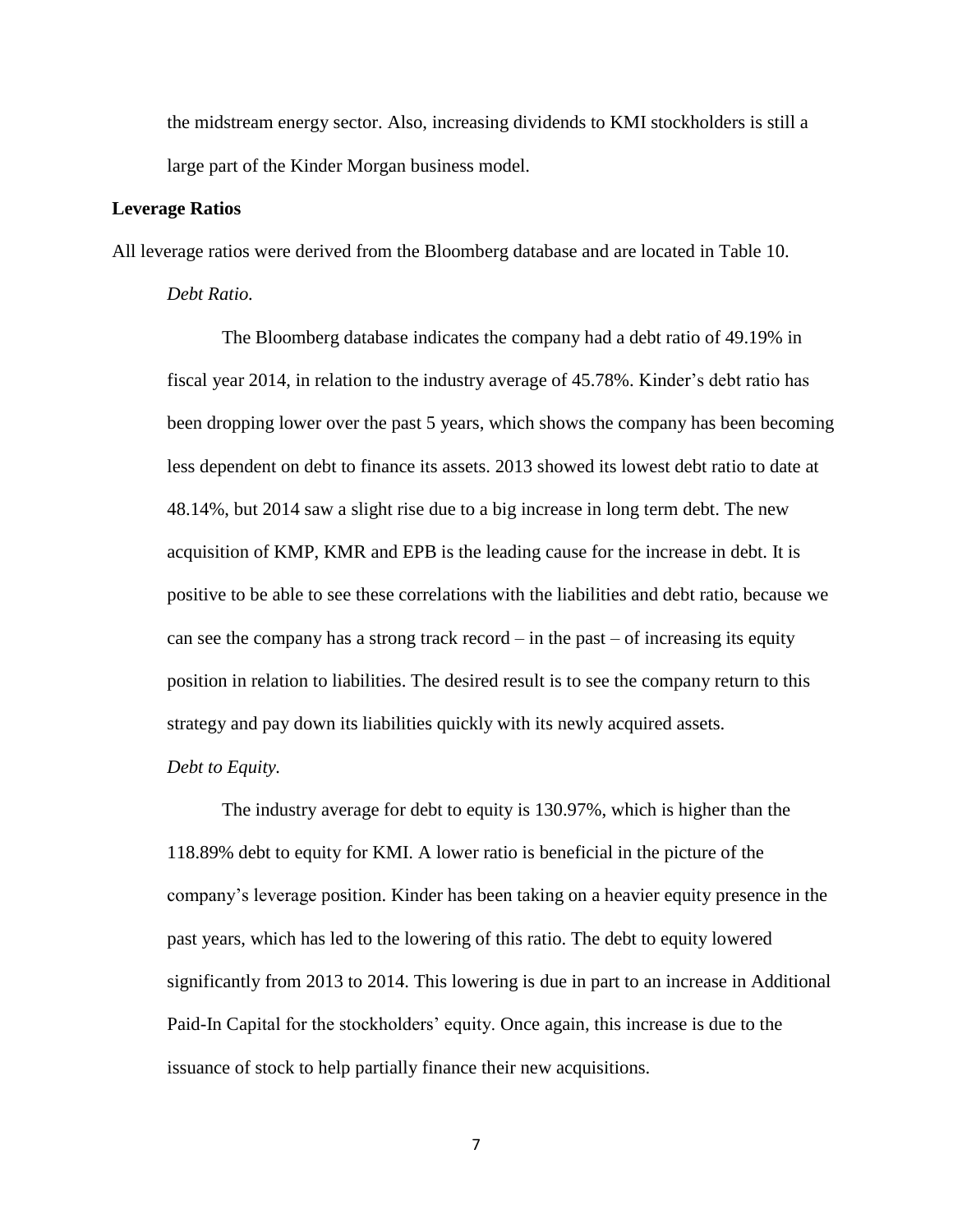the midstream energy sector. Also, increasing dividends to KMI stockholders is still a large part of the Kinder Morgan business model.

### **Leverage Ratios**

All leverage ratios were derived from the Bloomberg database and are located in Table 10.

### *Debt Ratio.*

The Bloomberg database indicates the company had a debt ratio of 49.19% in fiscal year 2014, in relation to the industry average of 45.78%. Kinder's debt ratio has been dropping lower over the past 5 years, which shows the company has been becoming less dependent on debt to finance its assets. 2013 showed its lowest debt ratio to date at 48.14%, but 2014 saw a slight rise due to a big increase in long term debt. The new acquisition of KMP, KMR and EPB is the leading cause for the increase in debt. It is positive to be able to see these correlations with the liabilities and debt ratio, because we can see the company has a strong track record  $-$  in the past  $-$  of increasing its equity position in relation to liabilities. The desired result is to see the company return to this strategy and pay down its liabilities quickly with its newly acquired assets.

### *Debt to Equity.*

The industry average for debt to equity is 130.97%, which is higher than the 118.89% debt to equity for KMI. A lower ratio is beneficial in the picture of the company's leverage position. Kinder has been taking on a heavier equity presence in the past years, which has led to the lowering of this ratio. The debt to equity lowered significantly from 2013 to 2014. This lowering is due in part to an increase in Additional Paid-In Capital for the stockholders' equity. Once again, this increase is due to the issuance of stock to help partially finance their new acquisitions.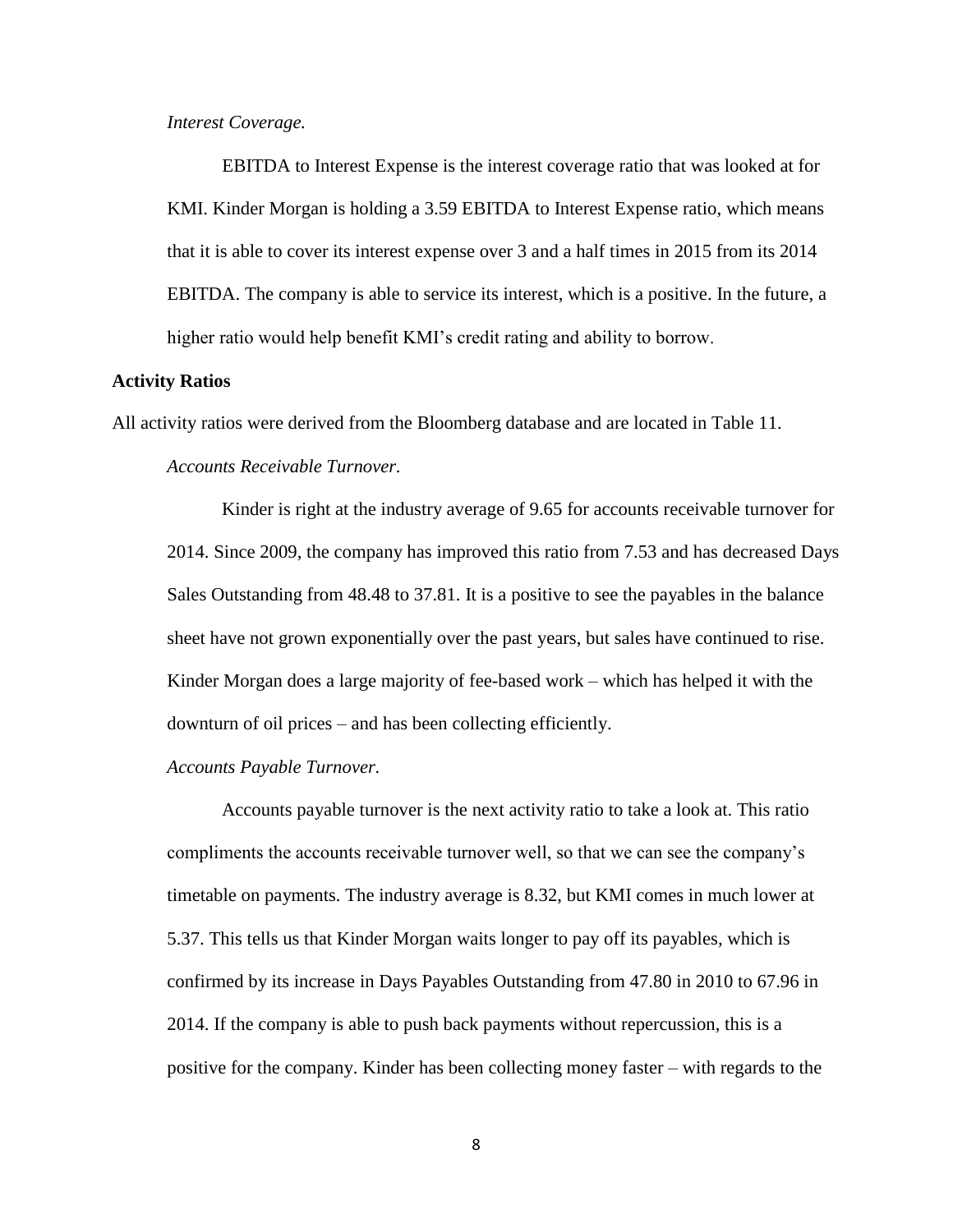*Interest Coverage.*

EBITDA to Interest Expense is the interest coverage ratio that was looked at for KMI. Kinder Morgan is holding a 3.59 EBITDA to Interest Expense ratio, which means that it is able to cover its interest expense over 3 and a half times in 2015 from its 2014 EBITDA. The company is able to service its interest, which is a positive. In the future, a higher ratio would help benefit KMI's credit rating and ability to borrow.

### **Activity Ratios**

All activity ratios were derived from the Bloomberg database and are located in Table 11.

### *Accounts Receivable Turnover.*

Kinder is right at the industry average of 9.65 for accounts receivable turnover for 2014. Since 2009, the company has improved this ratio from 7.53 and has decreased Days Sales Outstanding from 48.48 to 37.81. It is a positive to see the payables in the balance sheet have not grown exponentially over the past years, but sales have continued to rise. Kinder Morgan does a large majority of fee-based work – which has helped it with the downturn of oil prices – and has been collecting efficiently.

### *Accounts Payable Turnover.*

Accounts payable turnover is the next activity ratio to take a look at. This ratio compliments the accounts receivable turnover well, so that we can see the company's timetable on payments. The industry average is 8.32, but KMI comes in much lower at 5.37. This tells us that Kinder Morgan waits longer to pay off its payables, which is confirmed by its increase in Days Payables Outstanding from 47.80 in 2010 to 67.96 in 2014. If the company is able to push back payments without repercussion, this is a positive for the company. Kinder has been collecting money faster – with regards to the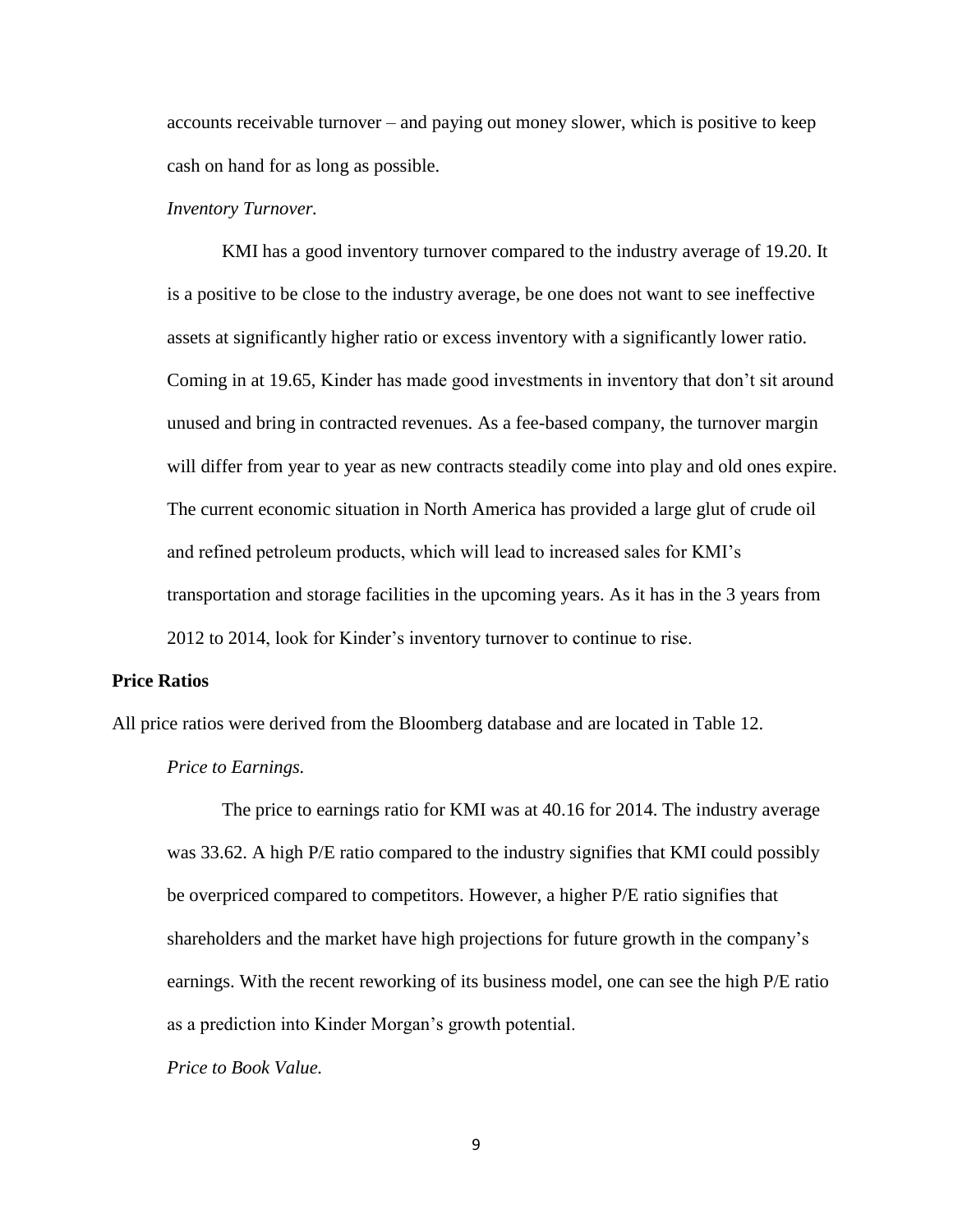accounts receivable turnover – and paying out money slower, which is positive to keep cash on hand for as long as possible.

### *Inventory Turnover.*

KMI has a good inventory turnover compared to the industry average of 19.20. It is a positive to be close to the industry average, be one does not want to see ineffective assets at significantly higher ratio or excess inventory with a significantly lower ratio. Coming in at 19.65, Kinder has made good investments in inventory that don't sit around unused and bring in contracted revenues. As a fee-based company, the turnover margin will differ from year to year as new contracts steadily come into play and old ones expire. The current economic situation in North America has provided a large glut of crude oil and refined petroleum products, which will lead to increased sales for KMI's transportation and storage facilities in the upcoming years. As it has in the 3 years from 2012 to 2014, look for Kinder's inventory turnover to continue to rise.

### **Price Ratios**

All price ratios were derived from the Bloomberg database and are located in Table 12.

### *Price to Earnings.*

The price to earnings ratio for KMI was at 40.16 for 2014. The industry average was 33.62. A high P/E ratio compared to the industry signifies that KMI could possibly be overpriced compared to competitors. However, a higher P/E ratio signifies that shareholders and the market have high projections for future growth in the company's earnings. With the recent reworking of its business model, one can see the high P/E ratio as a prediction into Kinder Morgan's growth potential.

*Price to Book Value.*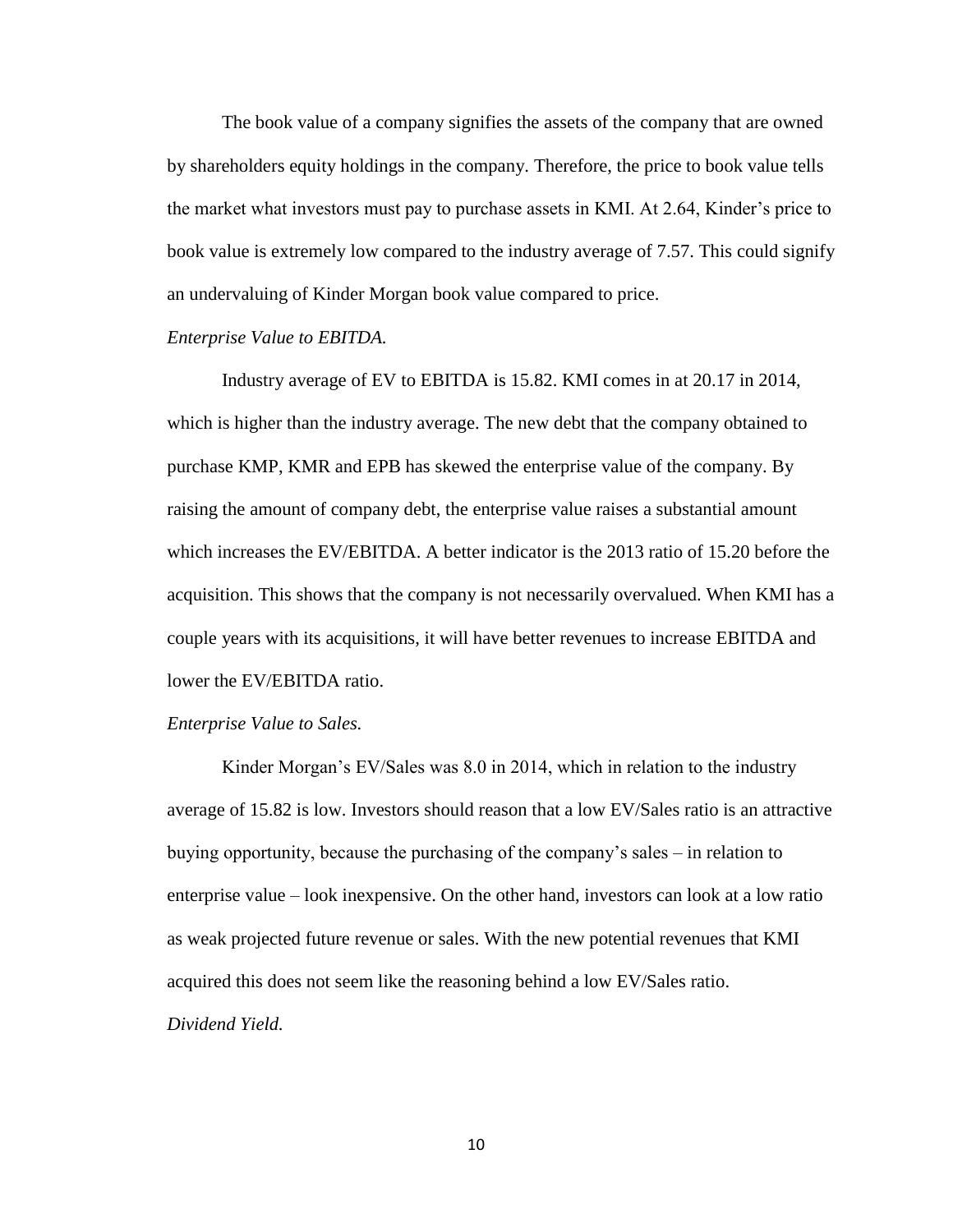The book value of a company signifies the assets of the company that are owned by shareholders equity holdings in the company. Therefore, the price to book value tells the market what investors must pay to purchase assets in KMI. At 2.64, Kinder's price to book value is extremely low compared to the industry average of 7.57. This could signify an undervaluing of Kinder Morgan book value compared to price.

### *Enterprise Value to EBITDA.*

Industry average of EV to EBITDA is 15.82. KMI comes in at 20.17 in 2014, which is higher than the industry average. The new debt that the company obtained to purchase KMP, KMR and EPB has skewed the enterprise value of the company. By raising the amount of company debt, the enterprise value raises a substantial amount which increases the EV/EBITDA. A better indicator is the 2013 ratio of 15.20 before the acquisition. This shows that the company is not necessarily overvalued. When KMI has a couple years with its acquisitions, it will have better revenues to increase EBITDA and lower the EV/EBITDA ratio.

#### *Enterprise Value to Sales.*

Kinder Morgan's EV/Sales was 8.0 in 2014, which in relation to the industry average of 15.82 is low. Investors should reason that a low EV/Sales ratio is an attractive buying opportunity, because the purchasing of the company's sales – in relation to enterprise value – look inexpensive. On the other hand, investors can look at a low ratio as weak projected future revenue or sales. With the new potential revenues that KMI acquired this does not seem like the reasoning behind a low EV/Sales ratio. *Dividend Yield.*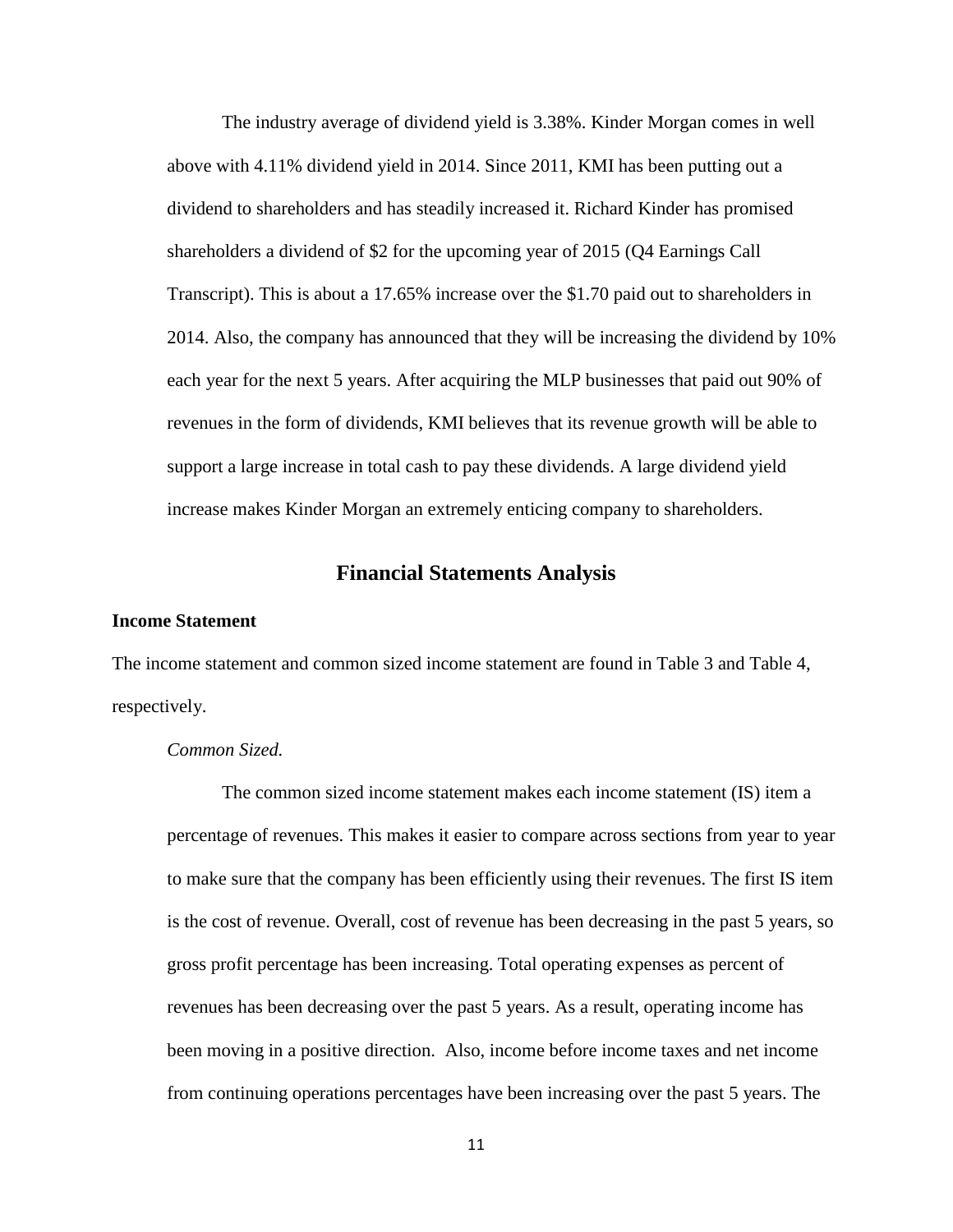The industry average of dividend yield is 3.38%. Kinder Morgan comes in well above with 4.11% dividend yield in 2014. Since 2011, KMI has been putting out a dividend to shareholders and has steadily increased it. Richard Kinder has promised shareholders a dividend of \$2 for the upcoming year of 2015 (Q4 Earnings Call Transcript). This is about a 17.65% increase over the \$1.70 paid out to shareholders in 2014. Also, the company has announced that they will be increasing the dividend by 10% each year for the next 5 years. After acquiring the MLP businesses that paid out 90% of revenues in the form of dividends, KMI believes that its revenue growth will be able to support a large increase in total cash to pay these dividends. A large dividend yield increase makes Kinder Morgan an extremely enticing company to shareholders.

### **Financial Statements Analysis**

### <span id="page-15-0"></span>**Income Statement**

The income statement and common sized income statement are found in Table 3 and Table 4, respectively.

### *Common Sized.*

The common sized income statement makes each income statement (IS) item a percentage of revenues. This makes it easier to compare across sections from year to year to make sure that the company has been efficiently using their revenues. The first IS item is the cost of revenue. Overall, cost of revenue has been decreasing in the past 5 years, so gross profit percentage has been increasing. Total operating expenses as percent of revenues has been decreasing over the past 5 years. As a result, operating income has been moving in a positive direction. Also, income before income taxes and net income from continuing operations percentages have been increasing over the past 5 years. The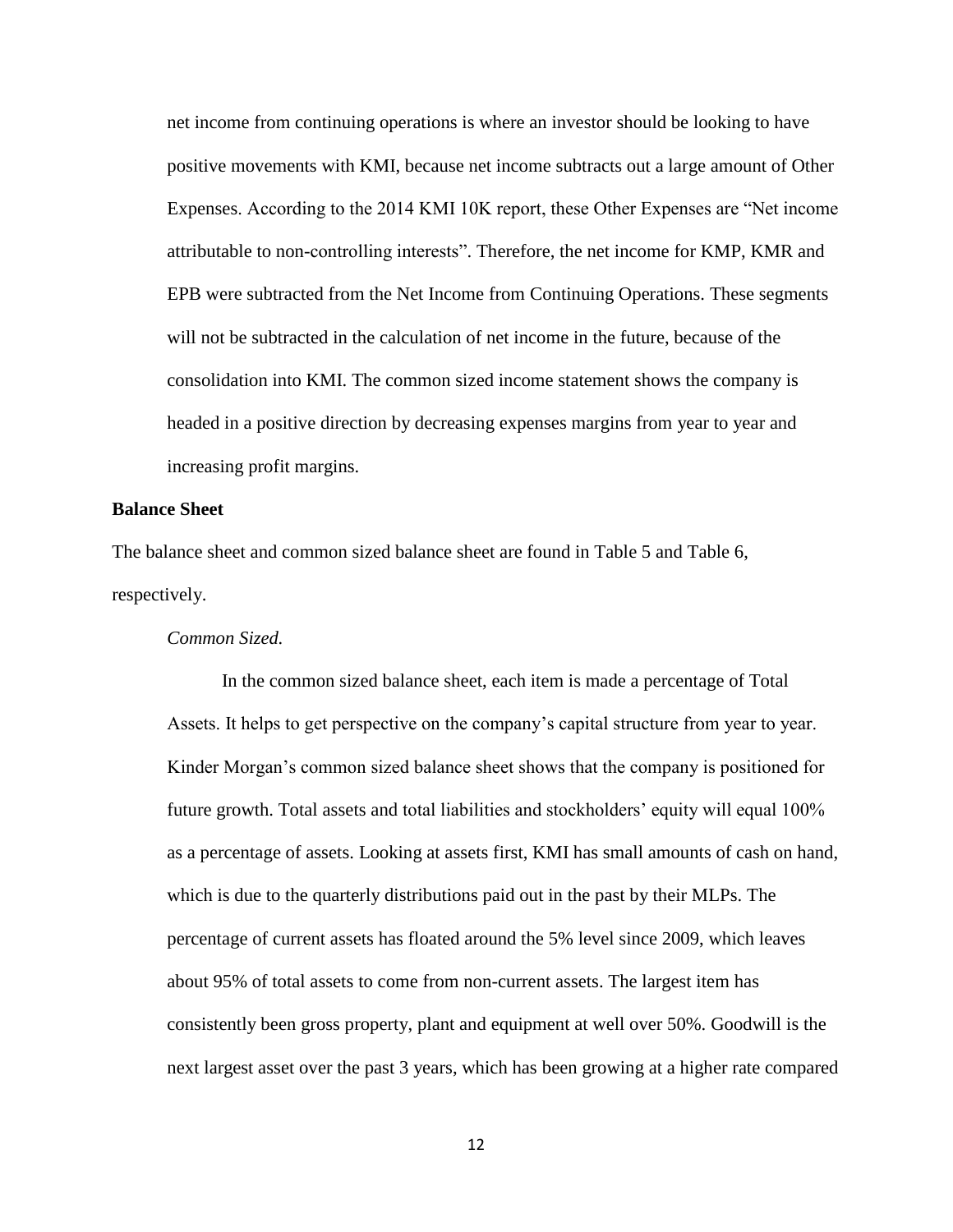net income from continuing operations is where an investor should be looking to have positive movements with KMI, because net income subtracts out a large amount of Other Expenses. According to the 2014 KMI 10K report, these Other Expenses are "Net income attributable to non-controlling interests". Therefore, the net income for KMP, KMR and EPB were subtracted from the Net Income from Continuing Operations. These segments will not be subtracted in the calculation of net income in the future, because of the consolidation into KMI. The common sized income statement shows the company is headed in a positive direction by decreasing expenses margins from year to year and increasing profit margins.

### **Balance Sheet**

The balance sheet and common sized balance sheet are found in Table 5 and Table 6, respectively.

### *Common Sized.*

In the common sized balance sheet, each item is made a percentage of Total Assets. It helps to get perspective on the company's capital structure from year to year. Kinder Morgan's common sized balance sheet shows that the company is positioned for future growth. Total assets and total liabilities and stockholders' equity will equal 100% as a percentage of assets. Looking at assets first, KMI has small amounts of cash on hand, which is due to the quarterly distributions paid out in the past by their MLPs. The percentage of current assets has floated around the 5% level since 2009, which leaves about 95% of total assets to come from non-current assets. The largest item has consistently been gross property, plant and equipment at well over 50%. Goodwill is the next largest asset over the past 3 years, which has been growing at a higher rate compared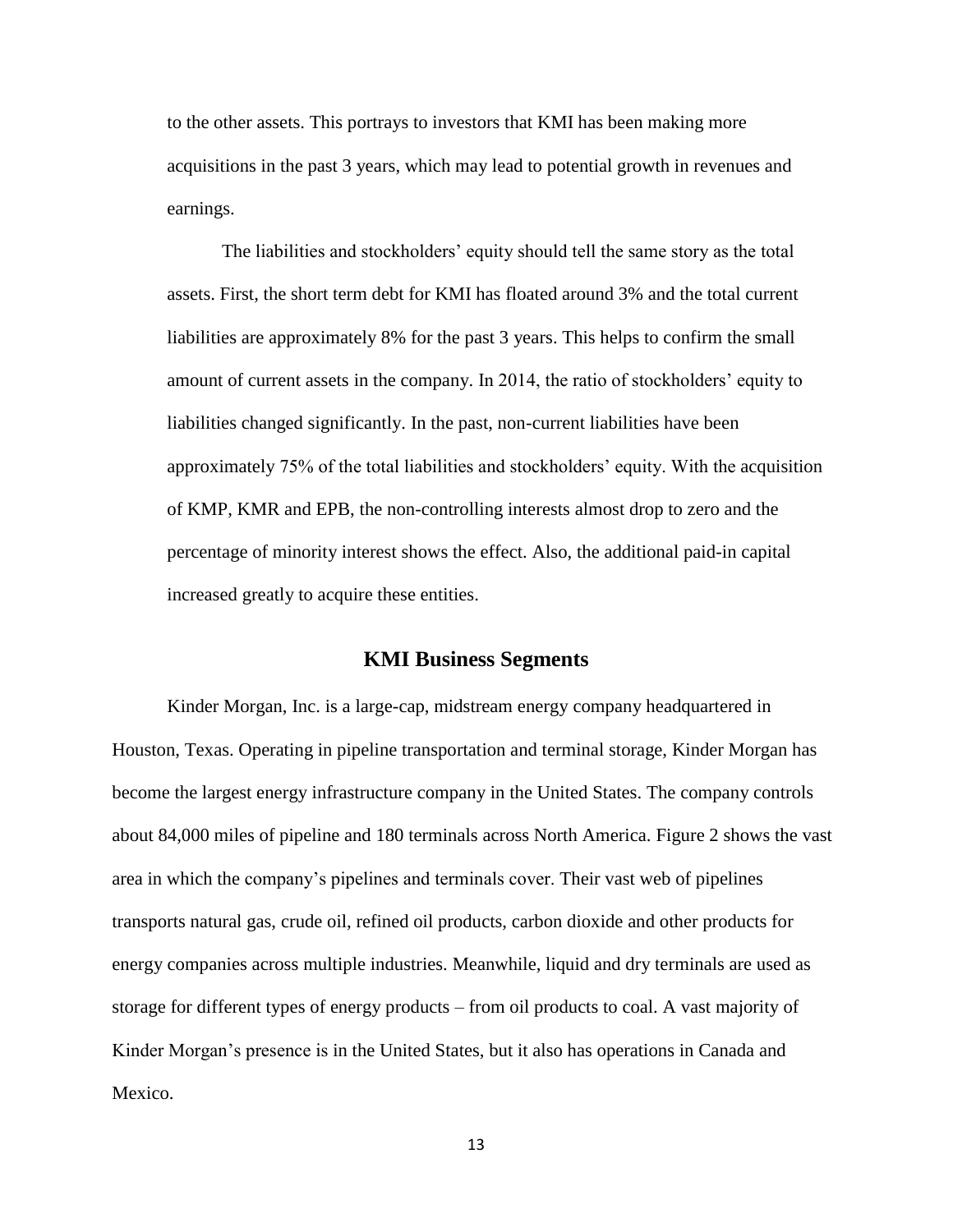to the other assets. This portrays to investors that KMI has been making more acquisitions in the past 3 years, which may lead to potential growth in revenues and earnings.

The liabilities and stockholders' equity should tell the same story as the total assets. First, the short term debt for KMI has floated around 3% and the total current liabilities are approximately 8% for the past 3 years. This helps to confirm the small amount of current assets in the company. In 2014, the ratio of stockholders' equity to liabilities changed significantly. In the past, non-current liabilities have been approximately 75% of the total liabilities and stockholders' equity. With the acquisition of KMP, KMR and EPB, the non-controlling interests almost drop to zero and the percentage of minority interest shows the effect. Also, the additional paid-in capital increased greatly to acquire these entities.

### **KMI Business Segments**

<span id="page-17-0"></span>Kinder Morgan, Inc. is a large-cap, midstream energy company headquartered in Houston, Texas. Operating in pipeline transportation and terminal storage, Kinder Morgan has become the largest energy infrastructure company in the United States. The company controls about 84,000 miles of pipeline and 180 terminals across North America. Figure 2 shows the vast area in which the company's pipelines and terminals cover. Their vast web of pipelines transports natural gas, crude oil, refined oil products, carbon dioxide and other products for energy companies across multiple industries. Meanwhile, liquid and dry terminals are used as storage for different types of energy products – from oil products to coal. A vast majority of Kinder Morgan's presence is in the United States, but it also has operations in Canada and Mexico.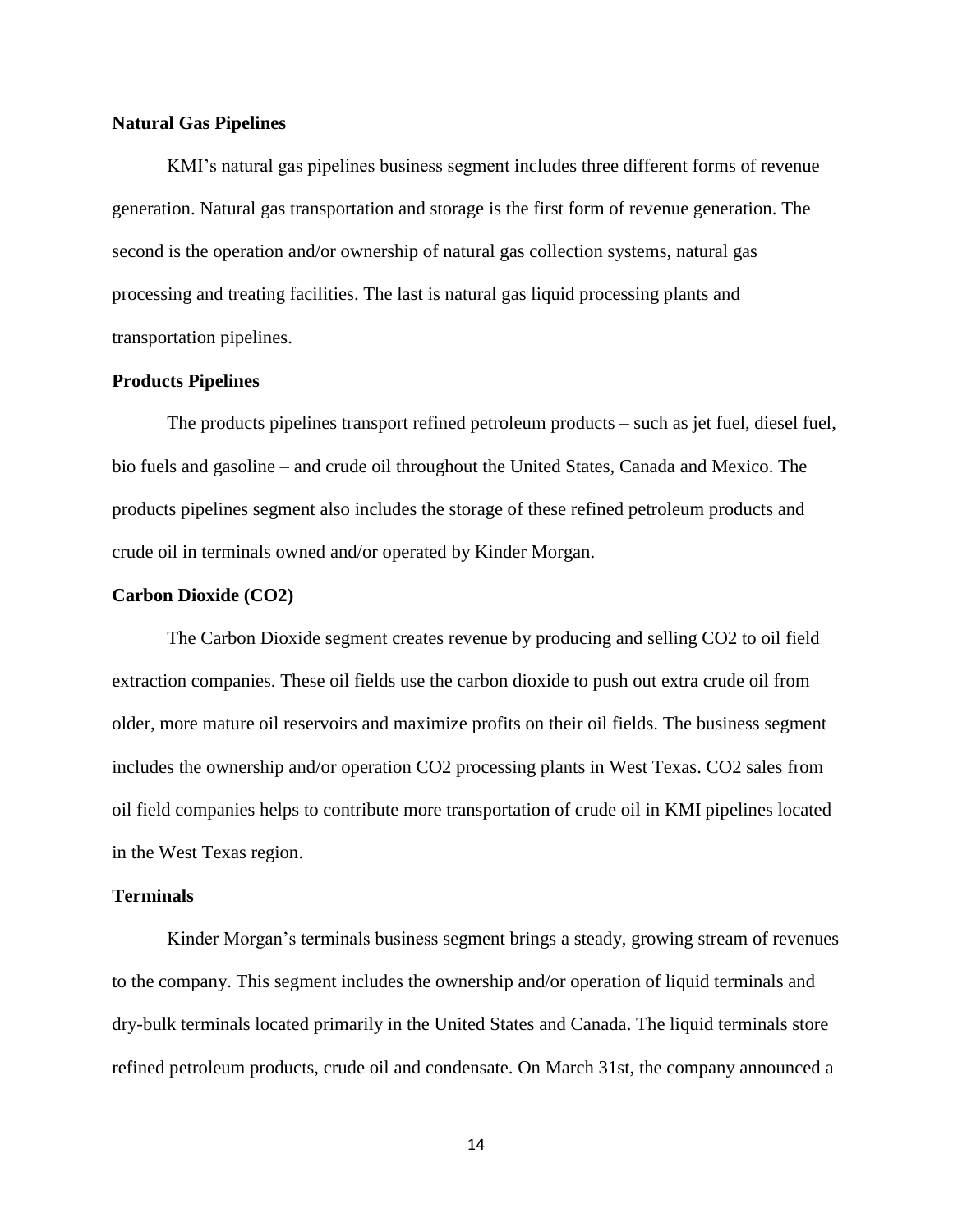### **Natural Gas Pipelines**

KMI's natural gas pipelines business segment includes three different forms of revenue generation. Natural gas transportation and storage is the first form of revenue generation. The second is the operation and/or ownership of natural gas collection systems, natural gas processing and treating facilities. The last is natural gas liquid processing plants and transportation pipelines.

### **Products Pipelines**

The products pipelines transport refined petroleum products – such as jet fuel, diesel fuel, bio fuels and gasoline – and crude oil throughout the United States, Canada and Mexico. The products pipelines segment also includes the storage of these refined petroleum products and crude oil in terminals owned and/or operated by Kinder Morgan.

### **Carbon Dioxide (CO2)**

The Carbon Dioxide segment creates revenue by producing and selling CO2 to oil field extraction companies. These oil fields use the carbon dioxide to push out extra crude oil from older, more mature oil reservoirs and maximize profits on their oil fields. The business segment includes the ownership and/or operation CO2 processing plants in West Texas. CO2 sales from oil field companies helps to contribute more transportation of crude oil in KMI pipelines located in the West Texas region.

#### **Terminals**

Kinder Morgan's terminals business segment brings a steady, growing stream of revenues to the company. This segment includes the ownership and/or operation of liquid terminals and dry-bulk terminals located primarily in the United States and Canada. The liquid terminals store refined petroleum products, crude oil and condensate. On March 31st, the company announced a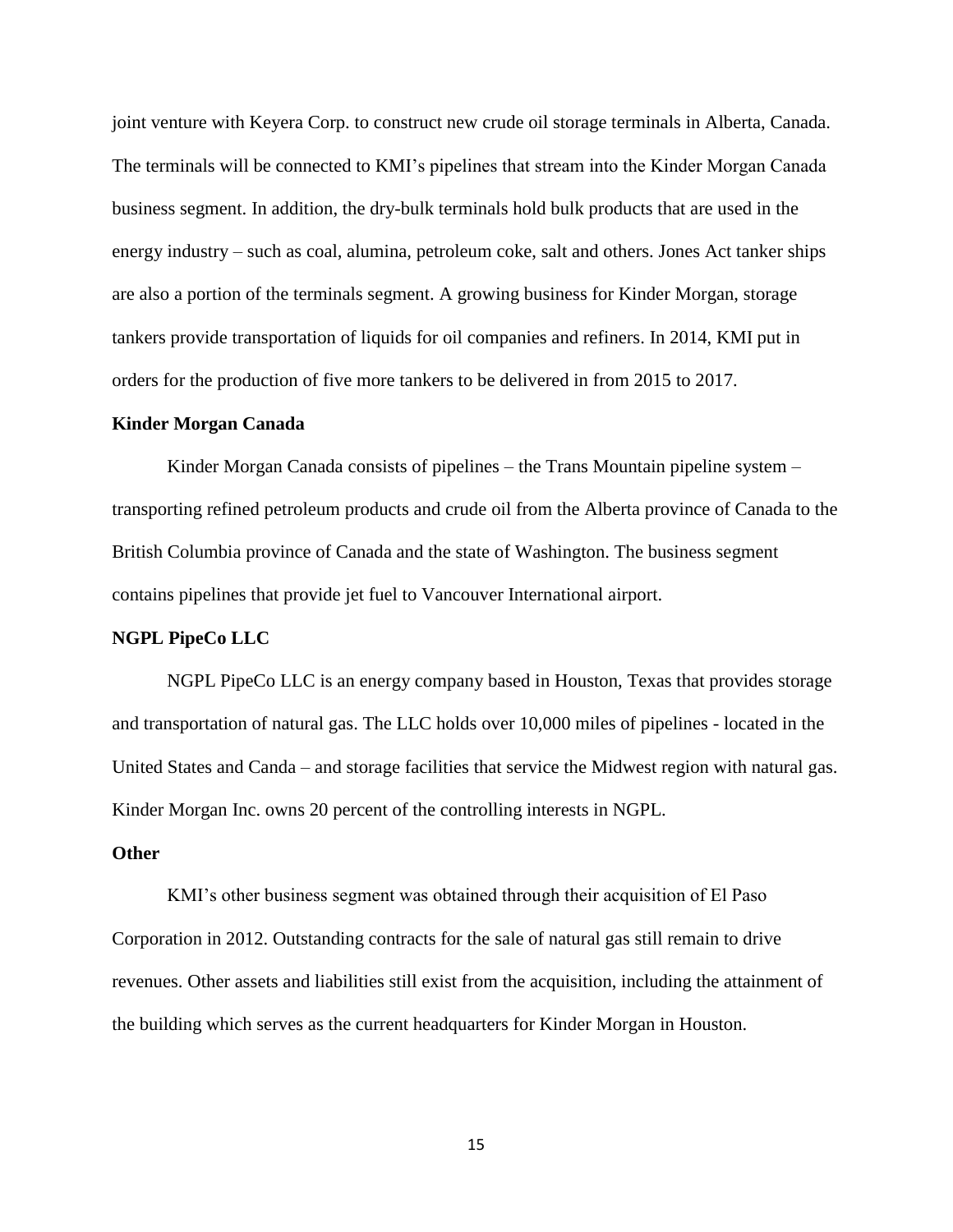joint venture with Keyera Corp. to construct new crude oil storage terminals in Alberta, Canada. The terminals will be connected to KMI's pipelines that stream into the Kinder Morgan Canada business segment. In addition, the dry-bulk terminals hold bulk products that are used in the energy industry – such as coal, alumina, petroleum coke, salt and others. Jones Act tanker ships are also a portion of the terminals segment. A growing business for Kinder Morgan, storage tankers provide transportation of liquids for oil companies and refiners. In 2014, KMI put in orders for the production of five more tankers to be delivered in from 2015 to 2017.

#### **Kinder Morgan Canada**

Kinder Morgan Canada consists of pipelines – the Trans Mountain pipeline system – transporting refined petroleum products and crude oil from the Alberta province of Canada to the British Columbia province of Canada and the state of Washington. The business segment contains pipelines that provide jet fuel to Vancouver International airport.

### **NGPL PipeCo LLC**

NGPL PipeCo LLC is an energy company based in Houston, Texas that provides storage and transportation of natural gas. The LLC holds over 10,000 miles of pipelines - located in the United States and Canda – and storage facilities that service the Midwest region with natural gas. Kinder Morgan Inc. owns 20 percent of the controlling interests in NGPL.

### **Other**

KMI's other business segment was obtained through their acquisition of El Paso Corporation in 2012. Outstanding contracts for the sale of natural gas still remain to drive revenues. Other assets and liabilities still exist from the acquisition, including the attainment of the building which serves as the current headquarters for Kinder Morgan in Houston.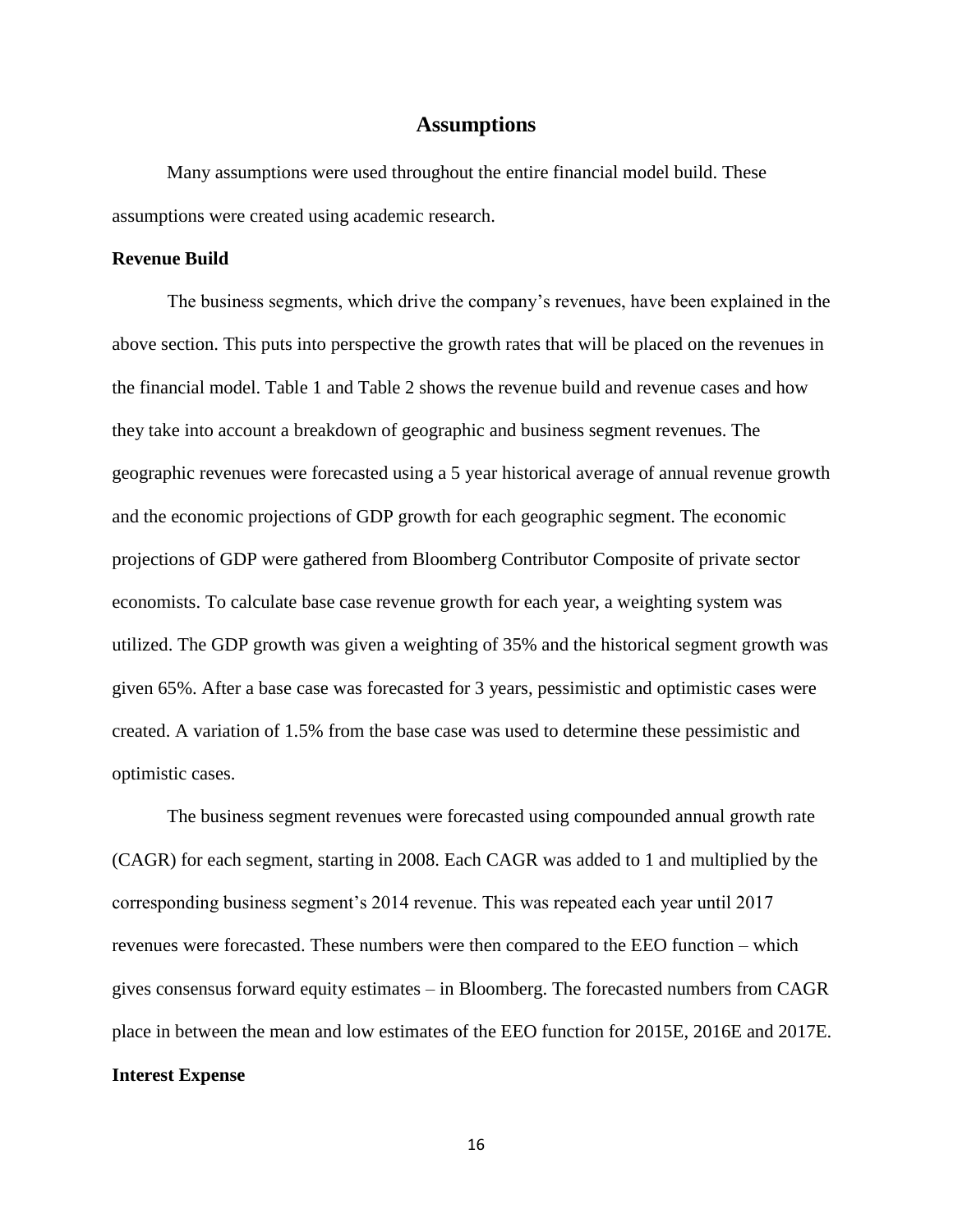### **Assumptions**

<span id="page-20-0"></span>Many assumptions were used throughout the entire financial model build. These assumptions were created using academic research.

### **Revenue Build**

The business segments, which drive the company's revenues, have been explained in the above section. This puts into perspective the growth rates that will be placed on the revenues in the financial model. Table 1 and Table 2 shows the revenue build and revenue cases and how they take into account a breakdown of geographic and business segment revenues. The geographic revenues were forecasted using a 5 year historical average of annual revenue growth and the economic projections of GDP growth for each geographic segment. The economic projections of GDP were gathered from Bloomberg Contributor Composite of private sector economists. To calculate base case revenue growth for each year, a weighting system was utilized. The GDP growth was given a weighting of 35% and the historical segment growth was given 65%. After a base case was forecasted for 3 years, pessimistic and optimistic cases were created. A variation of 1.5% from the base case was used to determine these pessimistic and optimistic cases.

The business segment revenues were forecasted using compounded annual growth rate (CAGR) for each segment, starting in 2008. Each CAGR was added to 1 and multiplied by the corresponding business segment's 2014 revenue. This was repeated each year until 2017 revenues were forecasted. These numbers were then compared to the EEO function – which gives consensus forward equity estimates – in Bloomberg. The forecasted numbers from CAGR place in between the mean and low estimates of the EEO function for 2015E, 2016E and 2017E. **Interest Expense**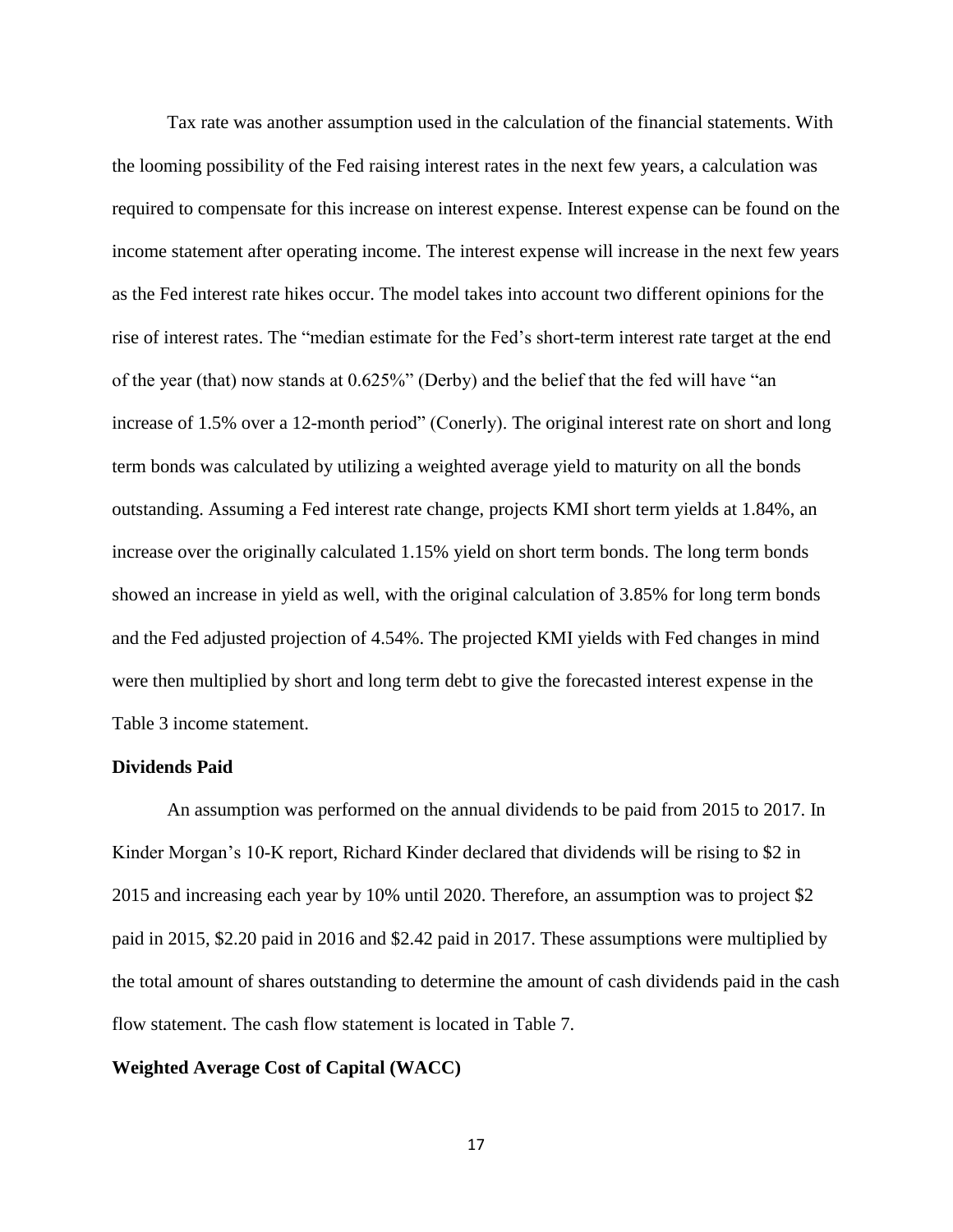Tax rate was another assumption used in the calculation of the financial statements. With the looming possibility of the Fed raising interest rates in the next few years, a calculation was required to compensate for this increase on interest expense. Interest expense can be found on the income statement after operating income. The interest expense will increase in the next few years as the Fed interest rate hikes occur. The model takes into account two different opinions for the rise of interest rates. The "median estimate for the Fed's short-term interest rate target at the end of the year (that) now stands at 0.625%" (Derby) and the belief that the fed will have "an increase of 1.5% over a 12-month period" (Conerly). The original interest rate on short and long term bonds was calculated by utilizing a weighted average yield to maturity on all the bonds outstanding. Assuming a Fed interest rate change, projects KMI short term yields at 1.84%, an increase over the originally calculated 1.15% yield on short term bonds. The long term bonds showed an increase in yield as well, with the original calculation of 3.85% for long term bonds and the Fed adjusted projection of 4.54%. The projected KMI yields with Fed changes in mind were then multiplied by short and long term debt to give the forecasted interest expense in the Table 3 income statement.

### **Dividends Paid**

An assumption was performed on the annual dividends to be paid from 2015 to 2017. In Kinder Morgan's 10-K report, Richard Kinder declared that dividends will be rising to \$2 in 2015 and increasing each year by 10% until 2020. Therefore, an assumption was to project \$2 paid in 2015, \$2.20 paid in 2016 and \$2.42 paid in 2017. These assumptions were multiplied by the total amount of shares outstanding to determine the amount of cash dividends paid in the cash flow statement. The cash flow statement is located in Table 7.

### **Weighted Average Cost of Capital (WACC)**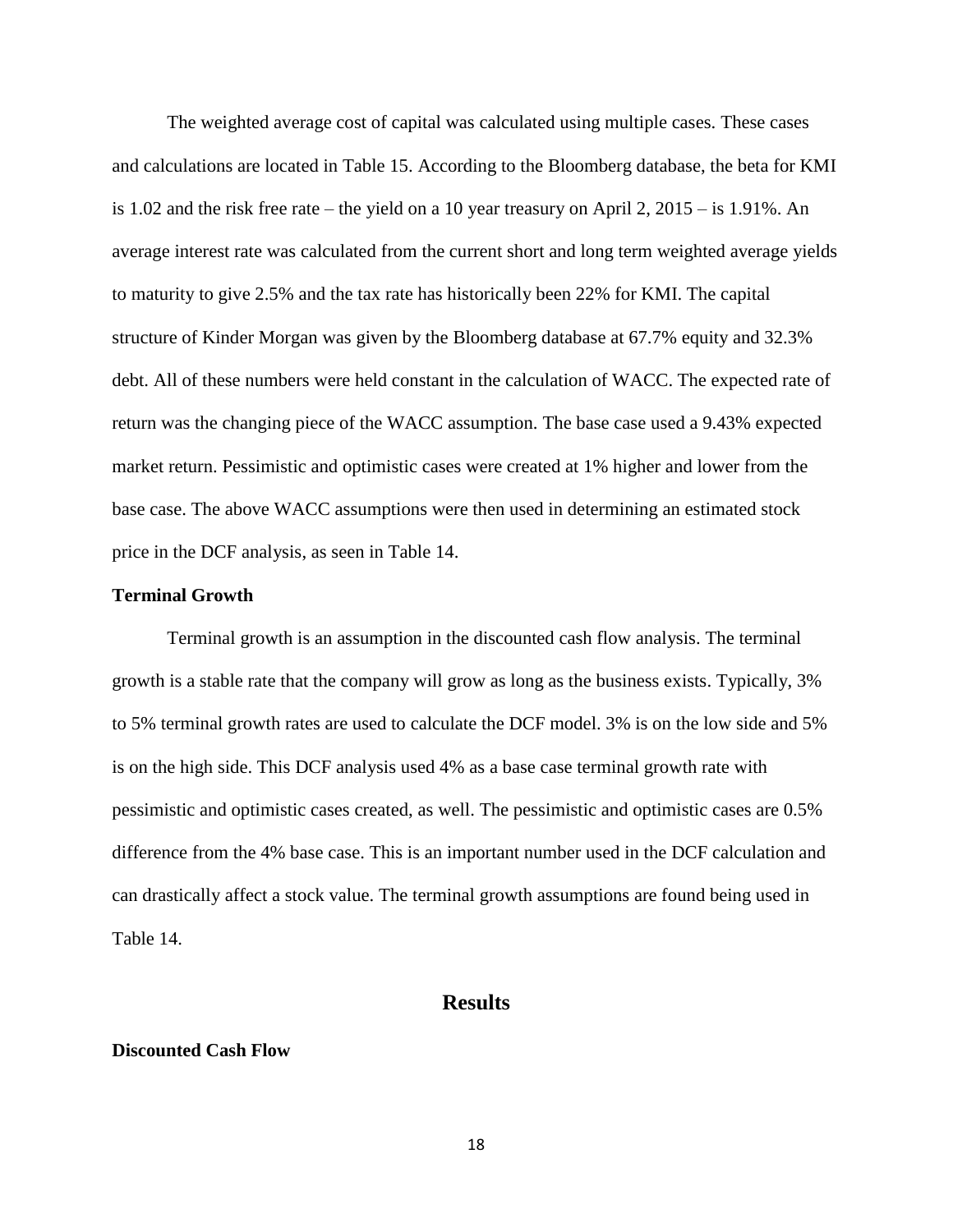The weighted average cost of capital was calculated using multiple cases. These cases and calculations are located in Table 15. According to the Bloomberg database, the beta for KMI is 1.02 and the risk free rate – the yield on a 10 year treasury on April 2, 2015 – is 1.91%. An average interest rate was calculated from the current short and long term weighted average yields to maturity to give 2.5% and the tax rate has historically been 22% for KMI. The capital structure of Kinder Morgan was given by the Bloomberg database at 67.7% equity and 32.3% debt. All of these numbers were held constant in the calculation of WACC. The expected rate of return was the changing piece of the WACC assumption. The base case used a 9.43% expected market return. Pessimistic and optimistic cases were created at 1% higher and lower from the base case. The above WACC assumptions were then used in determining an estimated stock price in the DCF analysis, as seen in Table 14.

### **Terminal Growth**

Terminal growth is an assumption in the discounted cash flow analysis. The terminal growth is a stable rate that the company will grow as long as the business exists. Typically, 3% to 5% terminal growth rates are used to calculate the DCF model. 3% is on the low side and 5% is on the high side. This DCF analysis used 4% as a base case terminal growth rate with pessimistic and optimistic cases created, as well. The pessimistic and optimistic cases are 0.5% difference from the 4% base case. This is an important number used in the DCF calculation and can drastically affect a stock value. The terminal growth assumptions are found being used in Table 14.

### **Results**

### <span id="page-22-0"></span>**Discounted Cash Flow**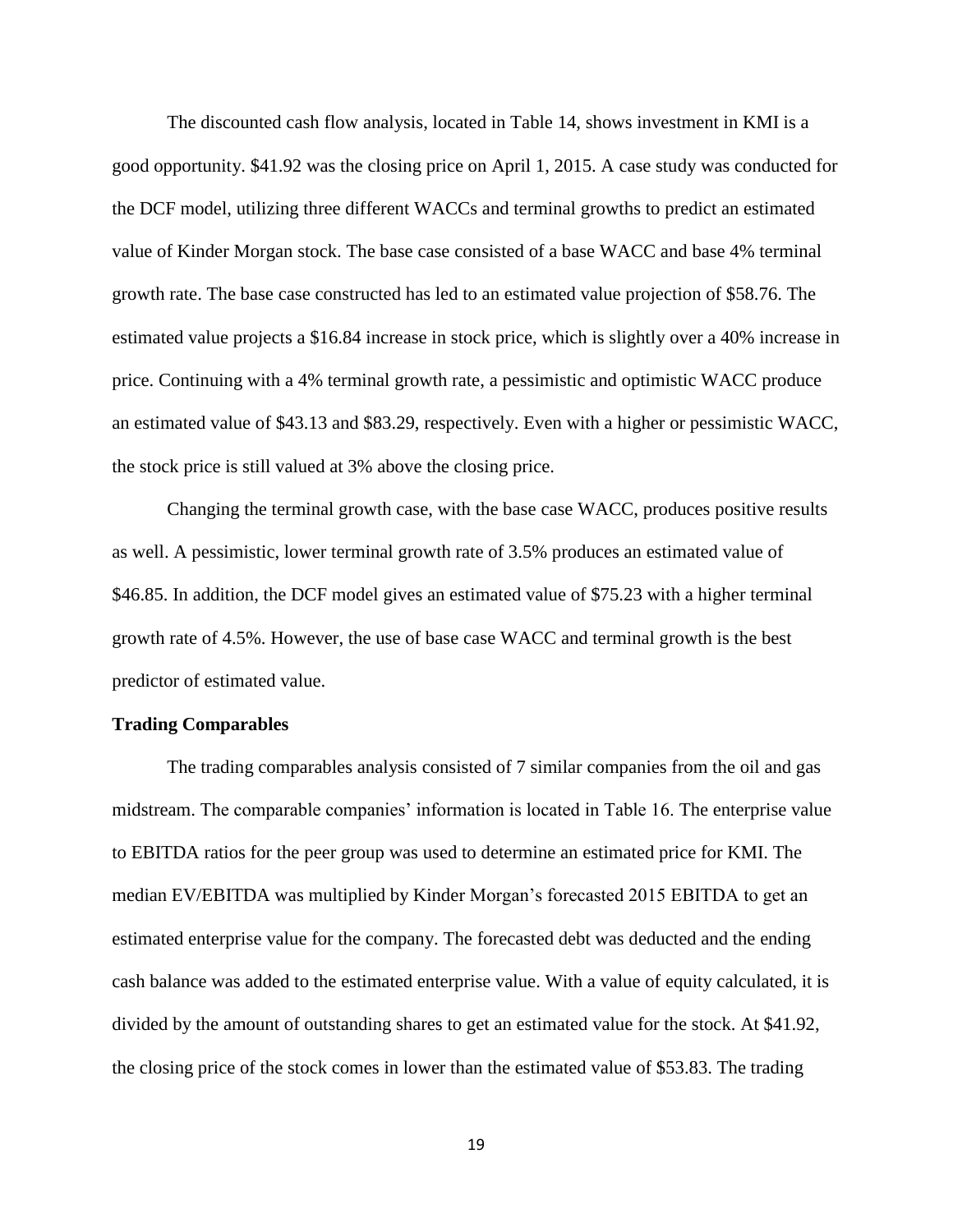The discounted cash flow analysis, located in Table 14, shows investment in KMI is a good opportunity. \$41.92 was the closing price on April 1, 2015. A case study was conducted for the DCF model, utilizing three different WACCs and terminal growths to predict an estimated value of Kinder Morgan stock. The base case consisted of a base WACC and base 4% terminal growth rate. The base case constructed has led to an estimated value projection of \$58.76. The estimated value projects a \$16.84 increase in stock price, which is slightly over a 40% increase in price. Continuing with a 4% terminal growth rate, a pessimistic and optimistic WACC produce an estimated value of \$43.13 and \$83.29, respectively. Even with a higher or pessimistic WACC, the stock price is still valued at 3% above the closing price.

Changing the terminal growth case, with the base case WACC, produces positive results as well. A pessimistic, lower terminal growth rate of 3.5% produces an estimated value of \$46.85. In addition, the DCF model gives an estimated value of \$75.23 with a higher terminal growth rate of 4.5%. However, the use of base case WACC and terminal growth is the best predictor of estimated value.

### **Trading Comparables**

The trading comparables analysis consisted of 7 similar companies from the oil and gas midstream. The comparable companies' information is located in Table 16. The enterprise value to EBITDA ratios for the peer group was used to determine an estimated price for KMI. The median EV/EBITDA was multiplied by Kinder Morgan's forecasted 2015 EBITDA to get an estimated enterprise value for the company. The forecasted debt was deducted and the ending cash balance was added to the estimated enterprise value. With a value of equity calculated, it is divided by the amount of outstanding shares to get an estimated value for the stock. At \$41.92, the closing price of the stock comes in lower than the estimated value of \$53.83. The trading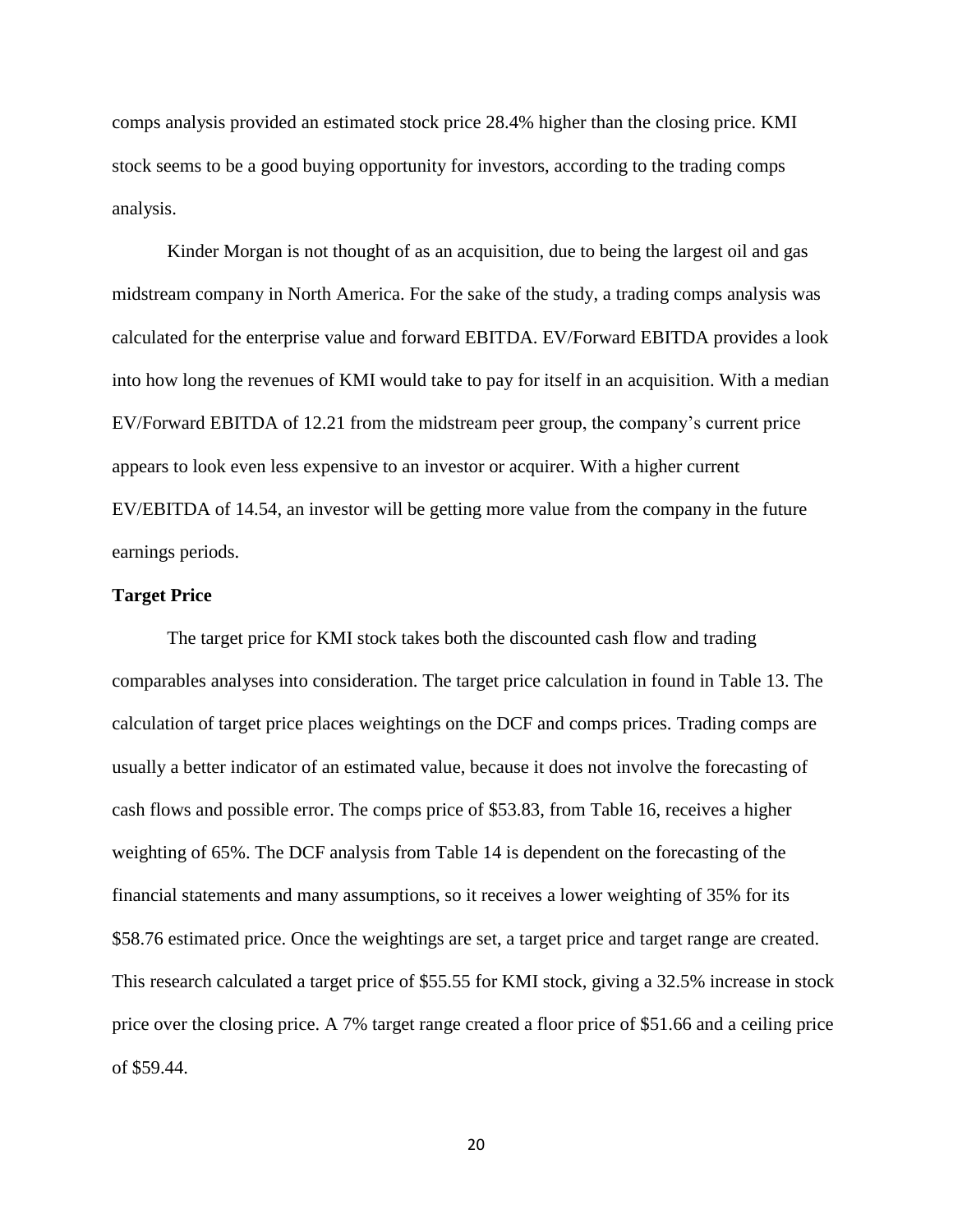comps analysis provided an estimated stock price 28.4% higher than the closing price. KMI stock seems to be a good buying opportunity for investors, according to the trading comps analysis.

Kinder Morgan is not thought of as an acquisition, due to being the largest oil and gas midstream company in North America. For the sake of the study, a trading comps analysis was calculated for the enterprise value and forward EBITDA. EV/Forward EBITDA provides a look into how long the revenues of KMI would take to pay for itself in an acquisition. With a median EV/Forward EBITDA of 12.21 from the midstream peer group, the company's current price appears to look even less expensive to an investor or acquirer. With a higher current EV/EBITDA of 14.54, an investor will be getting more value from the company in the future earnings periods.

### **Target Price**

The target price for KMI stock takes both the discounted cash flow and trading comparables analyses into consideration. The target price calculation in found in Table 13. The calculation of target price places weightings on the DCF and comps prices. Trading comps are usually a better indicator of an estimated value, because it does not involve the forecasting of cash flows and possible error. The comps price of \$53.83, from Table 16, receives a higher weighting of 65%. The DCF analysis from Table 14 is dependent on the forecasting of the financial statements and many assumptions, so it receives a lower weighting of 35% for its \$58.76 estimated price. Once the weightings are set, a target price and target range are created. This research calculated a target price of \$55.55 for KMI stock, giving a 32.5% increase in stock price over the closing price. A 7% target range created a floor price of \$51.66 and a ceiling price of \$59.44.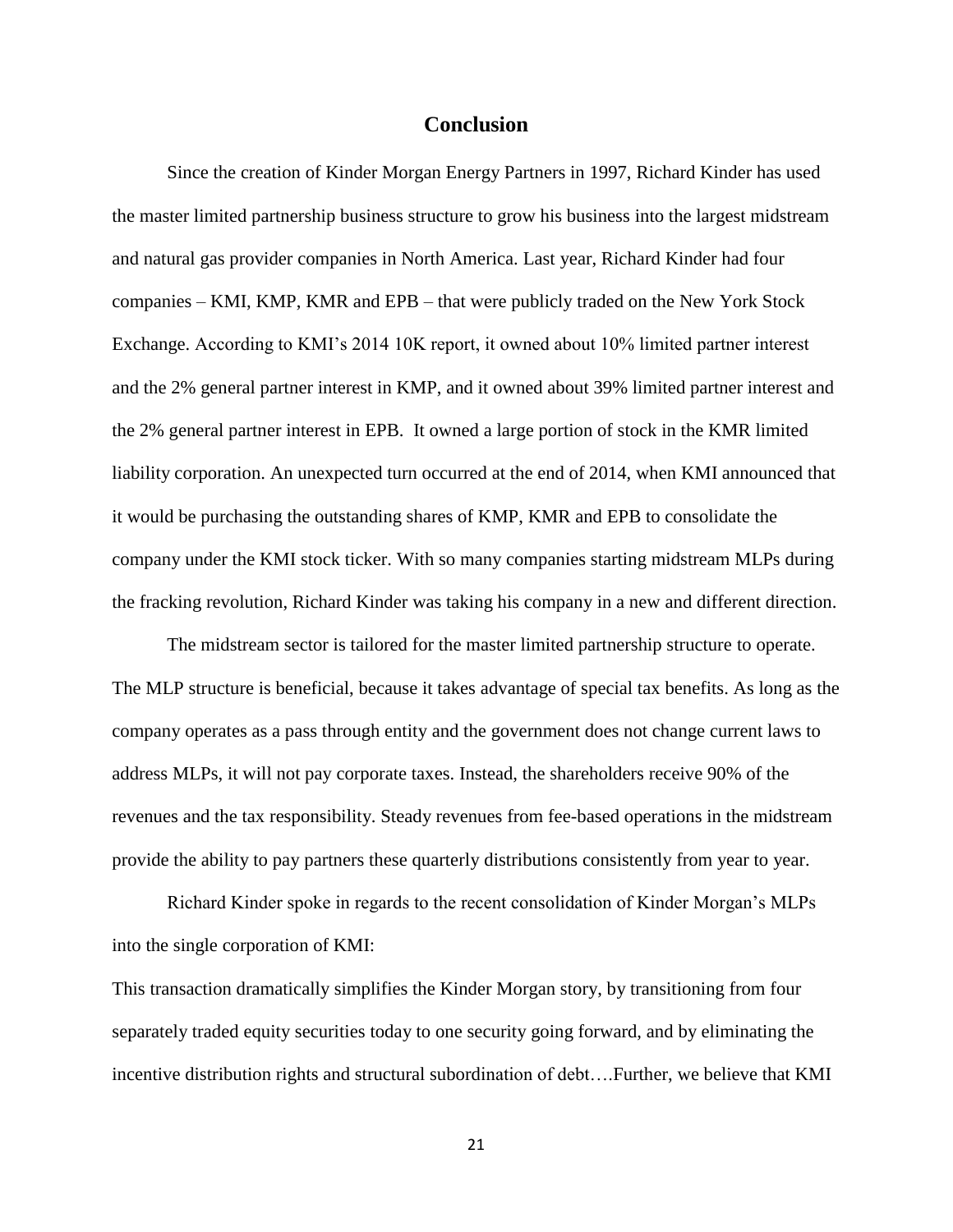### **Conclusion**

<span id="page-25-0"></span>Since the creation of Kinder Morgan Energy Partners in 1997, Richard Kinder has used the master limited partnership business structure to grow his business into the largest midstream and natural gas provider companies in North America. Last year, Richard Kinder had four companies – KMI, KMP, KMR and EPB – that were publicly traded on the New York Stock Exchange. According to KMI's 2014 10K report, it owned about 10% limited partner interest and the 2% general partner interest in KMP, and it owned about 39% limited partner interest and the 2% general partner interest in EPB. It owned a large portion of stock in the KMR limited liability corporation. An unexpected turn occurred at the end of 2014, when KMI announced that it would be purchasing the outstanding shares of KMP, KMR and EPB to consolidate the company under the KMI stock ticker. With so many companies starting midstream MLPs during the fracking revolution, Richard Kinder was taking his company in a new and different direction.

The midstream sector is tailored for the master limited partnership structure to operate. The MLP structure is beneficial, because it takes advantage of special tax benefits. As long as the company operates as a pass through entity and the government does not change current laws to address MLPs, it will not pay corporate taxes. Instead, the shareholders receive 90% of the revenues and the tax responsibility. Steady revenues from fee-based operations in the midstream provide the ability to pay partners these quarterly distributions consistently from year to year.

Richard Kinder spoke in regards to the recent consolidation of Kinder Morgan's MLPs into the single corporation of KMI:

This transaction dramatically simplifies the Kinder Morgan story, by transitioning from four separately traded equity securities today to one security going forward, and by eliminating the incentive distribution rights and structural subordination of debt….Further, we believe that KMI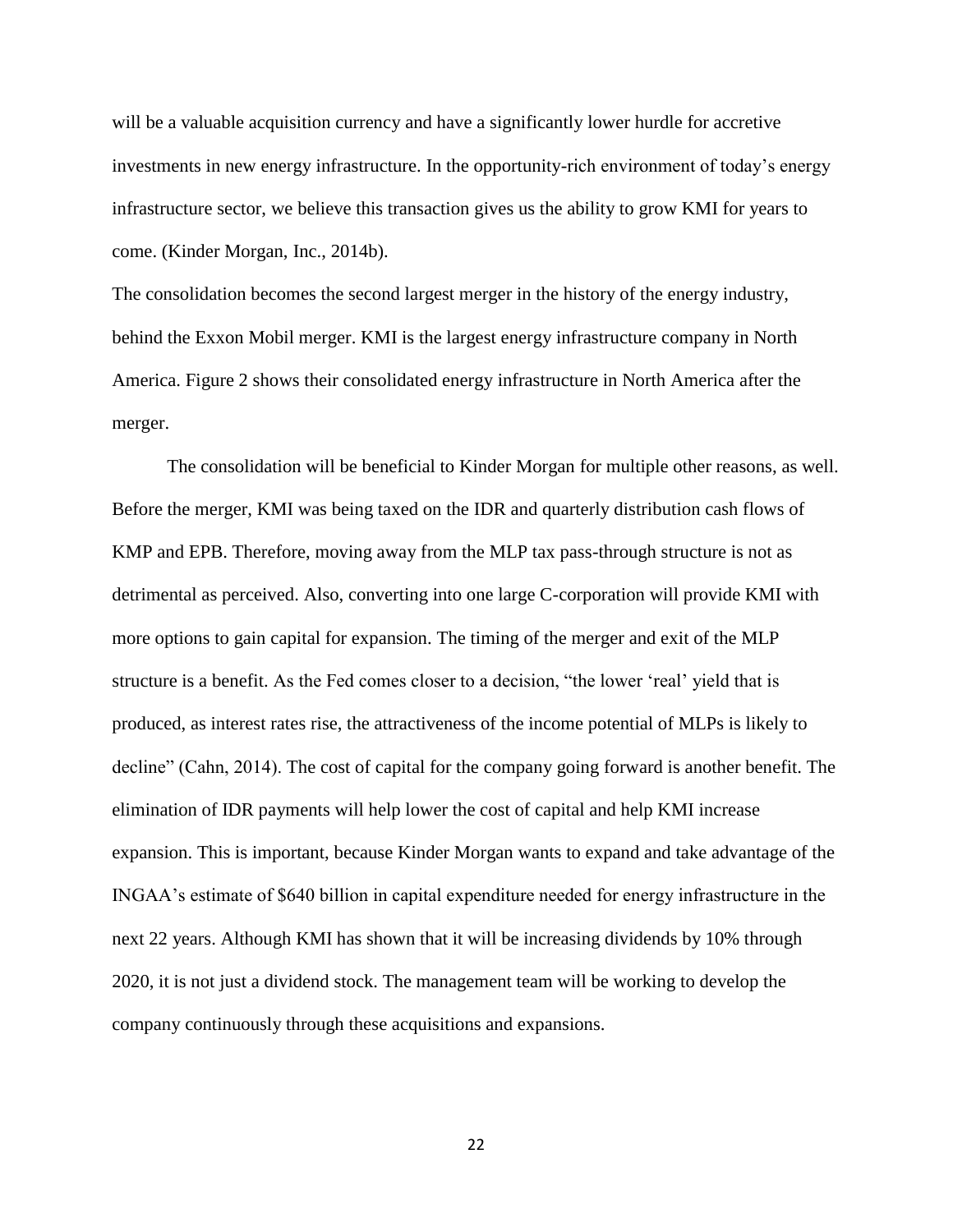will be a valuable acquisition currency and have a significantly lower hurdle for accretive investments in new energy infrastructure. In the opportunity-rich environment of today's energy infrastructure sector, we believe this transaction gives us the ability to grow KMI for years to come. (Kinder Morgan, Inc., 2014b).

The consolidation becomes the second largest merger in the history of the energy industry, behind the Exxon Mobil merger. KMI is the largest energy infrastructure company in North America. Figure 2 shows their consolidated energy infrastructure in North America after the merger.

The consolidation will be beneficial to Kinder Morgan for multiple other reasons, as well. Before the merger, KMI was being taxed on the IDR and quarterly distribution cash flows of KMP and EPB. Therefore, moving away from the MLP tax pass-through structure is not as detrimental as perceived. Also, converting into one large C-corporation will provide KMI with more options to gain capital for expansion. The timing of the merger and exit of the MLP structure is a benefit. As the Fed comes closer to a decision, "the lower 'real' yield that is produced, as interest rates rise, the attractiveness of the income potential of MLPs is likely to decline" (Cahn, 2014). The cost of capital for the company going forward is another benefit. The elimination of IDR payments will help lower the cost of capital and help KMI increase expansion. This is important, because Kinder Morgan wants to expand and take advantage of the INGAA's estimate of \$640 billion in capital expenditure needed for energy infrastructure in the next 22 years. Although KMI has shown that it will be increasing dividends by 10% through 2020, it is not just a dividend stock. The management team will be working to develop the company continuously through these acquisitions and expansions.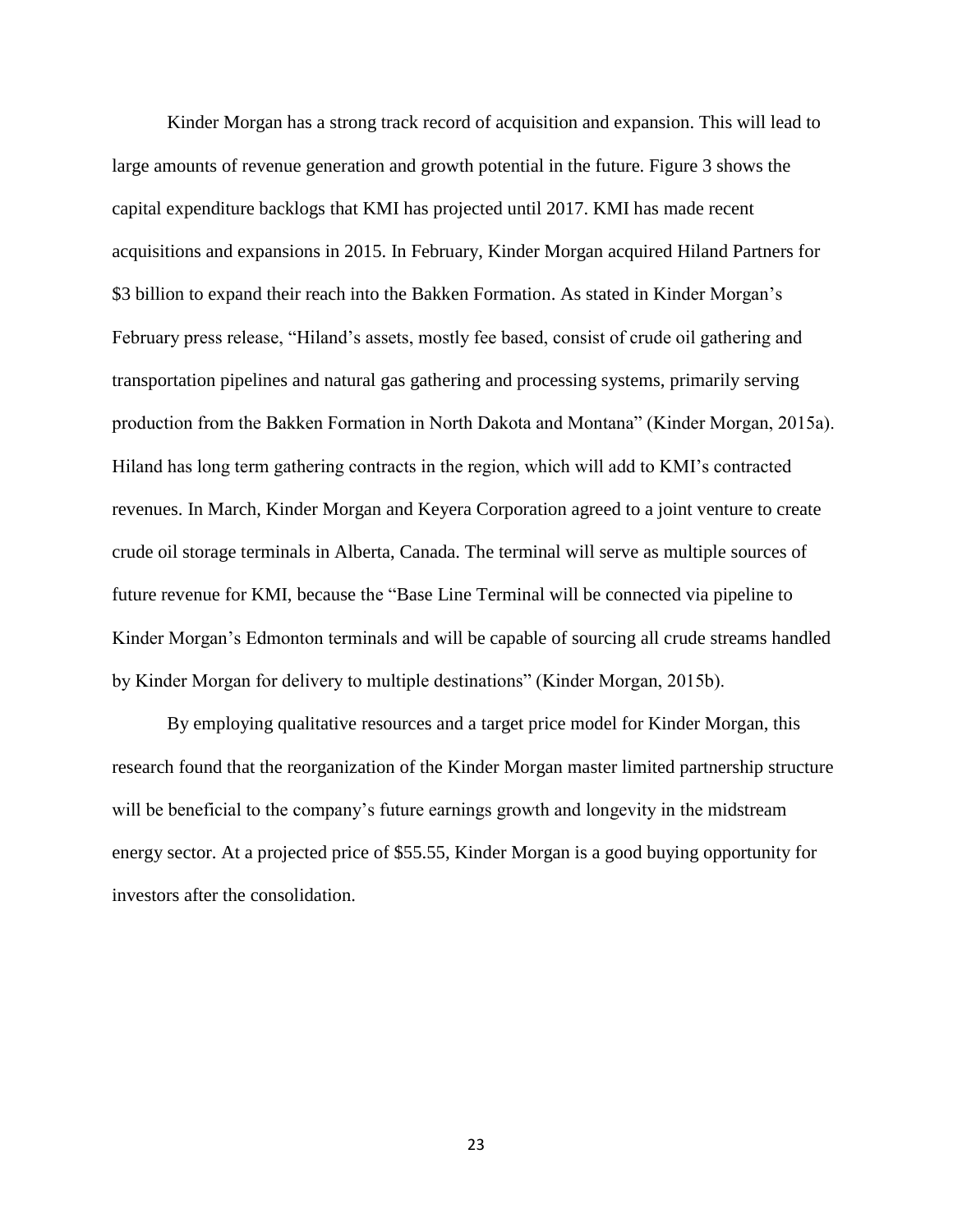Kinder Morgan has a strong track record of acquisition and expansion. This will lead to large amounts of revenue generation and growth potential in the future. Figure 3 shows the capital expenditure backlogs that KMI has projected until 2017. KMI has made recent acquisitions and expansions in 2015. In February, Kinder Morgan acquired Hiland Partners for \$3 billion to expand their reach into the Bakken Formation. As stated in Kinder Morgan's February press release, "Hiland's assets, mostly fee based, consist of crude oil gathering and transportation pipelines and natural gas gathering and processing systems, primarily serving production from the Bakken Formation in North Dakota and Montana" (Kinder Morgan, 2015a). Hiland has long term gathering contracts in the region, which will add to KMI's contracted revenues. In March, Kinder Morgan and Keyera Corporation agreed to a joint venture to create crude oil storage terminals in Alberta, Canada. The terminal will serve as multiple sources of future revenue for KMI, because the "Base Line Terminal will be connected via pipeline to Kinder Morgan's Edmonton terminals and will be capable of sourcing all crude streams handled by Kinder Morgan for delivery to multiple destinations" (Kinder Morgan, 2015b).

By employing qualitative resources and a target price model for Kinder Morgan, this research found that the reorganization of the Kinder Morgan master limited partnership structure will be beneficial to the company's future earnings growth and longevity in the midstream energy sector. At a projected price of \$55.55, Kinder Morgan is a good buying opportunity for investors after the consolidation.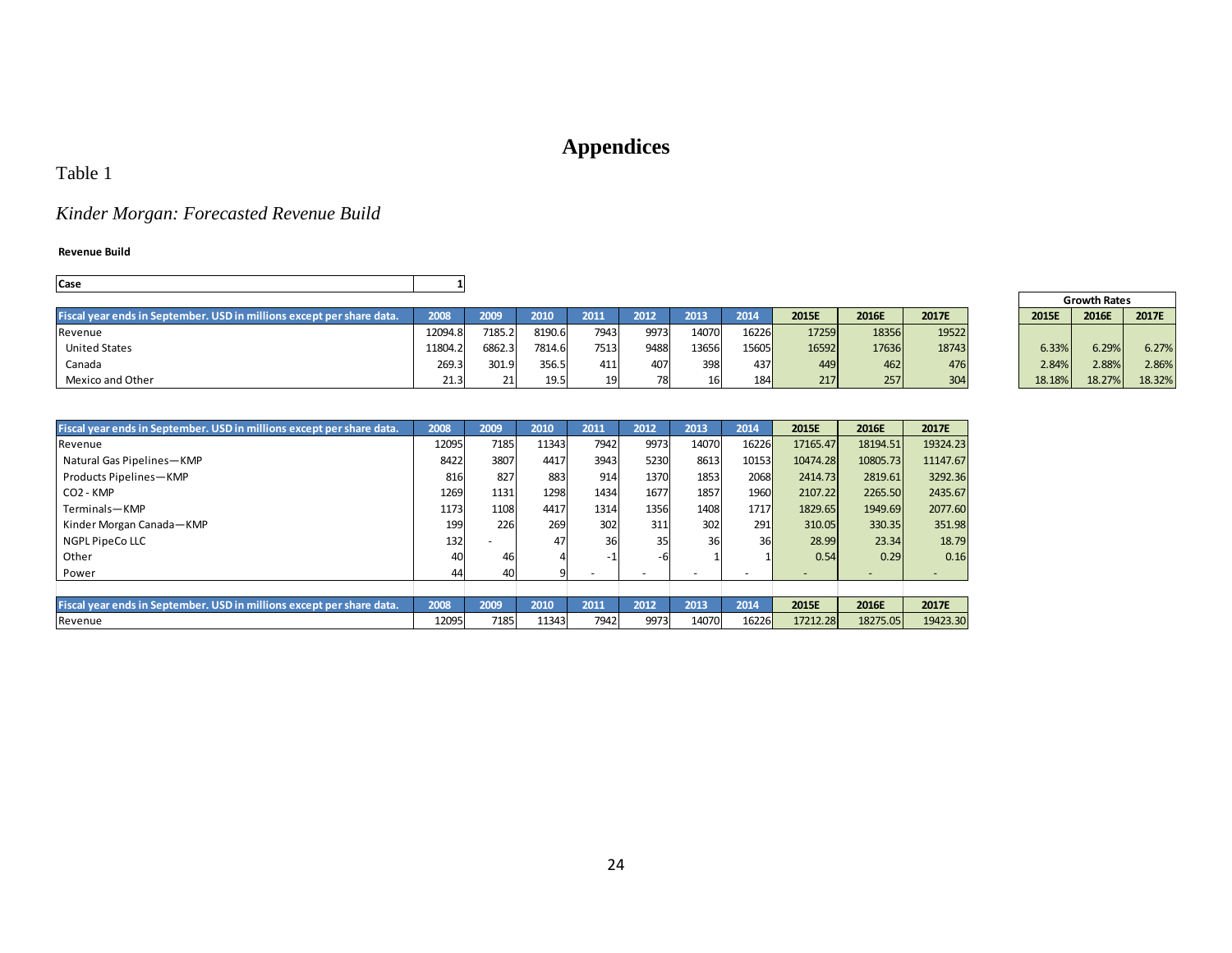# **Appendices**

## Table 1

# *Kinder Morgan: Forecasted Revenue Build*

#### **Revenue Build**

| <b>Case</b>                                                           |         |        |         |      |       |       |       |       |       |       |        |                     |        |
|-----------------------------------------------------------------------|---------|--------|---------|------|-------|-------|-------|-------|-------|-------|--------|---------------------|--------|
|                                                                       |         |        |         |      |       |       |       |       |       |       |        | <b>Growth Rates</b> |        |
| Fiscal year ends in September. USD in millions except per share data. | 2008    | 2009   | 2010    | 2011 | 2012  | 2013  | 2014  | 2015E | 2016E | 2017E | 2015E  | 2016E               | 2017E  |
| Revenue                                                               | 12094.8 | 7185.2 | 8190.61 | 7943 | 9973. | 14070 | 16226 | 17259 | 18356 | 19522 |        |                     |        |
| <b>United States</b>                                                  | 11804.2 | 6862.3 | 7814.6  | 7513 | 9488  | 13656 | 15605 | 16592 | 17636 | 18743 | 6.33%  | 6.29%               | 6.27%  |
| Canada                                                                | 269.3   | 301.9  | 356.5   | 411  | 407   | 398   | 437   | 449   | 462   | 476   | 2.84%  | 2.88%               | 2.86%  |
| Mexico and Other                                                      | 21.3    |        | 19.5    |      |       |       | 184   | 217   | 257   | 304   | 18.18% | 18.27%              | 18.32% |

<span id="page-28-0"></span>

| Fiscal year ends in September. USD in millions except per share data. | 2008  | 2009 | 2010  | 2011 | 2012                     | 2013                     | 2014  | 2015E    | 2016E    | 2017E    |
|-----------------------------------------------------------------------|-------|------|-------|------|--------------------------|--------------------------|-------|----------|----------|----------|
| Revenue                                                               | 12095 | 7185 | 11343 | 7942 | 9973                     | 14070                    | 16226 | 17165.47 | 18194.51 | 19324.23 |
| Natural Gas Pipelines-KMP                                             | 8422  | 3807 | 4417  | 3943 | 5230                     | 8613                     | 10153 | 10474.28 | 10805.73 | 11147.67 |
| Products Pipelines-KMP                                                | 816   | 827  | 883   | 914  | 1370                     | 1853                     | 2068  | 2414.73  | 2819.61  | 3292.36  |
| CO <sub>2</sub> - KMP                                                 | 1269  | 1131 | 1298  | 1434 | 1677                     | 1857                     | 1960  | 2107.22  | 2265.50  | 2435.67  |
| Terminals-KMP                                                         | 1173  | 1108 | 4417  | 1314 | 1356                     | 1408                     | 1717  | 1829.65  | 1949.69  | 2077.60  |
| Kinder Morgan Canada-KMP                                              | 199   | 226  | 269   | 302  | 311                      | 302                      | 291   | 310.05   | 330.35   | 351.98   |
| NGPL PipeCo LLC                                                       | 132   |      | 47    | 36   | 35                       | 36                       | 36    | 28.99    | 23.34    | 18.79    |
| Other                                                                 | 40    | 46   |       |      |                          |                          |       | 0.54     | 0.29     | 0.16     |
| Power                                                                 | 44    | 40   |       |      | $\overline{\phantom{a}}$ | $\overline{\phantom{a}}$ |       | -        |          |          |
|                                                                       |       |      |       |      |                          |                          |       |          |          |          |
| Fiscal year ends in September. USD in millions except per share data. | 2008  | 2009 | 2010  | 2011 | 2012                     | 2013                     | 2014  | 2015E    | 2016E    | 2017E    |
| Revenue                                                               | 12095 | 7185 | 11343 | 7942 | 9973                     | 14070                    | 16226 | 17212.28 | 18275.05 | 19423.30 |

|        | <b>Growth Rates</b> |        |
|--------|---------------------|--------|
| 2015E  | 2017E               |        |
|        |                     |        |
| 6.33%  | 6.29%               | 6.27%  |
| 2.84%  | 2.88%               | 2.86%  |
| 18.18% | 18.27%              | 18.32% |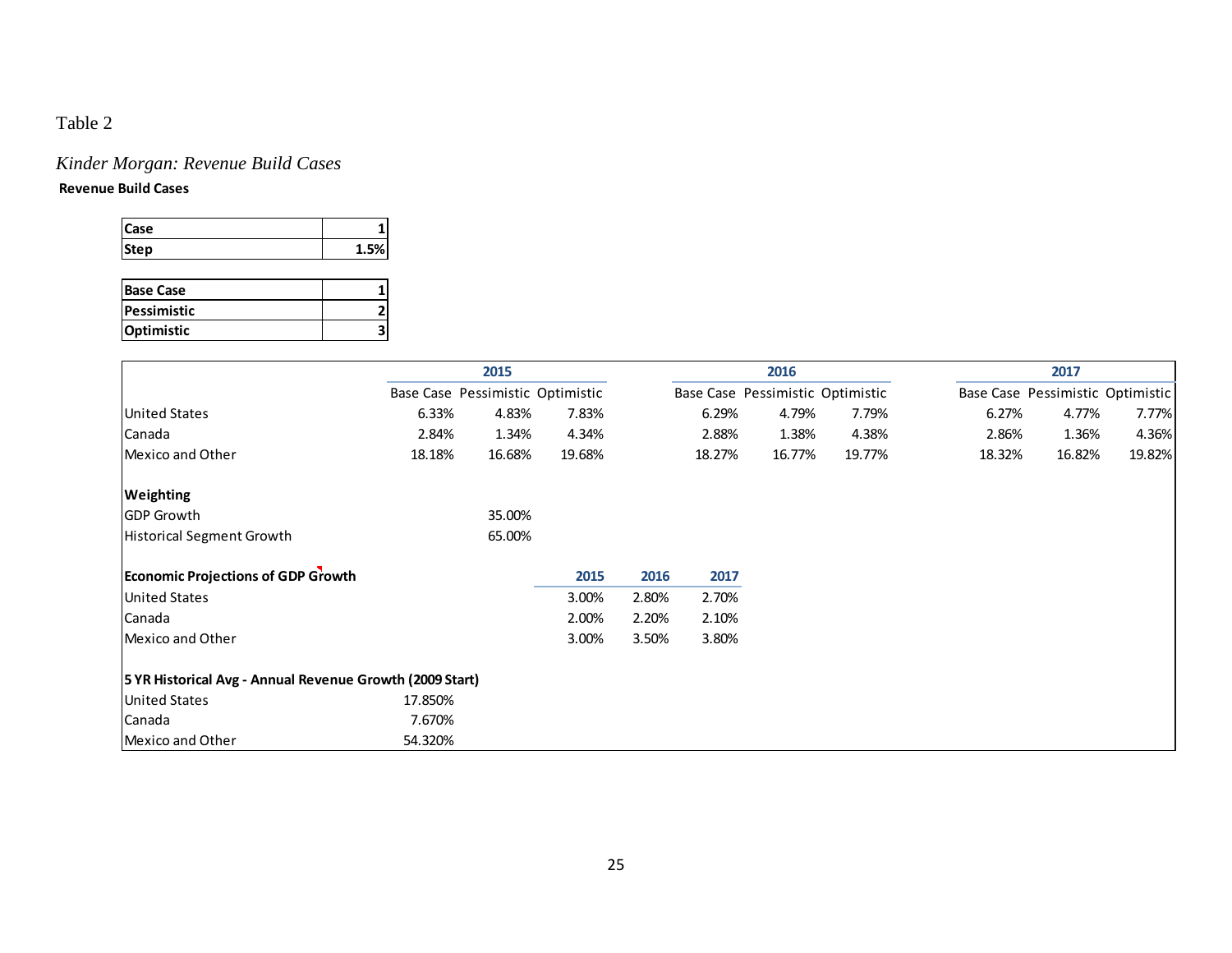# *Kinder Morgan: Revenue Build Cases*

### **Revenue Build Cases**

| Case |     |
|------|-----|
| Step | EV. |

| <b>Base Case</b> |  |
|------------------|--|
| Pessimistic      |  |
| Optimistic       |  |

|                                                          |                                  | 2015   |        |       |        | 2016                             |        |        | 2017                             |        |  |  |  |  |  |
|----------------------------------------------------------|----------------------------------|--------|--------|-------|--------|----------------------------------|--------|--------|----------------------------------|--------|--|--|--|--|--|
|                                                          | Base Case Pessimistic Optimistic |        |        |       |        | Base Case Pessimistic Optimistic |        |        | Base Case Pessimistic Optimistic |        |  |  |  |  |  |
| <b>United States</b>                                     | 6.33%                            | 4.83%  | 7.83%  |       | 6.29%  | 4.79%                            | 7.79%  | 6.27%  | 4.77%                            | 7.77%  |  |  |  |  |  |
| Canada                                                   | 2.84%                            | 1.34%  | 4.34%  |       | 2.88%  | 1.38%                            | 4.38%  | 2.86%  | 1.36%                            | 4.36%  |  |  |  |  |  |
| Mexico and Other                                         | 18.18%                           | 16.68% | 19.68% |       | 18.27% | 16.77%                           | 19.77% | 18.32% | 16.82%                           | 19.82% |  |  |  |  |  |
| Weighting                                                |                                  |        |        |       |        |                                  |        |        |                                  |        |  |  |  |  |  |
| <b>GDP Growth</b>                                        |                                  | 35.00% |        |       |        |                                  |        |        |                                  |        |  |  |  |  |  |
| Historical Segment Growth                                |                                  | 65.00% |        |       |        |                                  |        |        |                                  |        |  |  |  |  |  |
| <b>Economic Projections of GDP Growth</b>                |                                  |        | 2015   | 2016  | 2017   |                                  |        |        |                                  |        |  |  |  |  |  |
| <b>United States</b>                                     |                                  |        | 3.00%  | 2.80% | 2.70%  |                                  |        |        |                                  |        |  |  |  |  |  |
| Canada                                                   |                                  |        | 2.00%  | 2.20% | 2.10%  |                                  |        |        |                                  |        |  |  |  |  |  |
| Mexico and Other                                         |                                  |        | 3.00%  | 3.50% | 3.80%  |                                  |        |        |                                  |        |  |  |  |  |  |
| 5 YR Historical Avg - Annual Revenue Growth (2009 Start) |                                  |        |        |       |        |                                  |        |        |                                  |        |  |  |  |  |  |
| <b>United States</b>                                     | 17.850%                          |        |        |       |        |                                  |        |        |                                  |        |  |  |  |  |  |
| Canada                                                   | 7.670%                           |        |        |       |        |                                  |        |        |                                  |        |  |  |  |  |  |
| Mexico and Other                                         | 54.320%                          |        |        |       |        |                                  |        |        |                                  |        |  |  |  |  |  |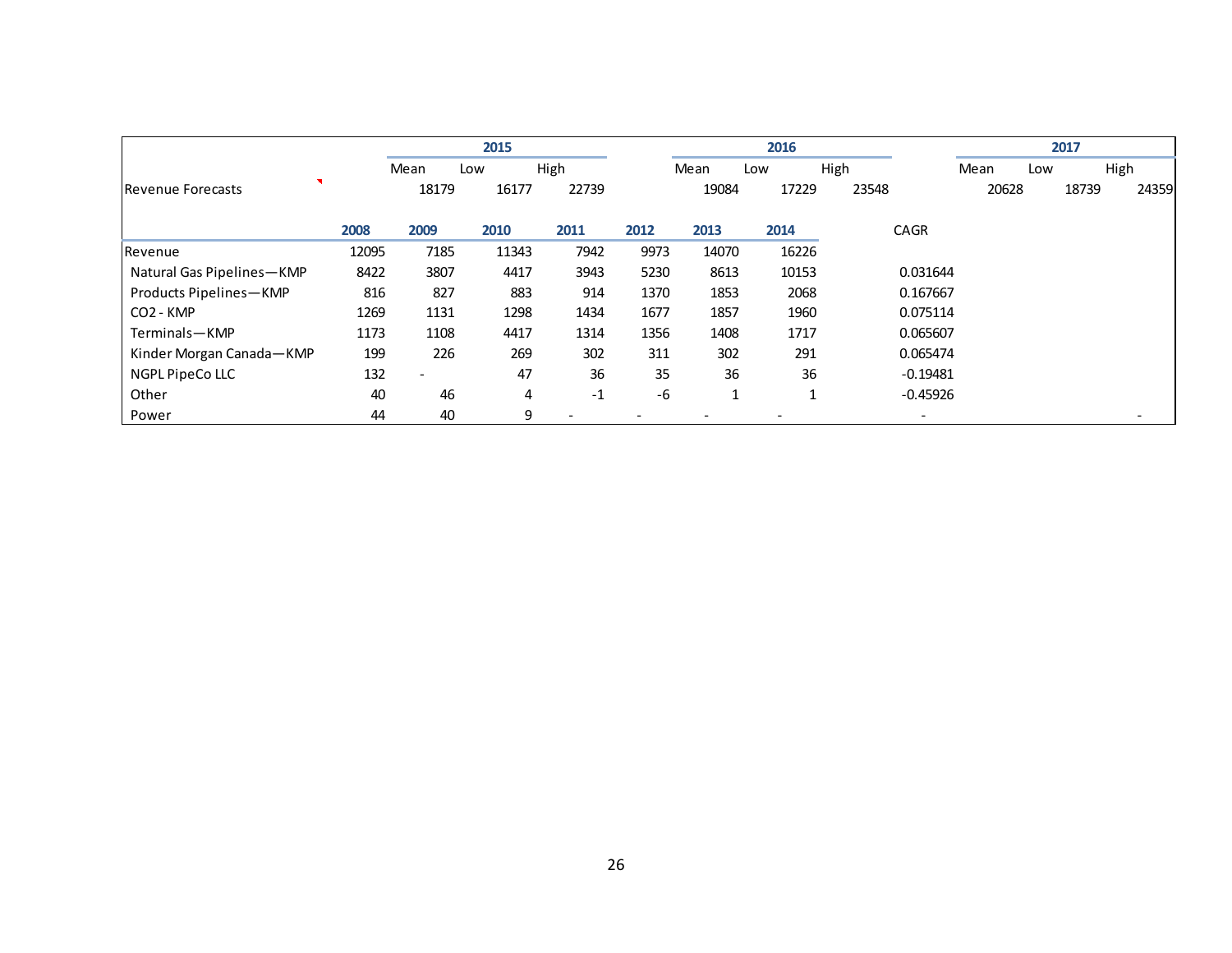|                           |       |                   | 2015  |                          |      |              | 2016  |       |                          |       |     | 2017  |       |
|---------------------------|-------|-------------------|-------|--------------------------|------|--------------|-------|-------|--------------------------|-------|-----|-------|-------|
|                           |       | Mean              | Low   | High                     |      | Mean         | Low   | High  |                          | Mean  | Low |       | High  |
| Revenue Forecasts         |       | 18179             | 16177 | 22739                    |      | 19084        | 17229 | 23548 |                          | 20628 |     | 18739 | 24359 |
|                           | 2008  | 2009              | 2010  | 2011                     | 2012 | 2013         | 2014  |       | <b>CAGR</b>              |       |     |       |       |
| Revenue                   | 12095 | 7185              | 11343 | 7942                     | 9973 | 14070        | 16226 |       |                          |       |     |       |       |
| Natural Gas Pipelines-KMP | 8422  | 3807              | 4417  | 3943                     | 5230 | 8613         | 10153 |       | 0.031644                 |       |     |       |       |
| Products Pipelines-KMP    | 816   | 827               | 883   | 914                      | 1370 | 1853         | 2068  |       | 0.167667                 |       |     |       |       |
| CO <sub>2</sub> - KMP     | 1269  | 1131              | 1298  | 1434                     | 1677 | 1857         | 1960  |       | 0.075114                 |       |     |       |       |
| Terminals-KMP             | 1173  | 1108              | 4417  | 1314                     | 1356 | 1408         | 1717  |       | 0.065607                 |       |     |       |       |
| Kinder Morgan Canada-KMP  | 199   | 226               | 269   | 302                      | 311  | 302          | 291   |       | 0.065474                 |       |     |       |       |
| NGPL PipeCo LLC           | 132   | $\qquad \qquad -$ | 47    | 36                       | 35   | 36           | 36    |       | $-0.19481$               |       |     |       |       |
| Other                     | 40    | 46                | 4     | $-1$                     | -6   | $\mathbf{1}$ | и     |       | $-0.45926$               |       |     |       |       |
| Power                     | 44    | 40                | 9     | $\overline{\phantom{0}}$ |      |              |       |       | $\overline{\phantom{a}}$ |       |     |       |       |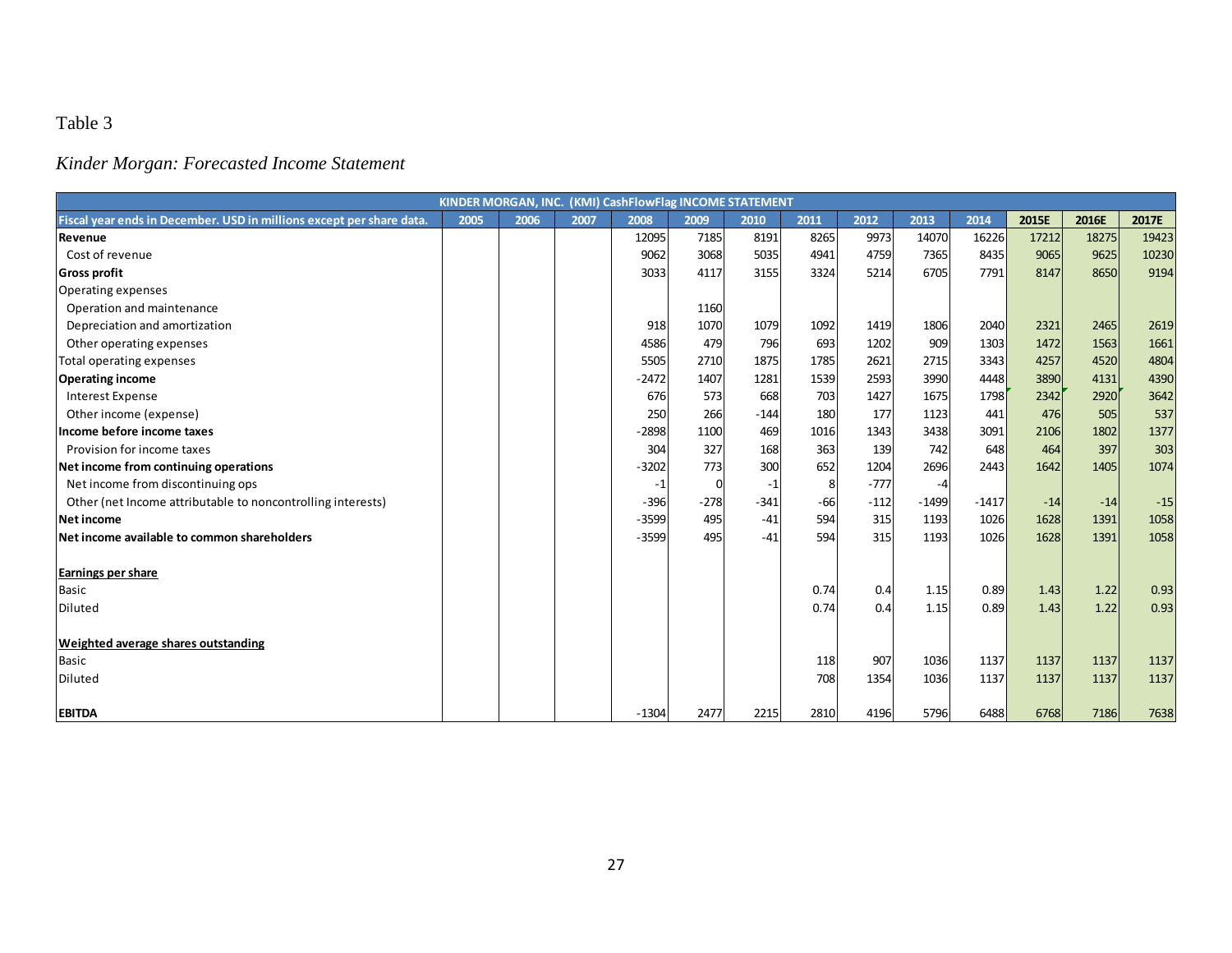# *Kinder Morgan: Forecasted Income Statement*

|                                                                      |      |      |      | KINDER MORGAN, INC. (KMI) CashFlowFlag INCOME STATEMENT |        |        |       |        |         |         |       |       |       |
|----------------------------------------------------------------------|------|------|------|---------------------------------------------------------|--------|--------|-------|--------|---------|---------|-------|-------|-------|
| Fiscal year ends in December. USD in millions except per share data. | 2005 | 2006 | 2007 | 2008                                                    | 2009   | 2010   | 2011  | 2012   | 2013    | 2014    | 2015E | 2016E | 2017E |
| Revenue                                                              |      |      |      | 12095                                                   | 7185   | 8191   | 8265  | 9973   | 14070   | 16226   | 17212 | 18275 | 19423 |
| Cost of revenue                                                      |      |      |      | 9062                                                    | 3068   | 5035   | 4941  | 4759   | 7365    | 8435    | 9065  | 9625  | 10230 |
| <b>Gross profit</b>                                                  |      |      |      | 3033                                                    | 4117   | 3155   | 3324  | 5214   | 6705    | 7791    | 8147  | 8650  | 9194  |
| Operating expenses                                                   |      |      |      |                                                         |        |        |       |        |         |         |       |       |       |
| Operation and maintenance                                            |      |      |      |                                                         | 1160   |        |       |        |         |         |       |       |       |
| Depreciation and amortization                                        |      |      |      | 918                                                     | 1070   | 1079   | 1092  | 1419   | 1806    | 2040    | 2321  | 2465  | 2619  |
| Other operating expenses                                             |      |      |      | 4586                                                    | 479    | 796    | 693   | 1202   | 909     | 1303    | 1472  | 1563  | 1661  |
| Total operating expenses                                             |      |      |      | 5505                                                    | 2710   | 1875   | 1785  | 2621   | 2715    | 3343    | 4257  | 4520  | 4804  |
| <b>Operating income</b>                                              |      |      |      | $-2472$                                                 | 1407   | 1281   | 1539  | 2593   | 3990    | 4448    | 3890  | 4131  | 4390  |
| <b>Interest Expense</b>                                              |      |      |      | 676                                                     | 573    | 668    | 703   | 1427   | 1675    | 1798    | 2342  | 2920  | 3642  |
| Other income (expense)                                               |      |      |      | 250                                                     | 266    | $-144$ | 180   | 177    | 1123    | 441     | 476   | 505   | 537   |
| Income before income taxes                                           |      |      |      | $-2898$                                                 | 1100   | 469    | 1016  | 1343   | 3438    | 3091    | 2106  | 1802  | 1377  |
| Provision for income taxes                                           |      |      |      | 304                                                     | 327    | 168    | 363   | 139    | 742     | 648     | 464   | 397   | 303   |
| Net income from continuing operations                                |      |      |      | $-3202$                                                 | 773    | 300    | 652   | 1204   | 2696    | 2443    | 1642  | 1405  | 1074  |
| Net income from discontinuing ops                                    |      |      |      | $-1$                                                    | 0      | $-1$   | 8     | $-777$ | -4      |         |       |       |       |
| Other (net Income attributable to noncontrolling interests)          |      |      |      | $-396$                                                  | $-278$ | $-341$ | $-66$ | $-112$ | $-1499$ | $-1417$ | $-14$ | $-14$ | $-15$ |
| Net income                                                           |      |      |      | $-3599$                                                 | 495    | $-41$  | 594   | 315    | 1193    | 1026    | 1628  | 1391  | 1058  |
| Net income available to common shareholders                          |      |      |      | $-3599$                                                 | 495    | $-41$  | 594   | 315    | 1193    | 1026    | 1628  | 1391  | 1058  |
| Earnings per share                                                   |      |      |      |                                                         |        |        |       |        |         |         |       |       |       |
| <b>Basic</b>                                                         |      |      |      |                                                         |        |        | 0.74  | 0.4    | 1.15    | 0.89    | 1.43  | 1.22  | 0.93  |
| Diluted                                                              |      |      |      |                                                         |        |        | 0.74  | 0.4    | 1.15    | 0.89    | 1.43  | 1.22  | 0.93  |
| Weighted average shares outstanding                                  |      |      |      |                                                         |        |        |       |        |         |         |       |       |       |
| <b>Basic</b>                                                         |      |      |      |                                                         |        |        | 118   | 907    | 1036    | 1137    | 1137  | 1137  | 1137  |
| Diluted                                                              |      |      |      |                                                         |        |        | 708   | 1354   | 1036    | 1137    | 1137  | 1137  | 1137  |
| <b>EBITDA</b>                                                        |      |      |      | $-1304$                                                 | 2477   | 2215   | 2810  | 4196   | 5796    | 6488    | 6768  | 7186  | 7638  |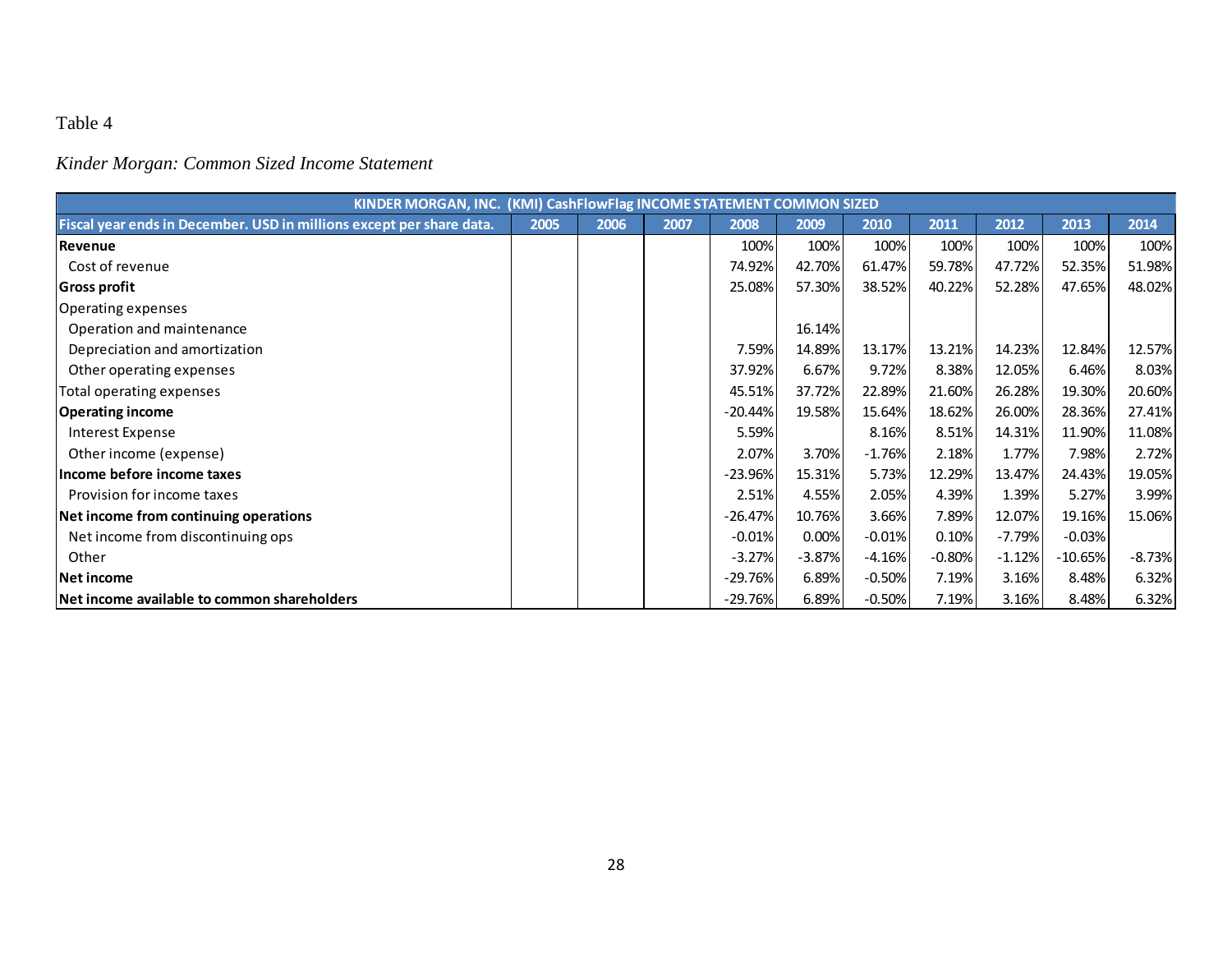*Kinder Morgan: Common Sized Income Statement*

|                                                                      | KINDER MORGAN, INC. (KMI) CashFlowFlag INCOME STATEMENT COMMON SIZED |      |      |           |          |          |          |          |           |          |  |  |  |  |
|----------------------------------------------------------------------|----------------------------------------------------------------------|------|------|-----------|----------|----------|----------|----------|-----------|----------|--|--|--|--|
| Fiscal year ends in December. USD in millions except per share data. | 2005                                                                 | 2006 | 2007 | 2008      | 2009     | 2010     | 2011     | 2012     | 2013      | 2014     |  |  |  |  |
| Revenue                                                              |                                                                      |      |      | 100%      | 100%     | 100%     | 100%     | 100%     | 100%      | 100%     |  |  |  |  |
| Cost of revenue                                                      |                                                                      |      |      | 74.92%    | 42.70%   | 61.47%   | 59.78%   | 47.72%   | 52.35%    | 51.98%   |  |  |  |  |
| <b>Gross profit</b>                                                  |                                                                      |      |      | 25.08%    | 57.30%   | 38.52%   | 40.22%   | 52.28%   | 47.65%    | 48.02%   |  |  |  |  |
| Operating expenses                                                   |                                                                      |      |      |           |          |          |          |          |           |          |  |  |  |  |
| Operation and maintenance                                            |                                                                      |      |      |           | 16.14%   |          |          |          |           |          |  |  |  |  |
| Depreciation and amortization                                        |                                                                      |      |      | 7.59%     | 14.89%   | 13.17%   | 13.21%   | 14.23%   | 12.84%    | 12.57%   |  |  |  |  |
| Other operating expenses                                             |                                                                      |      |      | 37.92%    | 6.67%    | 9.72%    | 8.38%    | 12.05%   | 6.46%     | 8.03%    |  |  |  |  |
| Total operating expenses                                             |                                                                      |      |      | 45.51%    | 37.72%   | 22.89%   | 21.60%   | 26.28%   | 19.30%    | 20.60%   |  |  |  |  |
| <b>Operating income</b>                                              |                                                                      |      |      | $-20.44%$ | 19.58%   | 15.64%   | 18.62%   | 26.00%   | 28.36%    | 27.41%   |  |  |  |  |
| Interest Expense                                                     |                                                                      |      |      | 5.59%     |          | 8.16%    | 8.51%    | 14.31%   | 11.90%    | 11.08%   |  |  |  |  |
| Other income (expense)                                               |                                                                      |      |      | 2.07%     | 3.70%    | $-1.76%$ | 2.18%    | 1.77%    | 7.98%     | 2.72%    |  |  |  |  |
| Income before income taxes                                           |                                                                      |      |      | $-23.96%$ | 15.31%   | 5.73%    | 12.29%   | 13.47%   | 24.43%    | 19.05%   |  |  |  |  |
| Provision for income taxes                                           |                                                                      |      |      | 2.51%     | 4.55%    | 2.05%    | 4.39%    | 1.39%    | 5.27%     | 3.99%    |  |  |  |  |
| Net income from continuing operations                                |                                                                      |      |      | $-26.47%$ | 10.76%   | 3.66%    | 7.89%    | 12.07%   | 19.16%    | 15.06%   |  |  |  |  |
| Net income from discontinuing ops                                    |                                                                      |      |      | $-0.01%$  | 0.00%    | $-0.01%$ | 0.10%    | $-7.79%$ | $-0.03%$  |          |  |  |  |  |
| Other                                                                |                                                                      |      |      | $-3.27%$  | $-3.87%$ | $-4.16%$ | $-0.80%$ | $-1.12%$ | $-10.65%$ | $-8.73%$ |  |  |  |  |
| Net income                                                           |                                                                      |      |      | $-29.76%$ | 6.89%    | $-0.50%$ | 7.19%    | 3.16%    | 8.48%     | 6.32%    |  |  |  |  |
| Net income available to common shareholders                          |                                                                      |      |      | $-29.76%$ | 6.89%    | $-0.50%$ | 7.19%    | 3.16%    | 8.48%     | 6.32%    |  |  |  |  |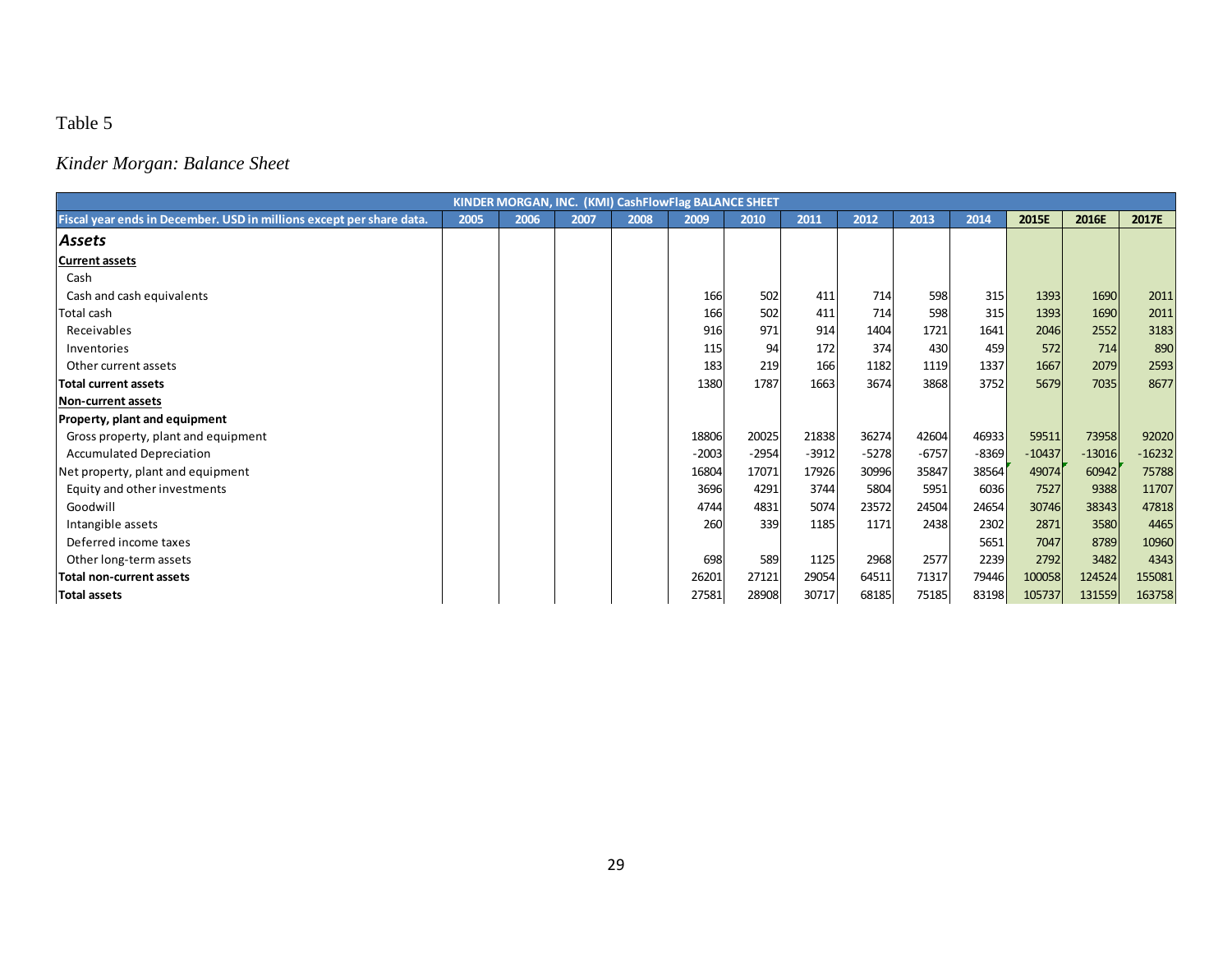# *Kinder Morgan: Balance Sheet*

|                                                                      | KINDER MORGAN, INC. (KMI) CashFlowFlag BALANCE SHEET |      |      |      |         |         |         |         |         |         |          |          |          |  |
|----------------------------------------------------------------------|------------------------------------------------------|------|------|------|---------|---------|---------|---------|---------|---------|----------|----------|----------|--|
| Fiscal year ends in December. USD in millions except per share data. | 2005                                                 | 2006 | 2007 | 2008 | 2009    | 2010    | 2011    | 2012    | 2013    | 2014    | 2015E    | 2016E    | 2017E    |  |
| Assets                                                               |                                                      |      |      |      |         |         |         |         |         |         |          |          |          |  |
| <b>Current assets</b>                                                |                                                      |      |      |      |         |         |         |         |         |         |          |          |          |  |
| Cash                                                                 |                                                      |      |      |      |         |         |         |         |         |         |          |          |          |  |
| Cash and cash equivalents                                            |                                                      |      |      |      | 166     | 502     | 411     | 714     | 598     | 315     | 1393     | 1690     | 2011     |  |
| Total cash                                                           |                                                      |      |      |      | 166     | 502     | 411     | 714     | 598     | 315     | 1393     | 1690     | 2011     |  |
| Receivables                                                          |                                                      |      |      |      | 916     | 971     | 914     | 1404    | 1721    | 1641    | 2046     | 2552     | 3183     |  |
| Inventories                                                          |                                                      |      |      |      | 115     | 94      | 172     | 374     | 430     | 459     | 572      | 714      | 890      |  |
| Other current assets                                                 |                                                      |      |      |      | 183     | 219     | 166     | 1182    | 1119    | 1337    | 1667     | 2079     | 2593     |  |
| <b>Total current assets</b>                                          |                                                      |      |      |      | 1380    | 1787    | 1663    | 3674    | 3868    | 3752    | 5679     | 7035     | 8677     |  |
| <b>Non-current assets</b>                                            |                                                      |      |      |      |         |         |         |         |         |         |          |          |          |  |
| <b>Property, plant and equipment</b>                                 |                                                      |      |      |      |         |         |         |         |         |         |          |          |          |  |
| Gross property, plant and equipment                                  |                                                      |      |      |      | 18806   | 20025   | 21838   | 36274   | 42604   | 46933   | 59511    | 73958    | 92020    |  |
| <b>Accumulated Depreciation</b>                                      |                                                      |      |      |      | $-2003$ | $-2954$ | $-3912$ | $-5278$ | $-6757$ | $-8369$ | $-10437$ | $-13016$ | $-16232$ |  |
| Net property, plant and equipment                                    |                                                      |      |      |      | 16804   | 17071   | 17926   | 30996   | 35847   | 38564   | 49074    | 60942    | 75788    |  |
| Equity and other investments                                         |                                                      |      |      |      | 3696    | 4291    | 3744    | 5804    | 5951    | 6036    | 7527     | 9388     | 11707    |  |
| Goodwill                                                             |                                                      |      |      |      | 4744    | 4831    | 5074    | 23572   | 24504   | 24654   | 30746    | 38343    | 47818    |  |
| Intangible assets                                                    |                                                      |      |      |      | 260     | 339     | 1185    | 1171    | 2438    | 2302    | 2871     | 3580     | 4465     |  |
| Deferred income taxes                                                |                                                      |      |      |      |         |         |         |         |         | 5651    | 7047     | 8789     | 10960    |  |
| Other long-term assets                                               |                                                      |      |      |      | 698     | 589     | 1125    | 2968    | 2577    | 2239    | 2792     | 3482     | 4343     |  |
| Total non-current assets                                             |                                                      |      |      |      | 26201   | 27121   | 29054   | 64511   | 71317   | 79446   | 100058   | 124524   | 155081   |  |
| Total assets                                                         |                                                      |      |      |      | 27581   | 28908   | 30717   | 68185   | 75185   | 83198   | 105737   | 131559   | 163758   |  |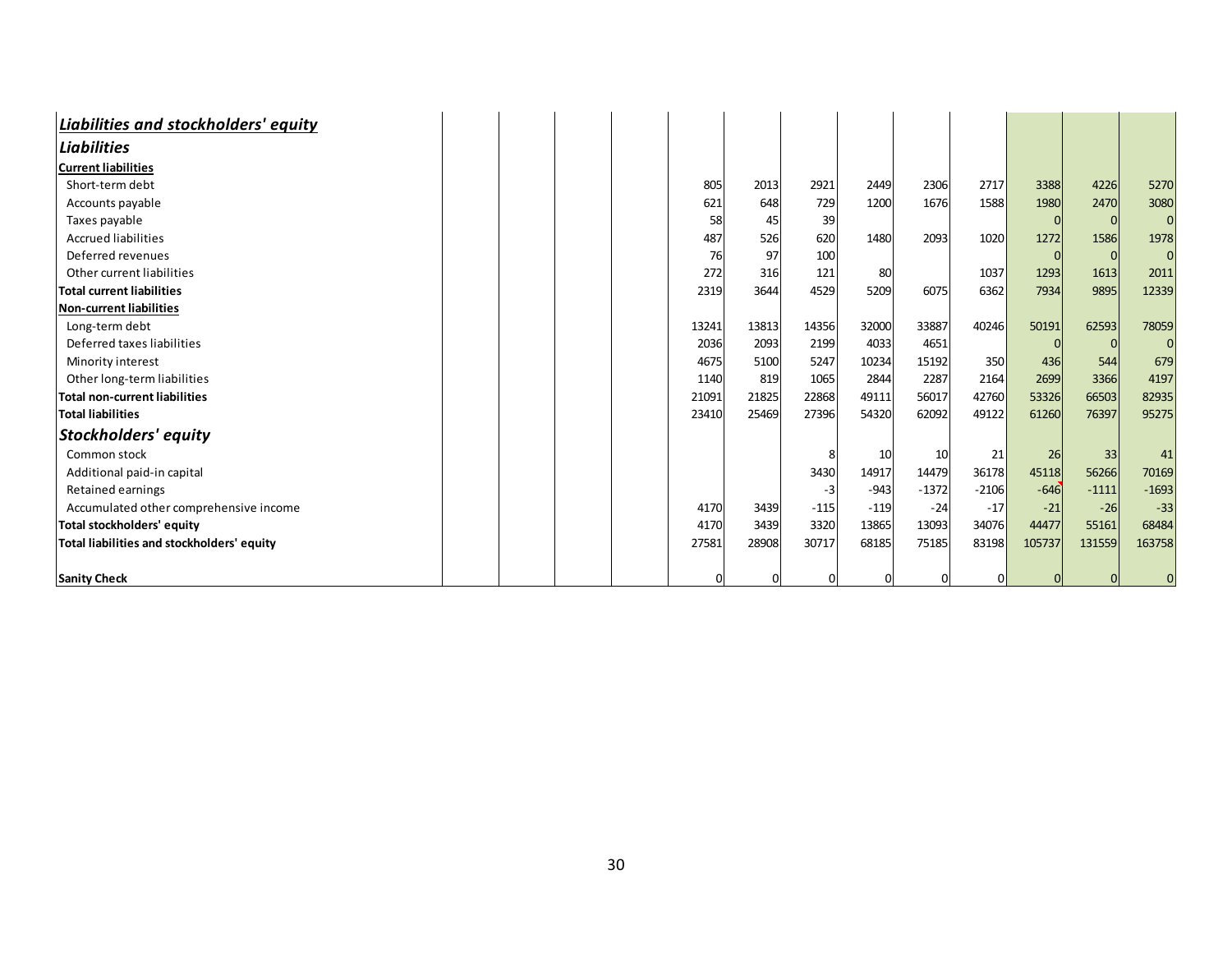| Liabilities and stockholders' equity       |  |  |       |       |        |        |         |         |        |         |                |
|--------------------------------------------|--|--|-------|-------|--------|--------|---------|---------|--------|---------|----------------|
| <b>Liabilities</b>                         |  |  |       |       |        |        |         |         |        |         |                |
| <b>Current liabilities</b>                 |  |  |       |       |        |        |         |         |        |         |                |
| Short-term debt                            |  |  | 805   | 2013  | 2921   | 2449   | 2306    | 2717    | 3388   | 4226    | 5270           |
| Accounts payable                           |  |  | 621   | 648   | 729    | 1200   | 1676    | 1588    | 1980   | 2470    | 3080           |
| Taxes payable                              |  |  | 58    | 45    | 39     |        |         |         |        |         | $\overline{0}$ |
| <b>Accrued liabilities</b>                 |  |  | 487   | 526   | 620    | 1480   | 2093    | 1020    | 1272   | 1586    | 1978           |
| Deferred revenues                          |  |  | 76    | 97    | 100    |        |         |         |        |         | $\overline{0}$ |
| Other current liabilities                  |  |  | 272   | 316   | 121    | 80     |         | 1037    | 1293   | 1613    | 2011           |
| <b>Total current liabilities</b>           |  |  | 2319  | 3644  | 4529   | 5209   | 6075    | 6362    | 7934   | 9895    | 12339          |
| Non-current liabilities                    |  |  |       |       |        |        |         |         |        |         |                |
| Long-term debt                             |  |  | 13241 | 13813 | 14356  | 32000  | 33887   | 40246   | 50191  | 62593   | 78059          |
| Deferred taxes liabilities                 |  |  | 2036  | 2093  | 2199   | 4033   | 4651    |         |        |         | $\Omega$       |
| Minority interest                          |  |  | 4675  | 5100  | 5247   | 10234  | 15192   | 350     | 436    | 544     | 679            |
| Other long-term liabilities                |  |  | 1140  | 819   | 1065   | 2844   | 2287    | 2164    | 2699   | 3366    | 4197           |
| <b>Total non-current liabilities</b>       |  |  | 21091 | 21825 | 22868  | 49111  | 56017   | 42760   | 53326  | 66503   | 82935          |
| <b>Total liabilities</b>                   |  |  | 23410 | 25469 | 27396  | 54320  | 62092   | 49122   | 61260  | 76397   | 95275          |
| Stockholders' equity                       |  |  |       |       |        |        |         |         |        |         |                |
| Common stock                               |  |  |       |       |        | 10     | 10      | 21      | 26     | 33      | 41             |
| Additional paid-in capital                 |  |  |       |       | 3430   | 14917  | 14479   | 36178   | 45118  | 56266   | 70169          |
| Retained earnings                          |  |  |       |       | -3     | $-943$ | $-1372$ | $-2106$ | $-646$ | $-1111$ | $-1693$        |
| Accumulated other comprehensive income     |  |  | 4170  | 3439  | $-115$ | $-119$ | $-24$   | $-17$   | $-21$  | $-26$   | $-33$          |
| Total stockholders' equity                 |  |  | 4170  | 3439  | 3320   | 13865  | 13093   | 34076   | 44477  | 55161   | 68484          |
| Total liabilities and stockholders' equity |  |  | 27581 | 28908 | 30717  | 68185  | 75185   | 83198   | 105737 | 131559  | 163758         |
|                                            |  |  |       |       |        |        |         |         |        |         |                |
| <b>Sanity Check</b>                        |  |  | 0     |       |        |        |         |         |        |         |                |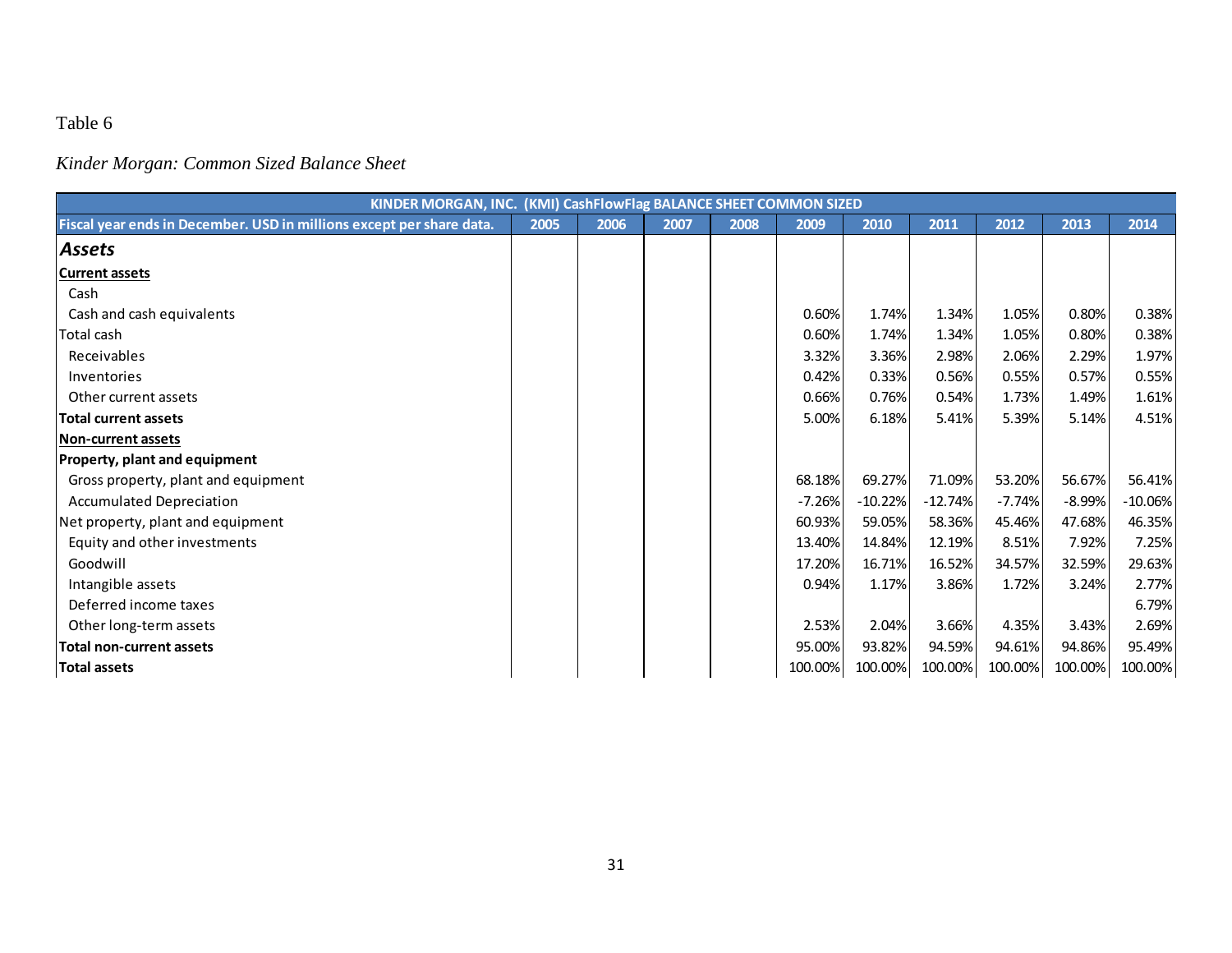*Kinder Morgan: Common Sized Balance Sheet*

|                                                                      | KINDER MORGAN, INC. (KMI) CashFlowFlag BALANCE SHEET COMMON SIZED |      |      |      |          |           |           |          |          |           |
|----------------------------------------------------------------------|-------------------------------------------------------------------|------|------|------|----------|-----------|-----------|----------|----------|-----------|
| Fiscal year ends in December. USD in millions except per share data. | 2005                                                              | 2006 | 2007 | 2008 | 2009     | 2010      | 2011      | 2012     | 2013     | 2014      |
| Assets                                                               |                                                                   |      |      |      |          |           |           |          |          |           |
| <b>Current assets</b>                                                |                                                                   |      |      |      |          |           |           |          |          |           |
| Cash                                                                 |                                                                   |      |      |      |          |           |           |          |          |           |
| Cash and cash equivalents                                            |                                                                   |      |      |      | 0.60%    | 1.74%     | 1.34%     | 1.05%    | 0.80%    | 0.38%     |
| <b>Total cash</b>                                                    |                                                                   |      |      |      | 0.60%    | 1.74%     | 1.34%     | 1.05%    | 0.80%    | 0.38%     |
| Receivables                                                          |                                                                   |      |      |      | 3.32%    | 3.36%     | 2.98%     | 2.06%    | 2.29%    | 1.97%     |
| Inventories                                                          |                                                                   |      |      |      | 0.42%    | 0.33%     | 0.56%     | 0.55%    | 0.57%    | 0.55%     |
| Other current assets                                                 |                                                                   |      |      |      | 0.66%    | 0.76%     | 0.54%     | 1.73%    | 1.49%    | 1.61%     |
| <b>Total current assets</b>                                          |                                                                   |      |      |      | 5.00%    | 6.18%     | 5.41%     | 5.39%    | 5.14%    | 4.51%     |
| <b>Non-current assets</b>                                            |                                                                   |      |      |      |          |           |           |          |          |           |
| Property, plant and equipment                                        |                                                                   |      |      |      |          |           |           |          |          |           |
| Gross property, plant and equipment                                  |                                                                   |      |      |      | 68.18%   | 69.27%    | 71.09%    | 53.20%   | 56.67%   | 56.41%    |
| <b>Accumulated Depreciation</b>                                      |                                                                   |      |      |      | $-7.26%$ | $-10.22%$ | $-12.74%$ | $-7.74%$ | $-8.99%$ | $-10.06%$ |
| Net property, plant and equipment                                    |                                                                   |      |      |      | 60.93%   | 59.05%    | 58.36%    | 45.46%   | 47.68%   | 46.35%    |
| Equity and other investments                                         |                                                                   |      |      |      | 13.40%   | 14.84%    | 12.19%    | 8.51%    | 7.92%    | 7.25%     |
| Goodwill                                                             |                                                                   |      |      |      | 17.20%   | 16.71%    | 16.52%    | 34.57%   | 32.59%   | 29.63%    |
| Intangible assets                                                    |                                                                   |      |      |      | 0.94%    | 1.17%     | 3.86%     | 1.72%    | 3.24%    | 2.77%     |
| Deferred income taxes                                                |                                                                   |      |      |      |          |           |           |          |          | 6.79%     |
| Other long-term assets                                               |                                                                   |      |      |      | 2.53%    | 2.04%     | 3.66%     | 4.35%    | 3.43%    | 2.69%     |
| <b>Total non-current assets</b>                                      |                                                                   |      |      |      | 95.00%   | 93.82%    | 94.59%    | 94.61%   | 94.86%   | 95.49%    |
| <b>Total assets</b>                                                  |                                                                   |      |      |      | 100.00%  | 100.00%   | 100.00%   | 100.00%  | 100.00%  | 100.00%   |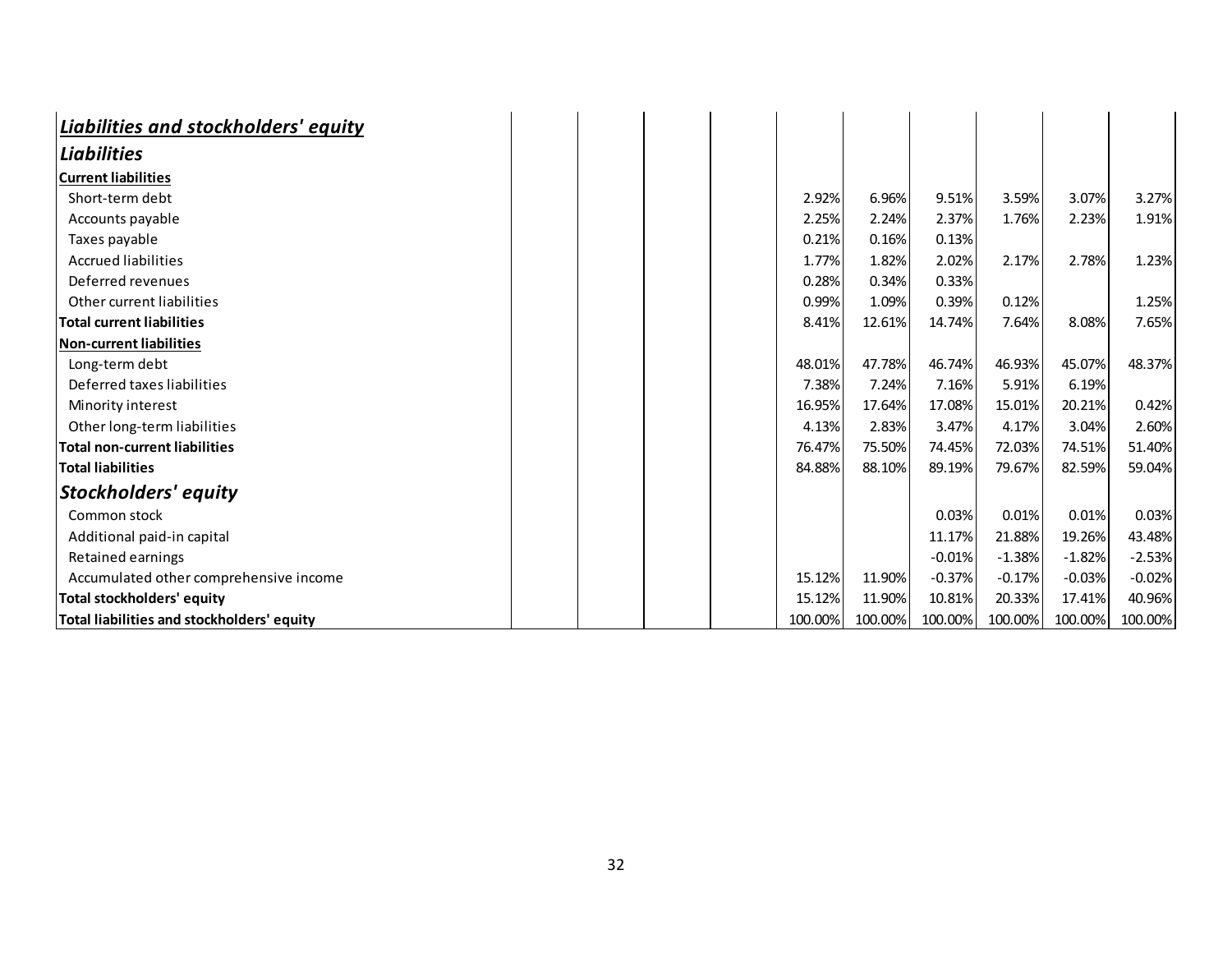| Liabilities and stockholders' equity       |  |  |         |         |          |          |          |          |
|--------------------------------------------|--|--|---------|---------|----------|----------|----------|----------|
| <b>Liabilities</b>                         |  |  |         |         |          |          |          |          |
| <b>Current liabilities</b>                 |  |  |         |         |          |          |          |          |
| Short-term debt                            |  |  | 2.92%   | 6.96%   | 9.51%    | 3.59%    | 3.07%    | 3.27%    |
| Accounts payable                           |  |  | 2.25%   | 2.24%   | 2.37%    | 1.76%    | 2.23%    | 1.91%    |
| Taxes payable                              |  |  | 0.21%   | 0.16%   | 0.13%    |          |          |          |
| <b>Accrued liabilities</b>                 |  |  | 1.77%   | 1.82%   | 2.02%    | 2.17%    | 2.78%    | 1.23%    |
| Deferred revenues                          |  |  | 0.28%   | 0.34%   | 0.33%    |          |          |          |
| Other current liabilities                  |  |  | 0.99%   | 1.09%   | 0.39%    | 0.12%    |          | 1.25%    |
| <b>Total current liabilities</b>           |  |  | 8.41%   | 12.61%  | 14.74%   | 7.64%    | 8.08%    | 7.65%    |
| Non-current liabilities                    |  |  |         |         |          |          |          |          |
| Long-term debt                             |  |  | 48.01%  | 47.78%  | 46.74%   | 46.93%   | 45.07%   | 48.37%   |
| Deferred taxes liabilities                 |  |  | 7.38%   | 7.24%   | 7.16%    | 5.91%    | 6.19%    |          |
| Minority interest                          |  |  | 16.95%  | 17.64%  | 17.08%   | 15.01%   | 20.21%   | 0.42%    |
| Other long-term liabilities                |  |  | 4.13%   | 2.83%   | 3.47%    | 4.17%    | 3.04%    | 2.60%    |
| <b>Total non-current liabilities</b>       |  |  | 76.47%  | 75.50%  | 74.45%   | 72.03%   | 74.51%   | 51.40%   |
| <b>Total liabilities</b>                   |  |  | 84.88%  | 88.10%  | 89.19%   | 79.67%   | 82.59%   | 59.04%   |
| Stockholders' equity                       |  |  |         |         |          |          |          |          |
| Common stock                               |  |  |         |         | 0.03%    | 0.01%    | 0.01%    | 0.03%    |
| Additional paid-in capital                 |  |  |         |         | 11.17%   | 21.88%   | 19.26%   | 43.48%   |
| Retained earnings                          |  |  |         |         | $-0.01%$ | $-1.38%$ | $-1.82%$ | $-2.53%$ |
| Accumulated other comprehensive income     |  |  | 15.12%  | 11.90%  | $-0.37%$ | $-0.17%$ | $-0.03%$ | $-0.02%$ |
| <b>Total stockholders' equity</b>          |  |  | 15.12%  | 11.90%  | 10.81%   | 20.33%   | 17.41%   | 40.96%   |
| Total liabilities and stockholders' equity |  |  | 100.00% | 100.00% | 100.00%  | 100.00%  | 100.00%  | 100.00%  |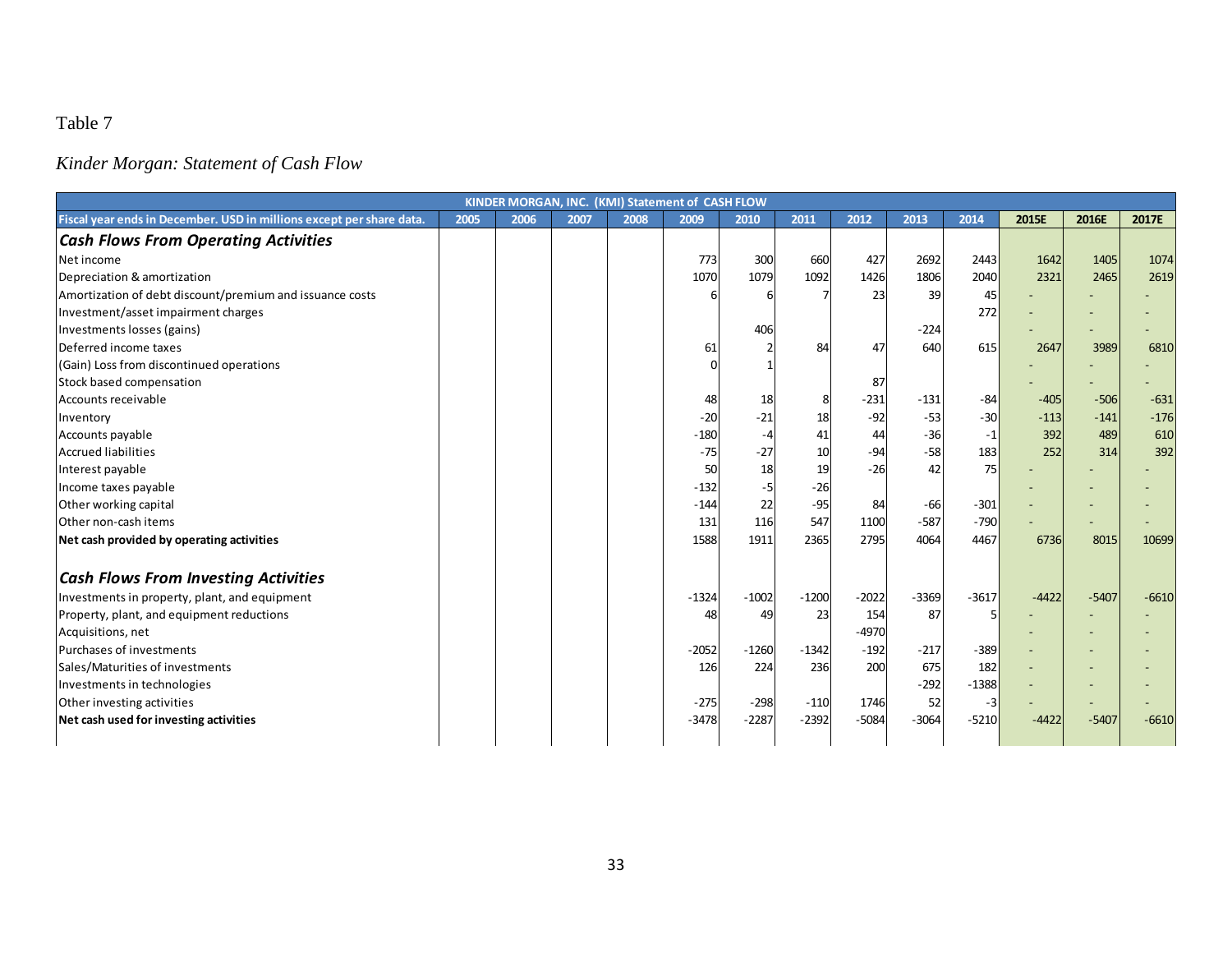# *Kinder Morgan: Statement of Cash Flow*

|                                                                      |      |      |      |      | KINDER MORGAN, INC. (KMI) Statement of CASH FLOW |         |         |         |         |         |         |         |         |
|----------------------------------------------------------------------|------|------|------|------|--------------------------------------------------|---------|---------|---------|---------|---------|---------|---------|---------|
| Fiscal year ends in December. USD in millions except per share data. | 2005 | 2006 | 2007 | 2008 | 2009                                             | 2010    | 2011    | 2012    | 2013    | 2014    | 2015E   | 2016E   | 2017E   |
| <b>Cash Flows From Operating Activities</b>                          |      |      |      |      |                                                  |         |         |         |         |         |         |         |         |
| Net income                                                           |      |      |      |      | 773                                              | 300     | 660     | 427     | 2692    | 2443    | 1642    | 1405    | 1074    |
| Depreciation & amortization                                          |      |      |      |      | 1070                                             | 1079    | 1092    | 1426    | 1806    | 2040    | 2321    | 2465    | 2619    |
| Amortization of debt discount/premium and issuance costs             |      |      |      |      | 6                                                |         |         | 23      | 39      | 45      |         |         |         |
| Investment/asset impairment charges                                  |      |      |      |      |                                                  |         |         |         |         | 272     |         |         |         |
| Investments losses (gains)                                           |      |      |      |      |                                                  | 406     |         |         | $-224$  |         |         |         |         |
| Deferred income taxes                                                |      |      |      |      | 61                                               |         | 84      | 47      | 640     | 615     | 2647    | 3989    | 6810    |
| (Gain) Loss from discontinued operations                             |      |      |      |      | $\Omega$                                         |         |         |         |         |         |         |         |         |
| Stock based compensation                                             |      |      |      |      |                                                  |         |         | 87      |         |         |         |         |         |
| Accounts receivable                                                  |      |      |      |      | 48                                               | 18      |         | $-231$  | $-131$  | $-84$   | $-405$  | $-506$  | $-631$  |
| Inventory                                                            |      |      |      |      | $-20$                                            | $-21$   | 18      | $-92$   | $-53$   | $-30$   | $-113$  | $-141$  | $-176$  |
| Accounts payable                                                     |      |      |      |      | $-180$                                           |         | 41      | 44      | $-36$   | $-1$    | 392     | 489     | 610     |
| <b>Accrued liabilities</b>                                           |      |      |      |      | $-75$                                            | $-27$   | 10      | $-94$   | $-58$   | 183     | 252     | 314     | 392     |
| Interest payable                                                     |      |      |      |      | 50                                               | 18      | 19      | $-26$   | 42      | 75      |         |         |         |
| Income taxes payable                                                 |      |      |      |      | $-132$                                           | -5      | $-26$   |         |         |         |         |         |         |
| Other working capital                                                |      |      |      |      | $-144$                                           | 22      | $-95$   | 84      | $-66$   | $-301$  |         |         |         |
| Other non-cash items                                                 |      |      |      |      | 131                                              | 116     | 547     | 1100    | $-587$  | $-790$  |         |         |         |
| Net cash provided by operating activities                            |      |      |      |      | 1588                                             | 1911    | 2365    | 2795    | 4064    | 4467    | 6736    | 8015    | 10699   |
| <b>Cash Flows From Investing Activities</b>                          |      |      |      |      |                                                  |         |         |         |         |         |         |         |         |
| Investments in property, plant, and equipment                        |      |      |      |      | $-1324$                                          | $-1002$ | $-1200$ | $-2022$ | $-3369$ | $-3617$ | $-4422$ | $-5407$ | $-6610$ |
| Property, plant, and equipment reductions                            |      |      |      |      | 48                                               | 49      | 23      | 154     | 87      |         |         |         |         |
| Acquisitions, net                                                    |      |      |      |      |                                                  |         |         | $-4970$ |         |         |         |         |         |
| Purchases of investments                                             |      |      |      |      | $-2052$                                          | $-1260$ | $-1342$ | $-192$  | $-217$  | $-389$  |         |         |         |
| Sales/Maturities of investments                                      |      |      |      |      | 126                                              | 224     | 236     | 200     | 675     | 182     |         |         |         |
| Investments in technologies                                          |      |      |      |      |                                                  |         |         |         | $-292$  | $-1388$ |         |         |         |
| Other investing activities                                           |      |      |      |      | $-275$                                           | $-298$  | $-110$  | 1746    | 52      | $-3$    |         | -       |         |
| Net cash used for investing activities                               |      |      |      |      | $-3478$                                          | $-2287$ | $-2392$ | $-5084$ | $-3064$ | $-5210$ | $-4422$ | $-5407$ | $-6610$ |
|                                                                      |      |      |      |      |                                                  |         |         |         |         |         |         |         |         |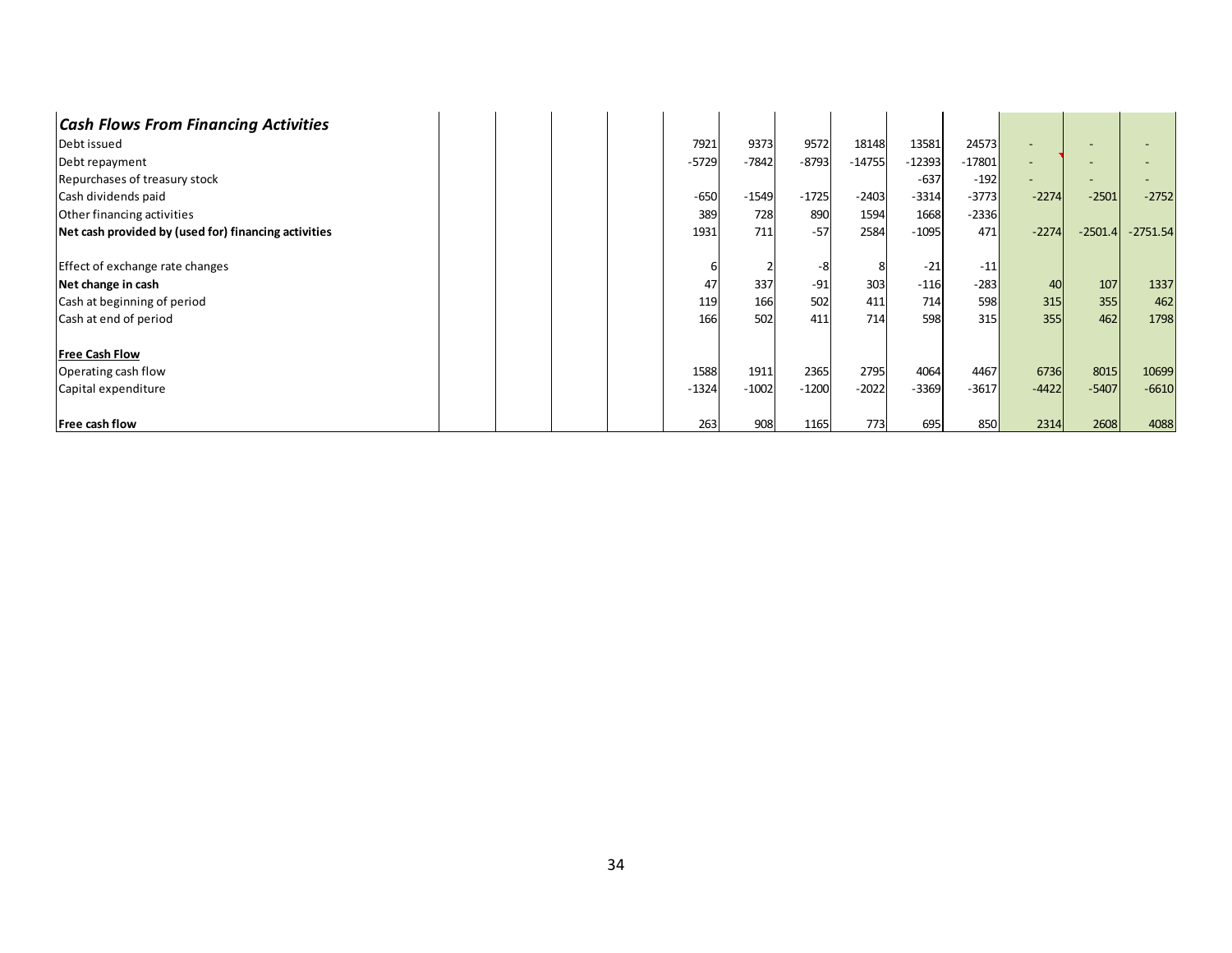| <b>Cash Flows From Financing Activities</b>          |  |         |         |         |          |          |          |                          |           |            |
|------------------------------------------------------|--|---------|---------|---------|----------|----------|----------|--------------------------|-----------|------------|
| Debt issued                                          |  | 7921    | 9373    | 9572    | 18148    | 13581    | 24573    |                          |           |            |
| Debt repayment                                       |  | $-5729$ | $-7842$ | $-8793$ | $-14755$ | $-12393$ | $-17801$ | $\overline{\phantom{a}}$ |           |            |
| Repurchases of treasury stock                        |  |         |         |         |          | $-637$   | $-192$   |                          |           |            |
| Cash dividends paid                                  |  | $-650$  | $-1549$ | $-1725$ | $-2403$  | $-3314$  | $-3773$  | $-2274$                  | $-2501$   | $-2752$    |
| Other financing activities                           |  | 389     | 728     | 890     | 1594     | 1668     | $-2336$  |                          |           |            |
| Net cash provided by (used for) financing activities |  | 1931    | 711     | $-57$   | 2584     | $-1095$  | 471      | $-2274$                  | $-2501.4$ | $-2751.54$ |
| Effect of exchange rate changes                      |  |         |         | -8      |          | $-21$    | $-11$    |                          |           |            |
| Net change in cash                                   |  | 47      | 337     | $-91$   | 303      | $-116$   | $-283$   | 40                       | 107       | 1337       |
| Cash at beginning of period                          |  | 119     | 166     | 502     | 411      | 714      | 598      | 315                      | 355       | 462        |
| Cash at end of period                                |  | 166     | 502     | 411     | 714      | 598      | 315      | 355                      | 462       | 1798       |
| <b>Free Cash Flow</b>                                |  |         |         |         |          |          |          |                          |           |            |
| Operating cash flow                                  |  | 1588    | 1911    | 2365    | 2795     | 4064     | 4467     | 6736                     | 8015      | 10699      |
| Capital expenditure                                  |  | $-1324$ | $-1002$ | $-1200$ | $-2022$  | $-3369$  | $-3617$  | $-4422$                  | $-5407$   | $-6610$    |
| Free cash flow                                       |  | 263     | 908     | 1165    | 773      | 695      | 850      | 2314                     | 2608      | 4088       |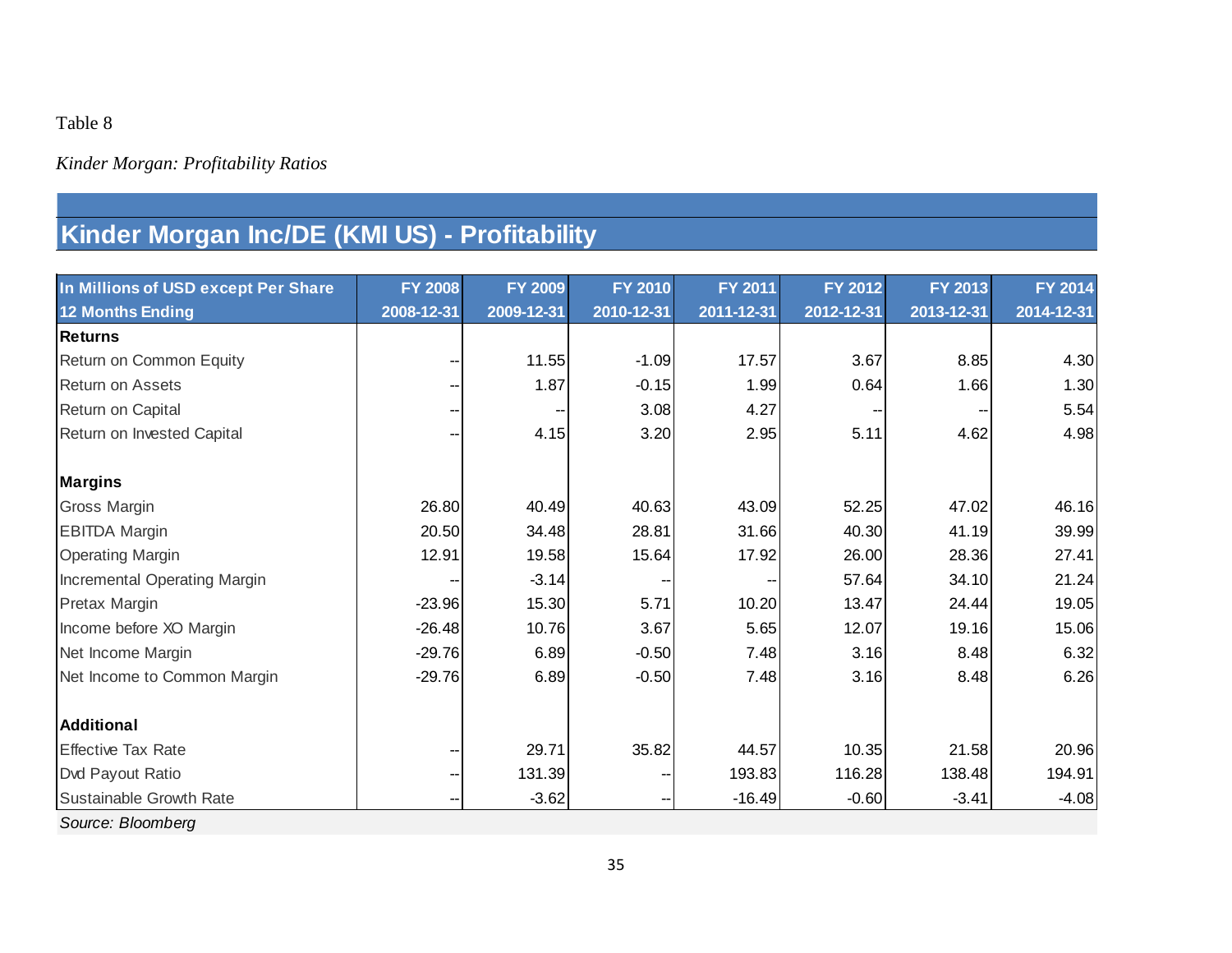## *Kinder Morgan: Profitability Ratios*

# **Kinder Morgan Inc/DE (KMI US) - Profitability**

| In Millions of USD except Per Share | <b>FY 2008</b> | <b>FY 2009</b> | <b>FY 2010</b> | FY 2011    | FY 2012    | FY 2013    | FY 2014    |
|-------------------------------------|----------------|----------------|----------------|------------|------------|------------|------------|
| <b>12 Months Ending</b>             | 2008-12-31     | 2009-12-31     | 2010-12-31     | 2011-12-31 | 2012-12-31 | 2013-12-31 | 2014-12-31 |
| <b>Returns</b>                      |                |                |                |            |            |            |            |
| Return on Common Equity             |                | 11.55          | $-1.09$        | 17.57      | 3.67       | 8.85       | 4.30       |
| <b>Return on Assets</b>             |                | 1.87           | $-0.15$        | 1.99       | 0.64       | 1.66       | 1.30       |
| Return on Capital                   |                |                | 3.08           | 4.27       |            |            | 5.54       |
| Return on Invested Capital          |                | 4.15           | 3.20           | 2.95       | 5.11       | 4.62       | 4.98       |
|                                     |                |                |                |            |            |            |            |
| <b>Margins</b>                      |                |                |                |            |            |            |            |
| <b>Gross Margin</b>                 | 26.80          | 40.49          | 40.63          | 43.09      | 52.25      | 47.02      | 46.16      |
| <b>EBITDA Margin</b>                | 20.50          | 34.48          | 28.81          | 31.66      | 40.30      | 41.19      | 39.99      |
| <b>Operating Margin</b>             | 12.91          | 19.58          | 15.64          | 17.92      | 26.00      | 28.36      | 27.41      |
| Incremental Operating Margin        |                | $-3.14$        |                |            | 57.64      | 34.10      | 21.24      |
| Pretax Margin                       | $-23.96$       | 15.30          | 5.71           | 10.20      | 13.47      | 24.44      | 19.05      |
| Income before XO Margin             | $-26.48$       | 10.76          | 3.67           | 5.65       | 12.07      | 19.16      | 15.06      |
| Net Income Margin                   | $-29.76$       | 6.89           | $-0.50$        | 7.48       | 3.16       | 8.48       | 6.32       |
| Net Income to Common Margin         | $-29.76$       | 6.89           | $-0.50$        | 7.48       | 3.16       | 8.48       | 6.26       |
| <b>Additional</b>                   |                |                |                |            |            |            |            |
| <b>Effective Tax Rate</b>           |                | 29.71          | 35.82          | 44.57      | 10.35      | 21.58      | 20.96      |
| Dvd Payout Ratio                    | --             | 131.39         |                | 193.83     | 116.28     | 138.48     | 194.91     |
| Sustainable Growth Rate             | --             | $-3.62$        | --             | $-16.49$   | $-0.60$    | $-3.41$    | $-4.08$    |
| Source: Bloomberg                   |                |                |                |            |            |            |            |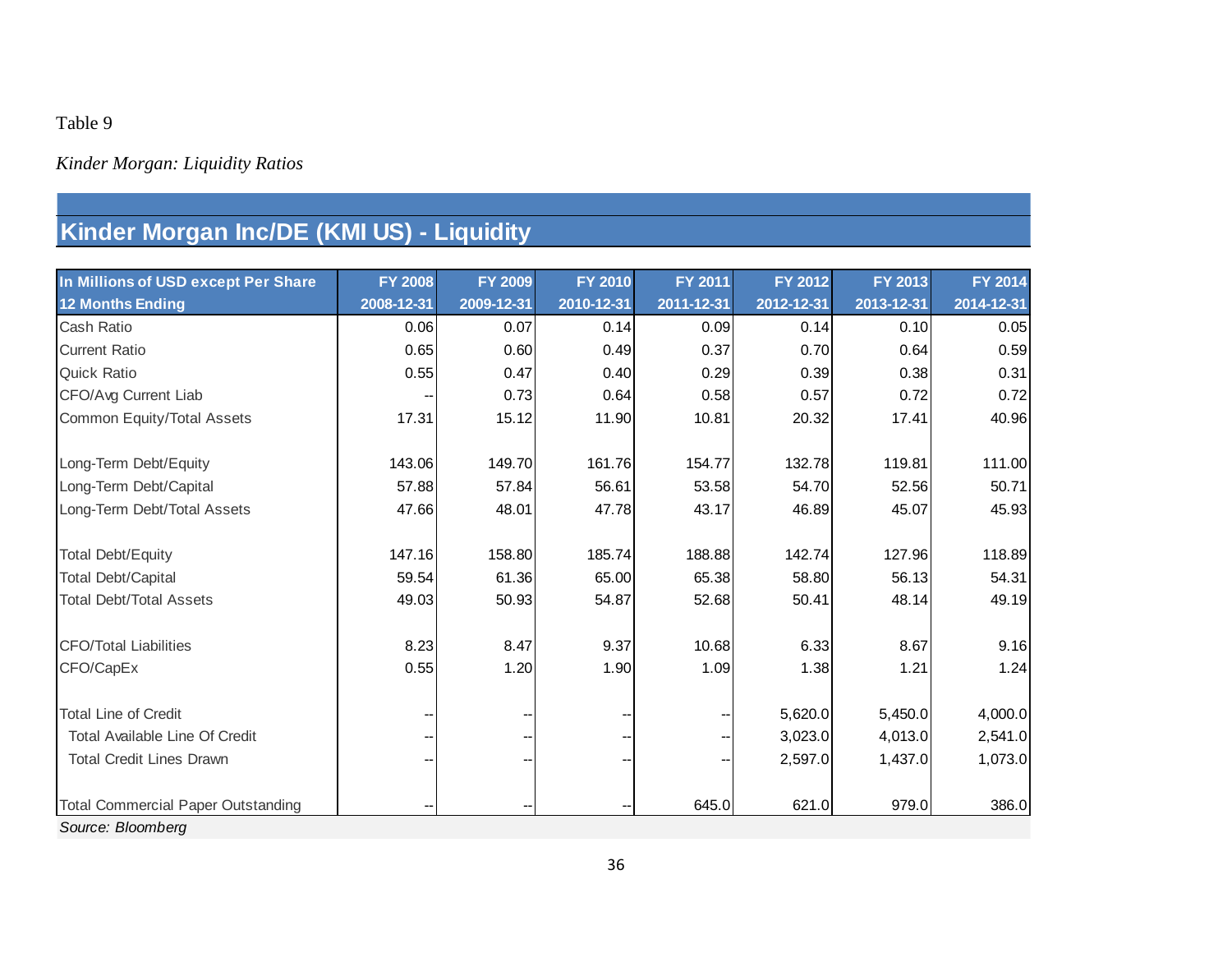# *Kinder Morgan: Liquidity Ratios*

# **Kinder Morgan Inc/DE (KMI US) - Liquidity**

| In Millions of USD except Per Share       | <b>FY 2008</b> | FY 2009                  | <b>FY 2010</b> | FY 2011    | FY 2012    | FY 2013    | FY 2014    |
|-------------------------------------------|----------------|--------------------------|----------------|------------|------------|------------|------------|
| <b>12 Months Ending</b>                   | 2008-12-31     | 2009-12-31               | 2010-12-31     | 2011-12-31 | 2012-12-31 | 2013-12-31 | 2014-12-31 |
| Cash Ratio                                | 0.06           | 0.07                     | 0.14           | 0.09       | 0.14       | 0.10       | 0.05       |
| <b>Current Ratio</b>                      | 0.65           | 0.60                     | 0.49           | 0.37       | 0.70       | 0.64       | 0.59       |
| <b>Quick Ratio</b>                        | 0.55           | 0.47                     | 0.40           | 0.29       | 0.39       | 0.38       | 0.31       |
| CFO/Avg Current Liab                      |                | 0.73                     | 0.64           | 0.58       | 0.57       | 0.72       | 0.72       |
| Common Equity/Total Assets                | 17.31          | 15.12                    | 11.90          | 10.81      | 20.32      | 17.41      | 40.96      |
|                                           |                |                          |                |            |            |            |            |
| Long-Term Debt/Equity                     | 143.06         | 149.70                   | 161.76         | 154.77     | 132.78     | 119.81     | 111.00     |
| Long-Term Debt/Capital                    | 57.88          | 57.84                    | 56.61          | 53.58      | 54.70      | 52.56      | 50.71      |
| Long-Term Debt/Total Assets               | 47.66          | 48.01                    | 47.78          | 43.17      | 46.89      | 45.07      | 45.93      |
| <b>Total Debt/Equity</b>                  | 147.16         | 158.80                   | 185.74         | 188.88     | 142.74     | 127.96     | 118.89     |
| <b>Total Debt/Capital</b>                 | 59.54          | 61.36                    | 65.00          | 65.38      | 58.80      | 56.13      | 54.31      |
| <b>Total Debt/Total Assets</b>            | 49.03          | 50.93                    | 54.87          | 52.68      | 50.41      | 48.14      | 49.19      |
| <b>CFO/Total Liabilities</b>              | 8.23           | 8.47                     | 9.37           | 10.68      | 6.33       | 8.67       | 9.16       |
| CFO/CapEx                                 | 0.55           | 1.20                     | 1.90           | 1.09       | 1.38       | 1.21       | 1.24       |
|                                           |                |                          |                |            |            |            |            |
| <b>Total Line of Credit</b>               |                |                          |                |            | 5,620.0    | 5,450.0    | 4,000.0    |
| Total Available Line Of Credit            |                | $\overline{\phantom{a}}$ |                |            | 3,023.0    | 4,013.0    | 2,541.0    |
| <b>Total Credit Lines Drawn</b>           |                |                          |                |            | 2,597.0    | 1,437.0    | 1,073.0    |
| <b>Total Commercial Paper Outstanding</b> |                |                          |                | 645.0      | 621.0      | 979.0      | 386.0      |
| Source: Bloomberg                         |                |                          |                |            |            |            |            |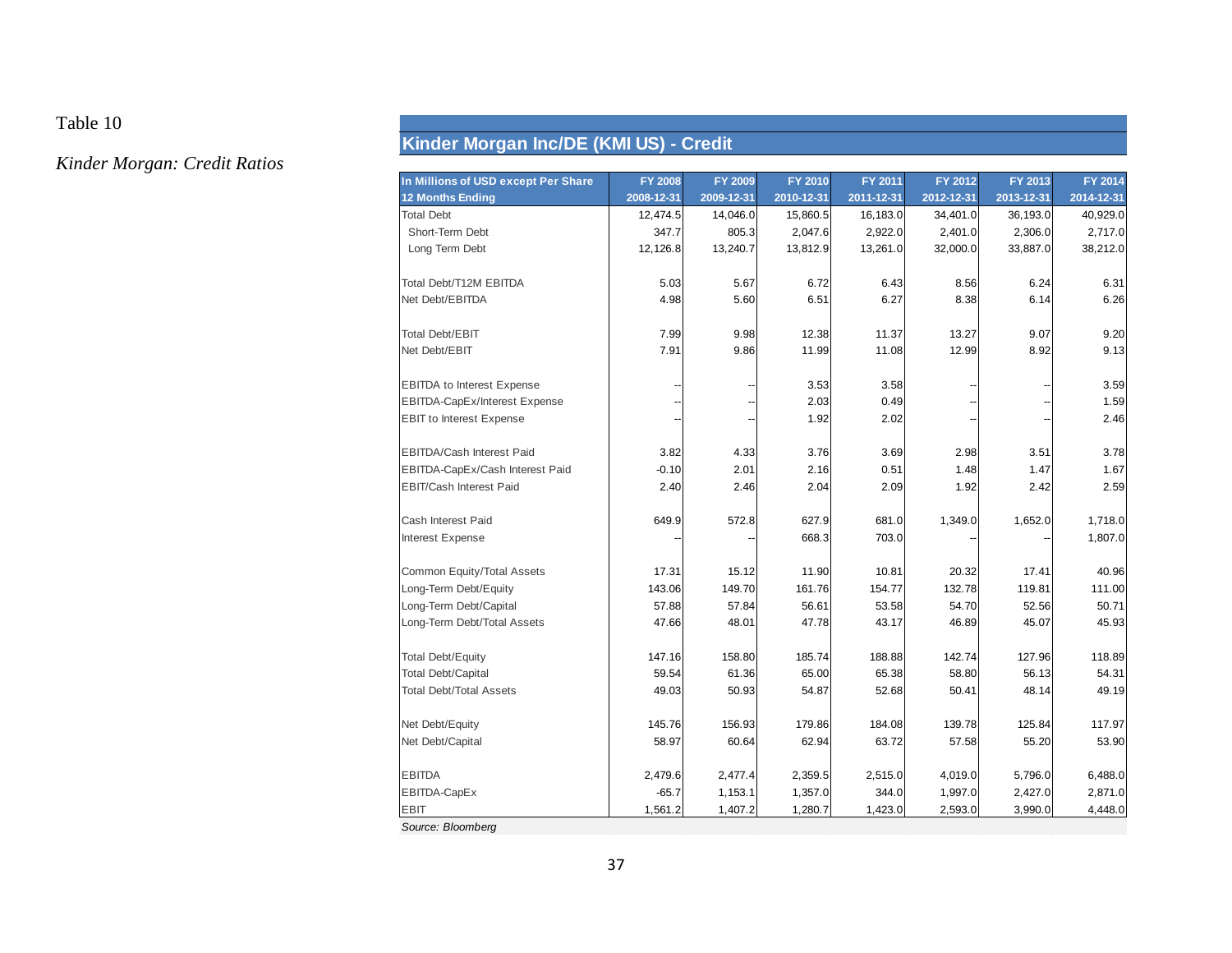*Kinder Morgan: Credit Ratios*

# **Kinder Morgan Inc/DE (KMI US) - Credit**

| In Millions of USD except Per Share  | <b>FY 2008</b> | <b>FY 2009</b> | FY 2010    | FY 2011    | FY 2012    | FY 2013    | FY 2014    |
|--------------------------------------|----------------|----------------|------------|------------|------------|------------|------------|
| <b>12 Months Ending</b>              | 2008-12-31     | 2009-12-31     | 2010-12-31 | 2011-12-31 | 2012-12-31 | 2013-12-31 | 2014-12-31 |
| <b>Total Debt</b>                    | 12,474.5       | 14,046.0       | 15,860.5   | 16,183.0   | 34,401.0   | 36,193.0   | 40,929.0   |
| Short-Term Debt                      | 347.7          | 805.3          | 2,047.6    | 2,922.0    | 2,401.0    | 2,306.0    | 2,717.0    |
| Long Term Debt                       | 12,126.8       | 13,240.7       | 13,812.9   | 13,261.0   | 32,000.0   | 33,887.0   | 38,212.0   |
| Total Debt/T12M EBITDA               | 5.03           | 5.67           | 6.72       | 6.43       | 8.56       | 6.24       | 6.31       |
| Net Debt/EBITDA                      | 4.98           | 5.60           | 6.51       | 6.27       | 8.38       | 6.14       | 6.26       |
| <b>Total Debt/EBIT</b>               | 7.99           | 9.98           | 12.38      | 11.37      | 13.27      | 9.07       | 9.20       |
| Net Debt/EBIT                        | 7.91           | 9.86           | 11.99      | 11.08      | 12.99      | 8.92       | 9.13       |
| <b>EBITDA</b> to Interest Expense    |                |                | 3.53       | 3.58       |            |            | 3.59       |
| <b>EBITDA-CapEx/Interest Expense</b> |                |                | 2.03       | 0.49       |            |            | 1.59       |
| <b>EBIT</b> to Interest Expense      |                |                | 1.92       | 2.02       |            |            | 2.46       |
| <b>EBITDA/Cash Interest Paid</b>     | 3.82           | 4.33           | 3.76       | 3.69       | 2.98       | 3.51       | 3.78       |
| EBITDA-CapEx/Cash Interest Paid      | $-0.10$        | 2.01           | 2.16       | 0.51       | 1.48       | 1.47       | 1.67       |
| <b>EBIT/Cash Interest Paid</b>       | 2.40           | 2.46           | 2.04       | 2.09       | 1.92       | 2.42       | 2.59       |
| Cash Interest Paid                   | 649.9          | 572.8          | 627.9      | 681.0      | 1,349.0    | 1,652.0    | 1,718.0    |
| Interest Expense                     |                |                | 668.3      | 703.0      |            |            | 1,807.0    |
| Common Equity/Total Assets           | 17.31          | 15.12          | 11.90      | 10.81      | 20.32      | 17.41      | 40.96      |
| Long-Term Debt/Equity                | 143.06         | 149.70         | 161.76     | 154.77     | 132.78     | 119.81     | 111.00     |
| Long-Term Debt/Capital               | 57.88          | 57.84          | 56.61      | 53.58      | 54.70      | 52.56      | 50.71      |
| Long-Term Debt/Total Assets          | 47.66          | 48.01          | 47.78      | 43.17      | 46.89      | 45.07      | 45.93      |
| <b>Total Debt/Equity</b>             | 147.16         | 158.80         | 185.74     | 188.88     | 142.74     | 127.96     | 118.89     |
| <b>Total Debt/Capital</b>            | 59.54          | 61.36          | 65.00      | 65.38      | 58.80      | 56.13      | 54.31      |
| <b>Total Debt/Total Assets</b>       | 49.03          | 50.93          | 54.87      | 52.68      | 50.41      | 48.14      | 49.19      |
| Net Debt/Equity                      | 145.76         | 156.93         | 179.86     | 184.08     | 139.78     | 125.84     | 117.97     |
| Net Debt/Capital                     | 58.97          | 60.64          | 62.94      | 63.72      | 57.58      | 55.20      | 53.90      |
| <b>EBITDA</b>                        | 2,479.6        | 2,477.4        | 2,359.5    | 2,515.0    | 4,019.0    | 5,796.0    | 6,488.0    |
| EBITDA-CapEx                         | $-65.7$        | 1,153.1        | 1,357.0    | 344.0      | 1,997.0    | 2,427.0    | 2,871.0    |
| <b>EBIT</b>                          | 1,561.2        | 1,407.2        | 1,280.7    | 1,423.0    | 2,593.0    | 3,990.0    | 4,448.0    |
| Source: Bloomberg                    |                |                |            |            |            |            |            |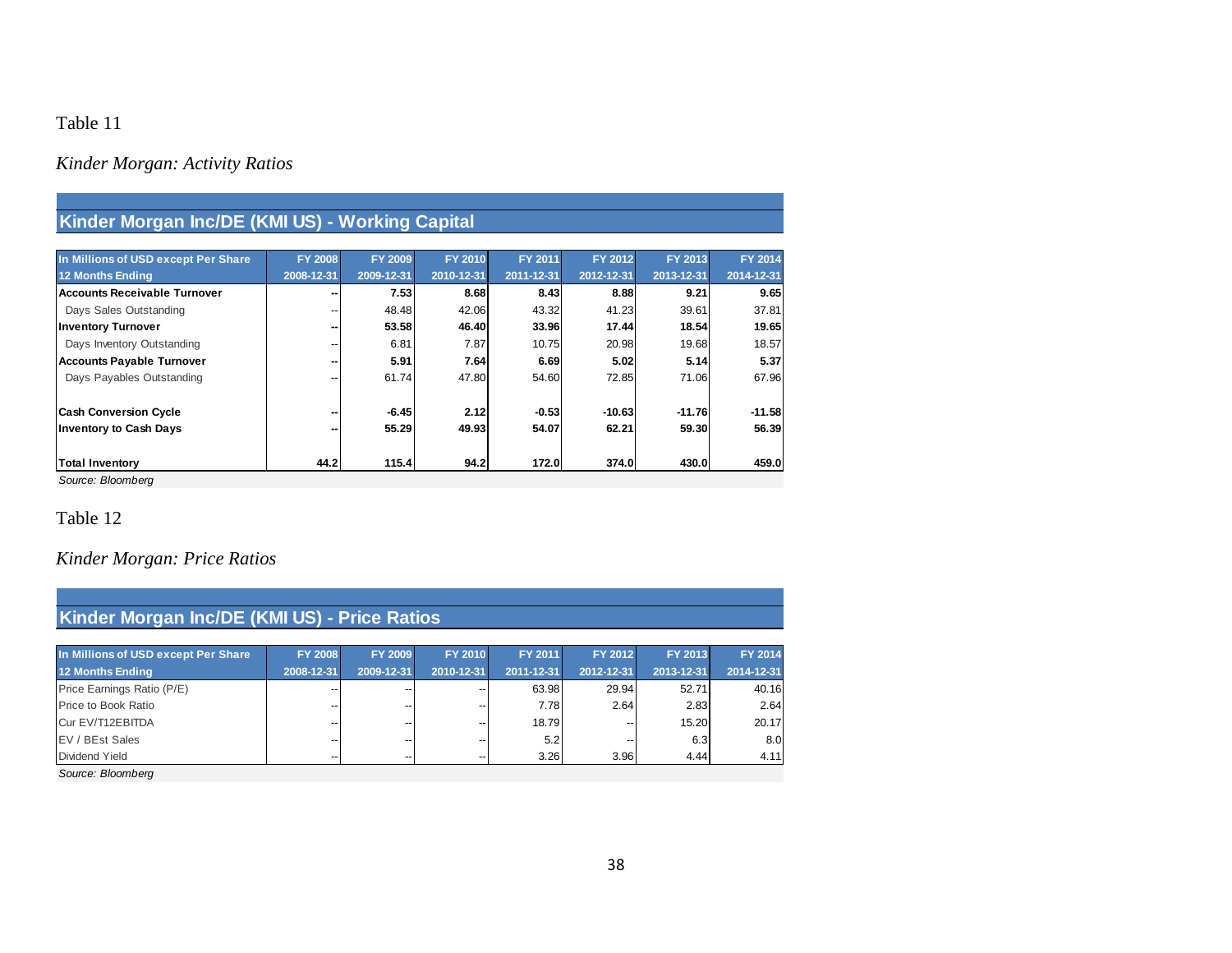# *Kinder Morgan: Activity Ratios*

| Kinder Morgan Inc/DE (KMI US) - Working Capital |  |  |
|-------------------------------------------------|--|--|
|                                                 |  |  |

| In Millions of USD except Per Share | <b>FY 2008</b> | <b>FY 2009</b> | <b>FY 2010</b> | FY 2011    | FY 2012    | FY 2013    | <b>FY 2014</b> |
|-------------------------------------|----------------|----------------|----------------|------------|------------|------------|----------------|
| 12 Months Ending                    | 2008-12-31     | 2009-12-31     | 2010-12-31     | 2011-12-31 | 2012-12-31 | 2013-12-31 | 2014-12-31     |
| Accounts Receivable Turnover        |                | 7.53           | 8.68           | 8.43       | 8.88       | 9.21       | 9.65           |
| Days Sales Outstanding              |                | 48.48          | 42.06          | 43.32      | 41.23      | 39.61      | 37.81          |
| <b>Inventory Turnover</b>           |                | 53.58          | 46.40          | 33.96      | 17.44      | 18.54      | 19.65          |
| Days Inventory Outstanding          |                | 6.81           | 7.87           | 10.75      | 20.98      | 19.68      | 18.57          |
| <b>Accounts Payable Turnover</b>    |                | 5.91           | 7.64           | 6.69       | 5.02       | 5.14       | 5.37           |
| Days Payables Outstanding           |                | 61.74          | 47.80          | 54.60      | 72.85      | 71.06      | 67.96          |
| <b>Cash Conversion Cycle</b>        |                | $-6.45$        | 2.12           | $-0.53$    | $-10.63$   | $-11.76$   | $-11.58$       |
| <b>Inventory to Cash Days</b>       |                | 55.29          | 49.93          | 54.07      | 62.21      | 59.30      | 56.39          |
| <b>Total Inventory</b>              | 44.2           | 115.4          | 94.2           | 172.0      | 374.0      | 430.0      | 459.0          |

*Source: Bloomberg*

## Table 12

## *Kinder Morgan: Price Ratios*

| Kinder Morgan Inc/DE (KMI US) - Price Ratios |                |                |                |            |            |            |            |  |  |
|----------------------------------------------|----------------|----------------|----------------|------------|------------|------------|------------|--|--|
| In Millions of USD except Per Share          | <b>FY 2008</b> | <b>FY 2009</b> | <b>FY 2010</b> | FY 2011    | FY 2012    | FY 2013    | FY 2014    |  |  |
| <b>12 Months Ending</b>                      | 2008-12-31     | 2009-12-31     | 2010-12-31     | 2011-12-31 | 2012-12-31 | 2013-12-31 | 2014-12-31 |  |  |
| Price Earnings Ratio (P/E)                   | --             | --             |                | 63.98      | 29.94      | 52.71      | 40.16      |  |  |
| Price to Book Ratio                          | --             | --             |                | 7.78       | 2.64       | 2.83       | 2.64       |  |  |
| Cur EV/T12EBITDA                             | --             | --             |                | 18.79      | --         | 15.20      | 20.17      |  |  |
| EV / BEst Sales                              | --             | --             |                | 5.2        | --         | 6.3        | 8.0        |  |  |
| Dividend Yield                               | --             | --             | --             | 3.26       | 3.96       | 4.44       | 4.11       |  |  |
| Source: Bloomberg                            |                |                |                |            |            |            |            |  |  |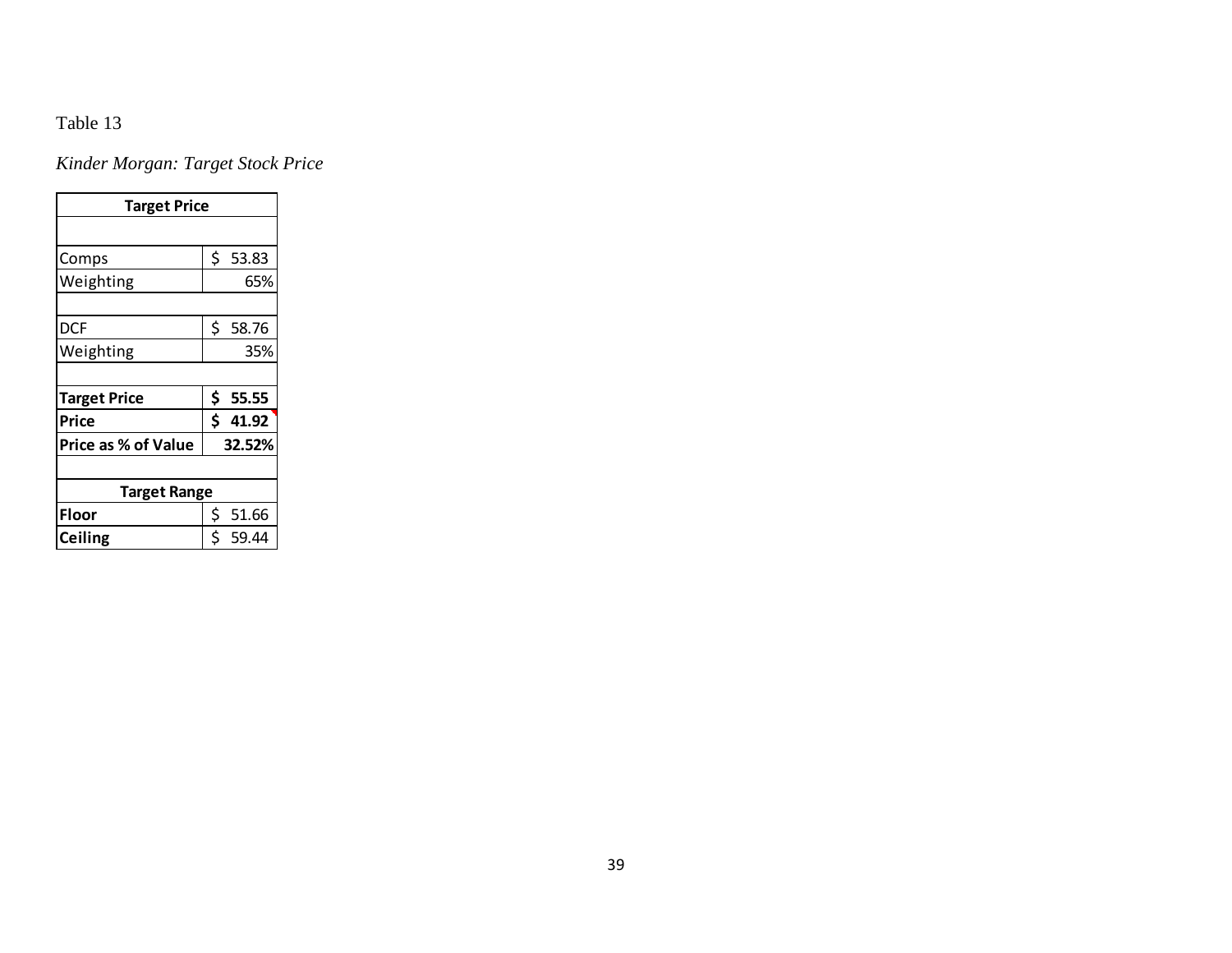*Kinder Morgan: Target Stock Price*

| <b>Target Price</b>        |    |        |  |  |  |  |  |  |
|----------------------------|----|--------|--|--|--|--|--|--|
|                            |    |        |  |  |  |  |  |  |
| Comps                      | \$ | 53.83  |  |  |  |  |  |  |
| Weighting                  |    | 65%    |  |  |  |  |  |  |
|                            |    |        |  |  |  |  |  |  |
| DCF                        | \$ | 58.76  |  |  |  |  |  |  |
| Weighting                  |    | 35%    |  |  |  |  |  |  |
|                            |    |        |  |  |  |  |  |  |
| <b>Target Price</b>        | \$ | 55.55  |  |  |  |  |  |  |
| Price                      | \$ | 41.92  |  |  |  |  |  |  |
| <b>Price as % of Value</b> |    | 32.52% |  |  |  |  |  |  |
|                            |    |        |  |  |  |  |  |  |
| <b>Target Range</b>        |    |        |  |  |  |  |  |  |
| Floor                      | \$ | 51.66  |  |  |  |  |  |  |
| Ceiling                    | \$ | 59.44  |  |  |  |  |  |  |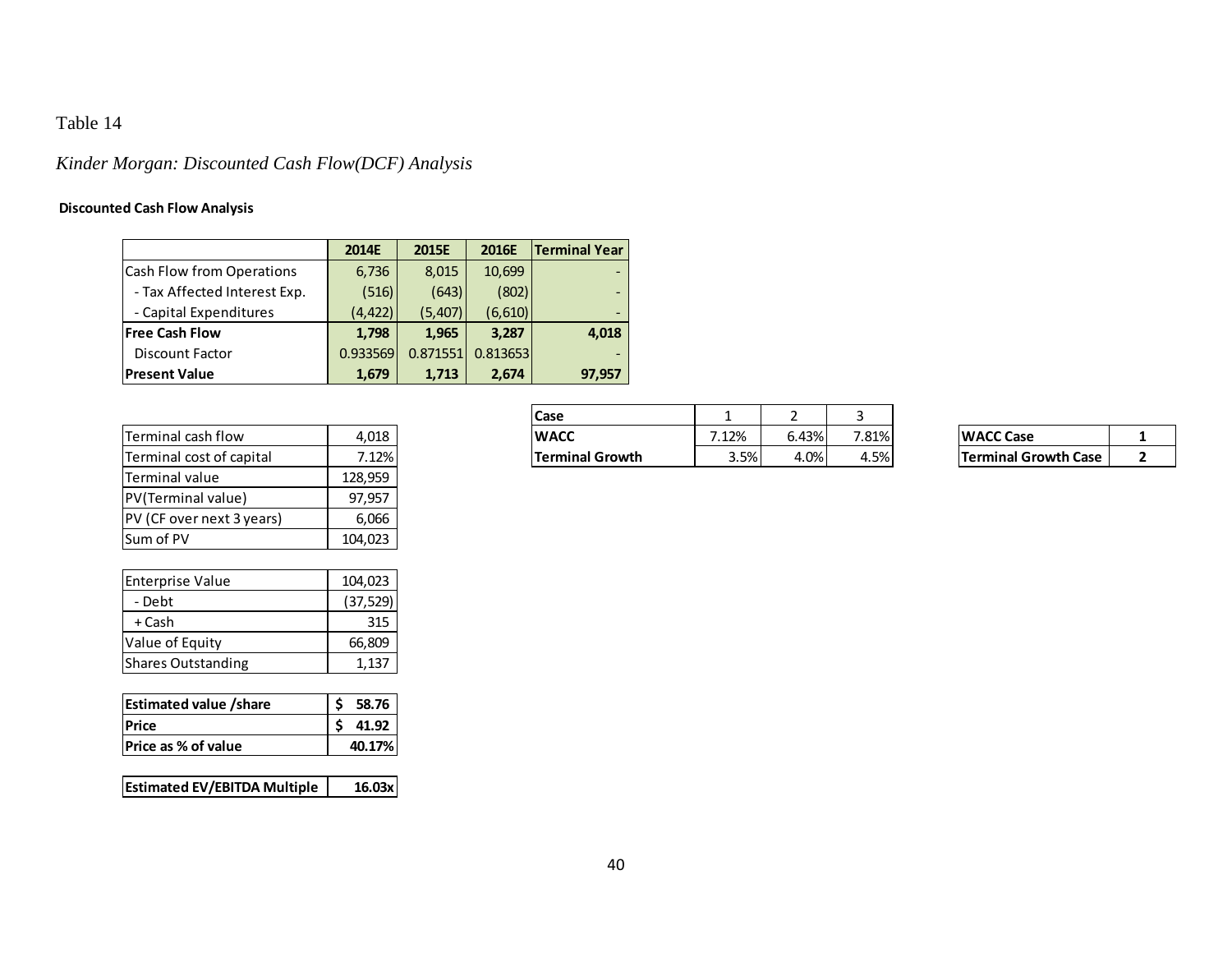# *Kinder Morgan: Discounted Cash Flow(DCF) Analysis*

## **Discounted Cash Flow Analysis**

|                              | 2014E    | 2015E    | 2016E    | <b>Terminal Year</b>     |
|------------------------------|----------|----------|----------|--------------------------|
| Cash Flow from Operations    | 6,736    | 8,015    | 10,699   | $\overline{\phantom{0}}$ |
| - Tax Affected Interest Exp. | (516)    | (643)    | (802)    | $\overline{\phantom{0}}$ |
| - Capital Expenditures       | (4, 422) | (5,407)  | (6, 610) | $\overline{\phantom{0}}$ |
| <b>Free Cash Flow</b>        | 1,798    | 1,965    | 3,287    | 4,018                    |
| <b>Discount Factor</b>       | 0.933569 | 0.871551 | 0.813653 | $\qquad \qquad$          |
| <b>Present Value</b>         | 1,679    | 1,713    | 2,674    | 97,957                   |

| lTerminal cash flow       | 4,018   |
|---------------------------|---------|
| Terminal cost of capital  | 7.12%   |
| lTerminal value           | 128,959 |
| PV(Terminal value)        | 97,957  |
| PV (CF over next 3 years) | 6,066   |
| <b>Sum of PV</b>          | 104,023 |

| <b>Enterprise Value</b> | 104,023   |
|-------------------------|-----------|
| - Debt                  | (37, 529) |
| + Cash                  | 315       |
| Value of Equity         | 66,809    |
| Shares Outstanding      | 1,137     |

| <b>Estimated value /share</b> | 58.76  |
|-------------------------------|--------|
| <b>Price</b>                  | 41.92  |
| <b>Price as % of value</b>    | 40.17% |

| <b>Estimated EV/EBITDA Multiple</b> | 16.03x |
|-------------------------------------|--------|
|-------------------------------------|--------|

|                          |       | Case                   |       |       |       |                             |  |
|--------------------------|-------|------------------------|-------|-------|-------|-----------------------------|--|
| Terminal cash flow       | 4,018 | <b>WACC</b>            | 1.12% | 6.43% | 7.81% | <b>WACC Case</b>            |  |
| Terminal cost of capital | 7.12% | <b>Terminal Growth</b> | 3.5%  | 4.0%  | 4.5%  | <b>Terminal Growth Case</b> |  |

| <b>WACC Case</b>            |  |
|-----------------------------|--|
| <b>Terminal Growth Case</b> |  |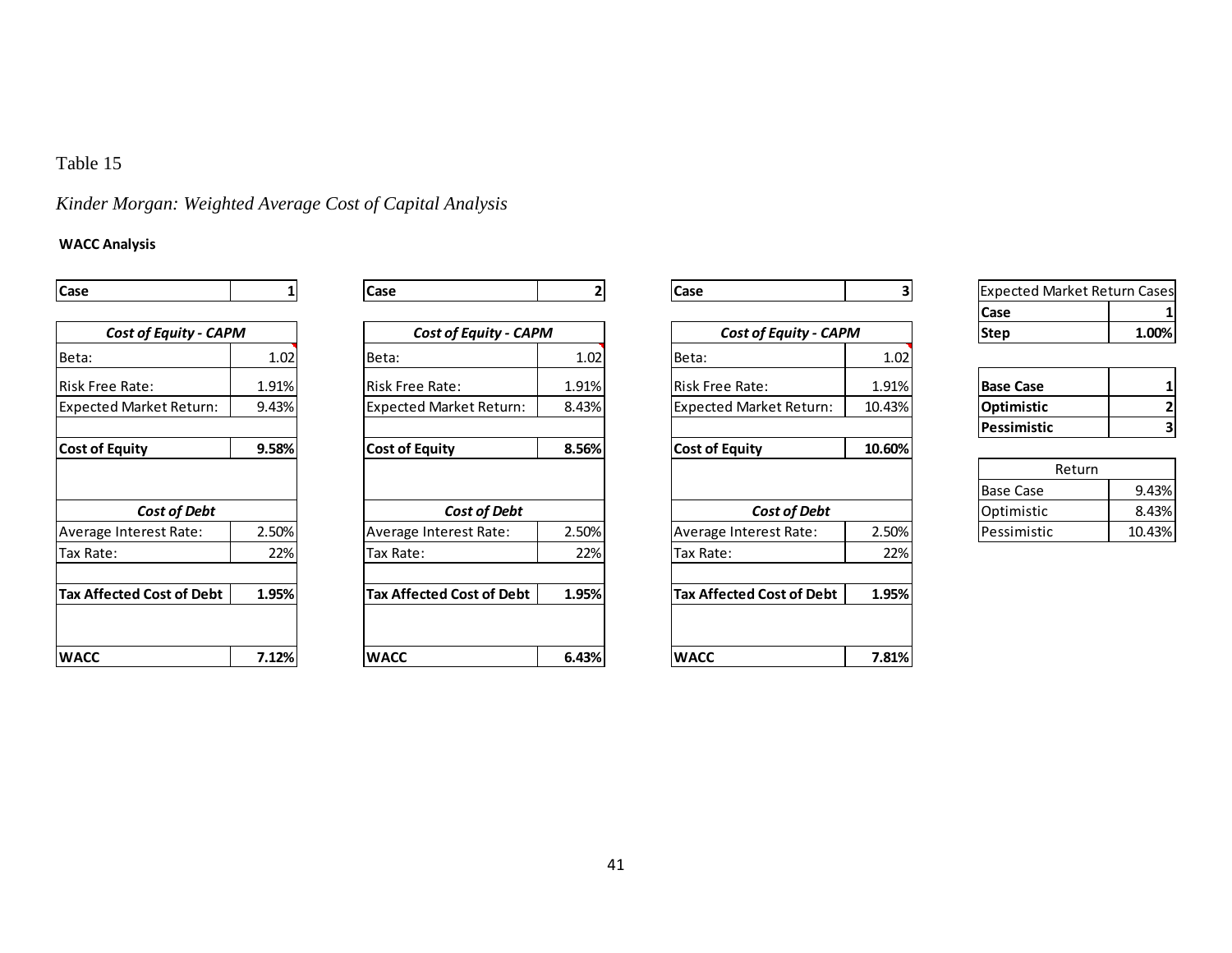## *Kinder Morgan: Weighted Average Cost of Capital Analysis*

### **WACC Analysis**

| Case                           |       | Case                           |       | Case                             | 3      |
|--------------------------------|-------|--------------------------------|-------|----------------------------------|--------|
|                                |       |                                |       |                                  |        |
| <b>Cost of Equity - CAPM</b>   |       | <b>Cost of Equity - CAPM</b>   |       | <b>Cost of Equity - CAPM</b>     |        |
| Beta:                          | 1.02  | Beta:                          | 1.02  | Beta:                            | 1.02   |
| <b>Risk Free Rate:</b>         | 1.91% | <b>Risk Free Rate:</b>         | 1.91% | Risk Free Rate:                  | 1.91%  |
| <b>Expected Market Return:</b> | 9.43% | <b>Expected Market Return:</b> | 8.43% |                                  | 10.43% |
| <b>Cost of Equity</b>          | 9.58% | <b>Cost of Equity</b>          | 8.56% | <b>Cost of Equity</b>            | 10.60% |
|                                |       |                                |       |                                  |        |
| Cost of Debt                   |       | Cost of Debt                   |       | Cost of Debt                     |        |
| Average Interest Rate:         | 2.50% | Average Interest Rate:         | 2.50% | Average Interest Rate:           | 2.50%  |
| Tax Rate:                      | 22%   | Tax Rate:                      | 22%   |                                  | 22%    |
| Tax Affected Cost of Debt      | 1.95% | Tax Affected Cost of Debt      | 1.95% | <b>Tax Affected Cost of Debt</b> | 1.95%  |
|                                |       |                                |       |                                  |        |
| WACC                           | 7.12% | <b>WACC</b>                    | 6.43% | <b>WACC</b>                      | 7.81%  |

| Case                           |       | <b>Case</b>                    |       | <b>Case</b>                  |        | <b>Expected Market Return Cases</b> |        |
|--------------------------------|-------|--------------------------------|-------|------------------------------|--------|-------------------------------------|--------|
|                                |       |                                |       |                              |        | <b>Case</b>                         |        |
| <b>Cost of Equity - CAPM</b>   |       | <b>Cost of Equity - CAPM</b>   |       | <b>Cost of Equity - CAPM</b> |        | <b>Step</b>                         | 1.00%  |
| Beta:                          | 1.02  | Beta:                          | 1.02  | <b>Beta:</b>                 | 1.02   |                                     |        |
| Risk Free Rate:                | 1.91% | lRisk Free Rate:               | 1.91% | <b>IRisk Free Rate:</b>      | 1.91%  | <b>Base Case</b>                    |        |
| <b>Expected Market Return:</b> | 9.43% | <b>Expected Market Return:</b> | 8.43% | Expected Market Return:      | 10.43% | Optimistic                          |        |
|                                |       |                                |       |                              |        | l Pessimistic                       |        |
| <b>Cost of Equity</b>          | 9.58% | <b>Cost of Equity</b>          | 8.56% | <b>Cost of Equity</b>        | 10.60% |                                     |        |
|                                |       |                                |       |                              |        | Return                              |        |
|                                |       |                                |       |                              |        | <b>Base Case</b>                    | 9.43%  |
| Cost of Debt                   |       | Cost of Debt                   |       | Cost of Debt                 |        | Optimistic                          | 8.43%  |
| Average Interest Rate:         | 2.50% | Average Interest Rate:         | 2.50% | Average Interest Rate:       | 2.50%  | lPessimistic                        | 10.43% |
| Tax Rate:                      | 22%   | Tax Rate:                      | 22%   | Tax Rate:                    | 22%    |                                     |        |
| Tax Affected Cost of Debt      | 1.95% | Tax Affected Cost of Debt      | 1.95% | Tax Affected Cost of Debt    | 1.95%  |                                     |        |
|                                |       |                                |       |                              |        |                                     |        |
| WACC                           | 7.12% | <b>WACC</b>                    | 6.43% | <b>WACC</b>                  | 7.81%  |                                     |        |
|                                |       |                                |       |                              |        |                                     |        |

| <b>Expected Market Return Cases</b> |       |  |  |  |
|-------------------------------------|-------|--|--|--|
| Case                                |       |  |  |  |
| Step                                | 1.00% |  |  |  |

| <b>Base Case</b>   |  |
|--------------------|--|
| Optimistic         |  |
| <b>Pessimistic</b> |  |

| Return              |        |
|---------------------|--------|
| <b>IBase Case</b>   | 9.43%  |
| Optimistic          | 8.43%  |
| <b>IPessimistic</b> | 10.43% |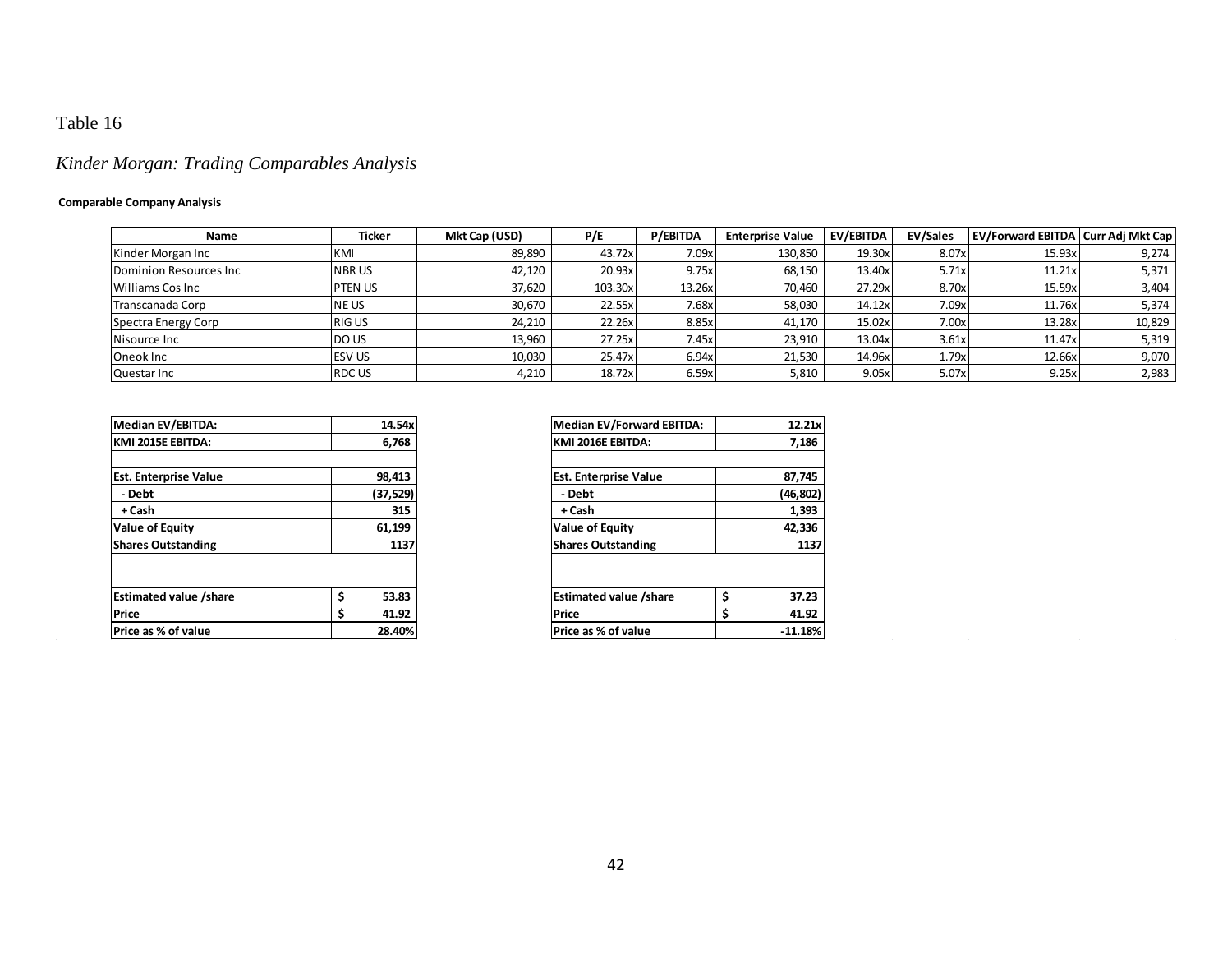# *Kinder Morgan: Trading Comparables Analysis*

### **Comparable Company Analysis**

| Name                    | <b>Ticker</b> | Mkt Cap (USD) | P/E     | <b>P/EBITDA</b> | <b>Enterprise Value</b> | EV/EBITDA | EV/Sales | <b>EV/Forward EBITDA   Curr Adj Mkt Cap</b> |        |
|-------------------------|---------------|---------------|---------|-----------------|-------------------------|-----------|----------|---------------------------------------------|--------|
| Kinder Morgan Inc       | KMI           | 89,890        | 43.72xl | 7.09x           | 130,850                 | 19.30x    | 8.07x    | 15.93x                                      | 9,274  |
| Dominion Resources Inc  | <b>NBRUS</b>  | 42.120        | 20.93x  | 9.75x           | 68,150                  | 13.40x    | 5.71x    | 11.21x                                      | 5,371  |
| <b>Williams Cos Inc</b> | PTEN US       | 37,620        | 103.30x | 13.26x          | 70,460                  | 27.29x    | 8.70x    | 15.59x                                      | 3,404  |
| Transcanada Corp        | <b>INE US</b> | 30,670        | 22.55x  | 7.68x           | 58,030                  | 14.12x    | 7.09x    | 11.76x                                      | 5,374  |
| Spectra Energy Corp     | <b>RIGUS</b>  | 24,210        | 22.26x  | 8.85x           | 41,170                  | 15.02x    | 7.00x    | 13.28x                                      | 10,829 |
| Nisource Inc            | <b>DO US</b>  | 13,960        | 27.25x  | 7.45x           | 23,910                  | 13.04x    | 3.61x    | 11.47x                                      | 5,319  |
| Oneok Inc               | <b>ESV US</b> | 10,030        | 25.47x  | 6.94x           | 21,530                  | 14.96x    | 1.79x    | 12.66x                                      | 9,070  |
| Questar Inc             | <b>RDC US</b> | 4.210         | 18.72x  | 6.59x           | 5,810                   | 9.05x     | 5.07x    | 9.25x                                       | 2,983  |

| Median EV/EBITDA:             | 14.54x   | Median EV/Forward EBITDA:     |    |
|-------------------------------|----------|-------------------------------|----|
| KMI 2015E EBITDA:             | 6,768    | KMI 2016E EBITDA:             |    |
|                               |          |                               |    |
| <b>Est. Enterprise Value</b>  | 98,413   | <b>Est. Enterprise Value</b>  |    |
| - Debt                        | (37,529) | - Debt                        |    |
| + Cash                        | 315      | + Cash                        |    |
| <b>Value of Equity</b>        | 61,199   | <b>Value of Equity</b>        |    |
| <b>Shares Outstanding</b>     | 1137     | <b>Shares Outstanding</b>     |    |
|                               |          |                               |    |
| <b>Estimated value /share</b> | 53.83    | <b>Estimated value /share</b> | \$ |
| Price                         | 41.92    | Price                         | \$ |
| <b>Price as % of value</b>    | 28.40%   | <b>Price as % of value</b>    |    |
|                               |          |                               |    |

| <b>Median EV/Forward EBITDA:</b> | 12.21x      |
|----------------------------------|-------------|
| KMI 2016E EBITDA:                | 7,186       |
|                                  |             |
| <b>Est. Enterprise Value</b>     | 87,745      |
| - Debt                           | (46, 802)   |
| + Cash                           | 1,393       |
| <b>Value of Equity</b>           | 42,336      |
| <b>Shares Outstanding</b>        | 1137        |
|                                  |             |
| <b>Estimated value /share</b>    | \$<br>37.23 |
| Price                            | \$<br>41.92 |
| Price as % of value              | $-11.18%$   |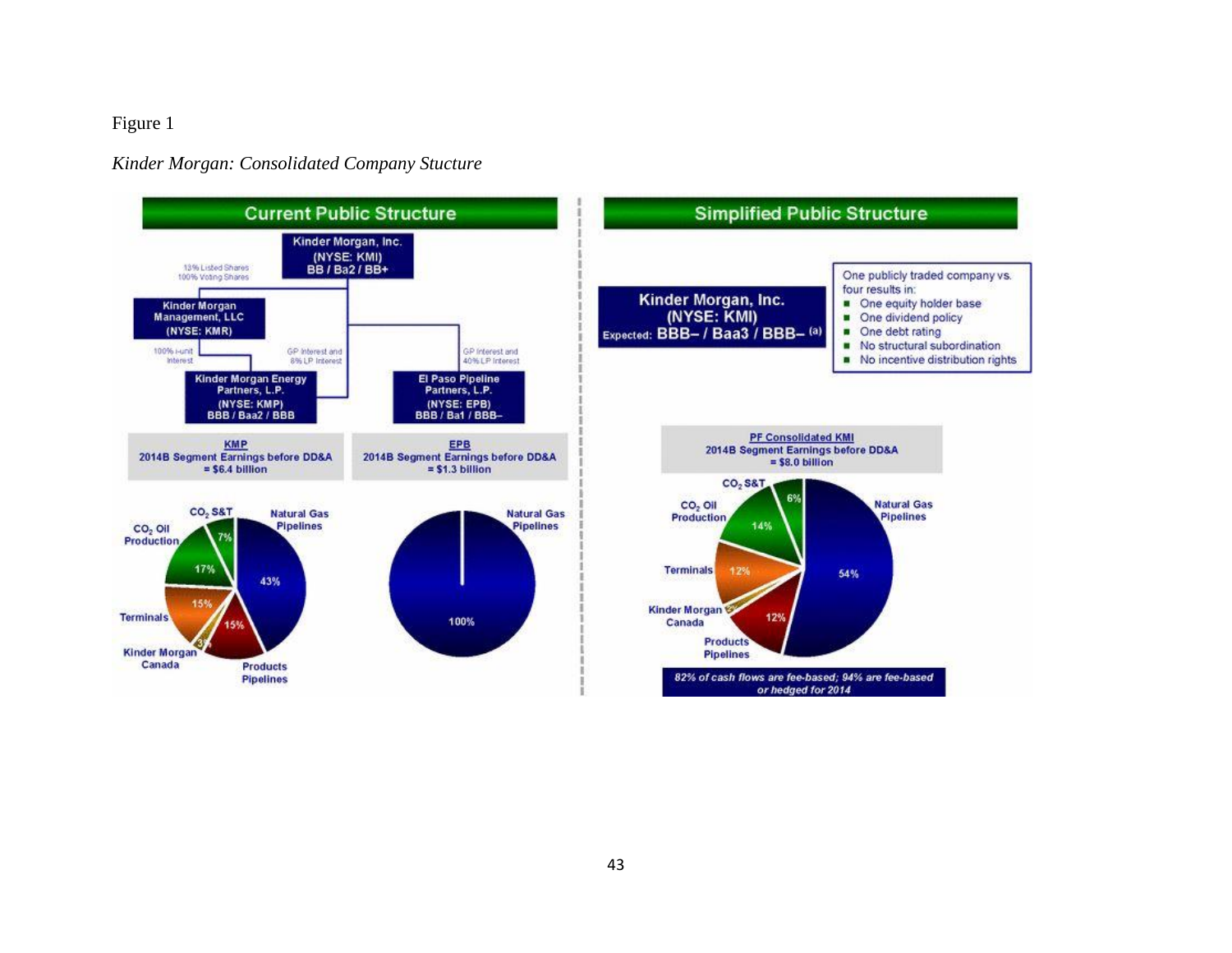## Figure 1

### *Kinder Morgan: Consolidated Company Stucture*

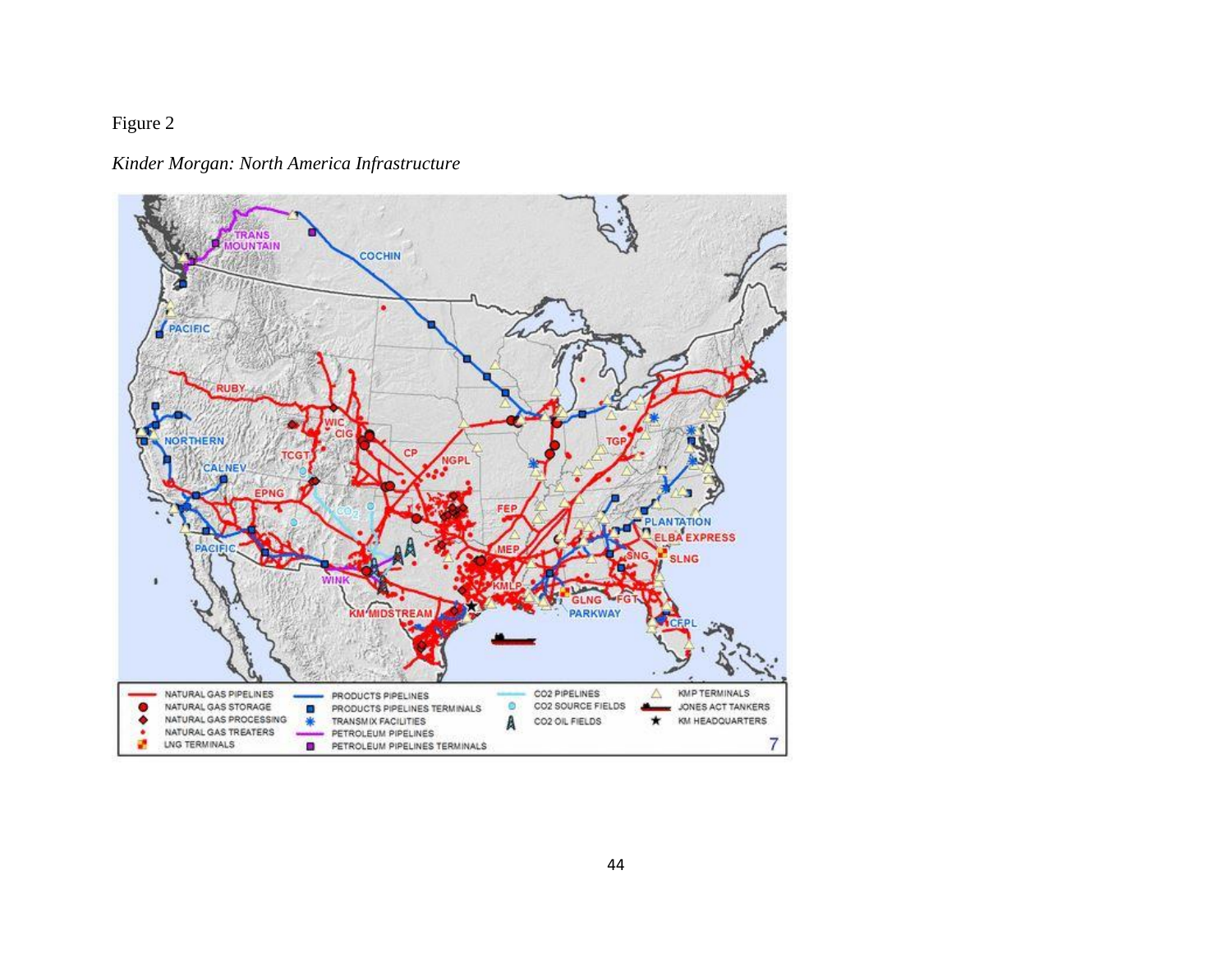# Figure 2

## *Kinder Morgan: North America Infrastructure*

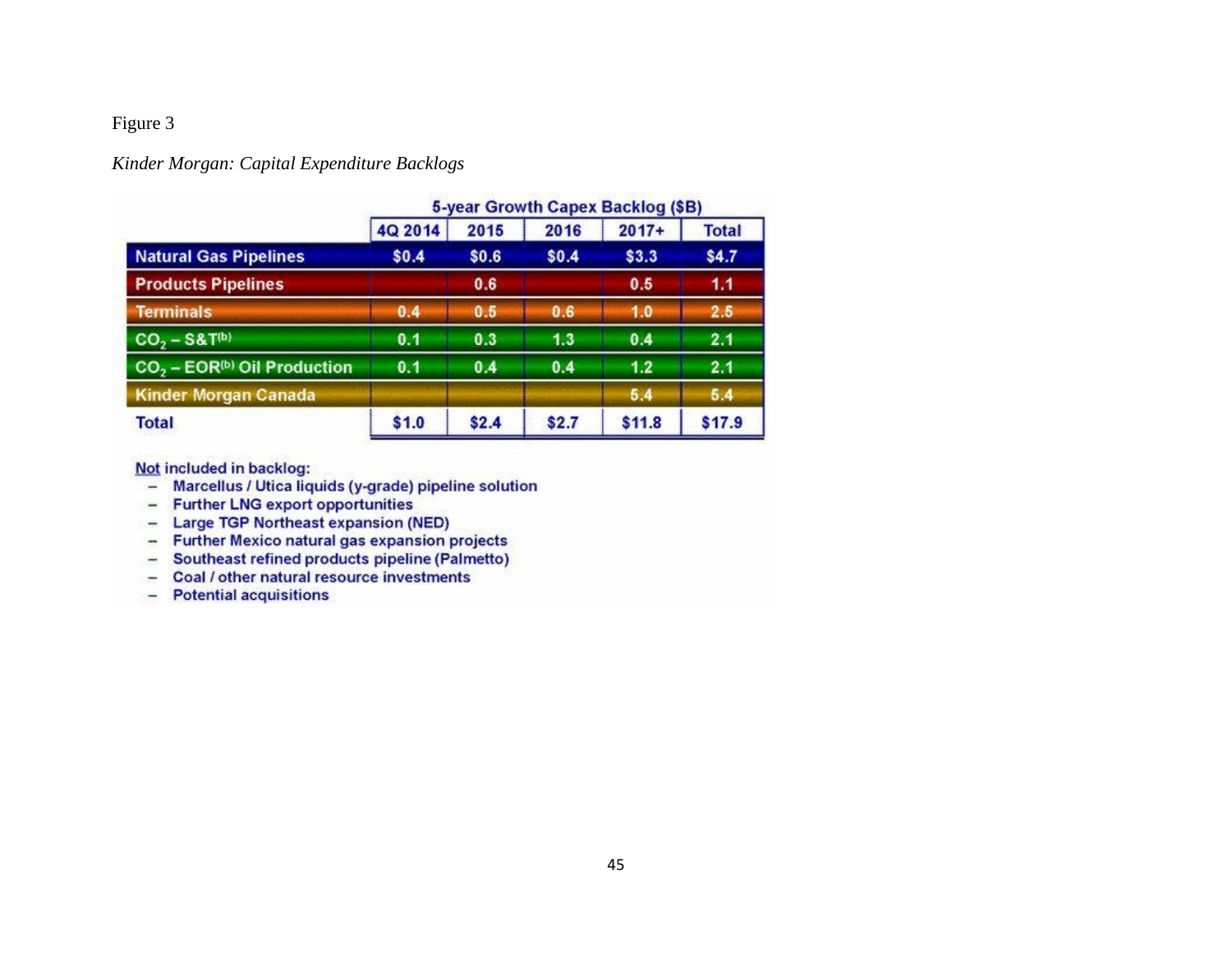## Figure 3

## *Kinder Morgan: Capital Expenditure Backlogs*

|                                                     | <b>5-year Growth Capex Backlog (\$B)</b> |       |       |         |              |  |
|-----------------------------------------------------|------------------------------------------|-------|-------|---------|--------------|--|
|                                                     | 4Q 2014                                  | 2015  | 2016  | $2017+$ | <b>Total</b> |  |
| <b>Natural Gas Pipelines</b>                        | \$0.4                                    | \$0.6 | \$0.4 | \$3.3   | \$4.7        |  |
| <b>Products Pipelines</b>                           |                                          | 0.6   |       | 0.5     | 1.1          |  |
| <b>Terminals</b>                                    | 0.4                                      | 0.5   | 0.6   | 1.0     | 2.5          |  |
| $CO2 - S&T(b)$                                      | 0.1                                      | 0.3   | 1.3   | 0.4     | 2.1          |  |
| CO <sub>2</sub> - EOR <sup>(b)</sup> Oil Production | 0.1                                      | 0.4   | 0.4   | 1.2     | 2.1          |  |
| <b>Kinder Morgan Canada</b>                         |                                          |       |       | 5.4     | 5.4          |  |
| <b>Total</b>                                        | \$1.0                                    | \$2.4 | \$2.7 | \$11.8  | \$17.9       |  |

Not included in backlog:

- Marcellus / Utica liquids (y-grade) pipeline solution<br>- Further LNG export opportunities
- 
- Large TGP Northeast expansion (NED)
- 
- Further Mexico natural gas expansion projects<br>- Southeast refined products pipeline (Palmetto)
- Coal / other natural resource investments
- Potential acquisitions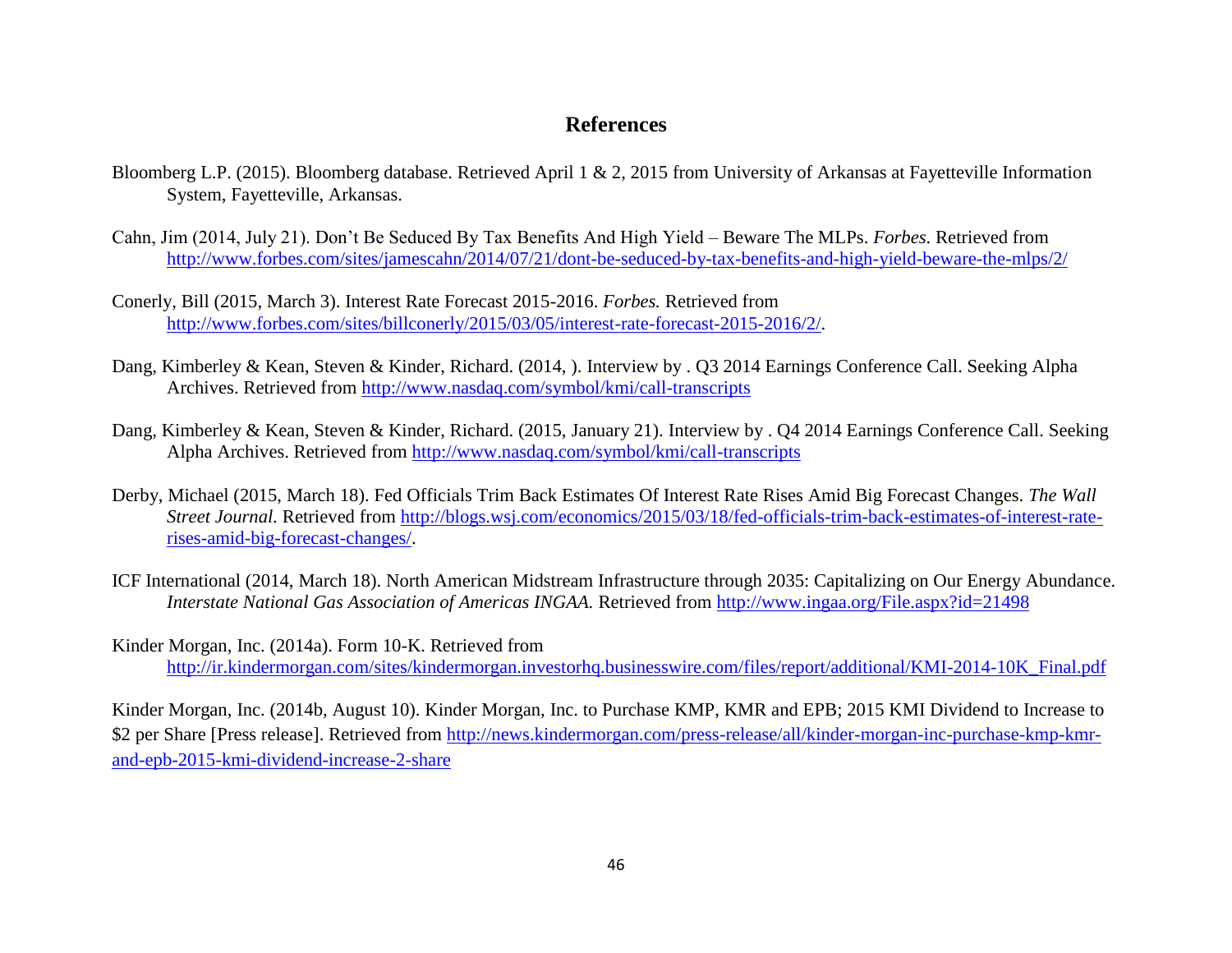## **References**

- Bloomberg L.P. (2015). Bloomberg database. Retrieved April 1 & 2, 2015 from University of Arkansas at Fayetteville Information System, Fayetteville, Arkansas.
- Cahn, Jim (2014, July 21). Don't Be Seduced By Tax Benefits And High Yield Beware The MLPs. *Forbes*. Retrieved from <http://www.forbes.com/sites/jamescahn/2014/07/21/dont-be-seduced-by-tax-benefits-and-high-yield-beware-the-mlps/2/>
- Conerly, Bill (2015, March 3). Interest Rate Forecast 2015-2016. *Forbes.* Retrieved from [http://www.forbes.com/sites/billconerly/2015/03/05/interest-rate-forecast-2015-2016/2/.](http://www.forbes.com/sites/billconerly/2015/03/05/interest-rate-forecast-2015-2016/2/)
- Dang, Kimberley & Kean, Steven & Kinder, Richard. (2014, ). Interview by . Q3 2014 Earnings Conference Call. Seeking Alpha Archives. Retrieved from<http://www.nasdaq.com/symbol/kmi/call-transcripts>
- <span id="page-50-0"></span>Dang, Kimberley & Kean, Steven & Kinder, Richard. (2015, January 21). Interview by . Q4 2014 Earnings Conference Call. Seeking Alpha Archives. Retrieved from<http://www.nasdaq.com/symbol/kmi/call-transcripts>
- Derby, Michael (2015, March 18). Fed Officials Trim Back Estimates Of Interest Rate Rises Amid Big Forecast Changes. *The Wall Street Journal.* Retrieved from [http://blogs.wsj.com/economics/2015/03/18/fed-officials-trim-back-estimates-of-interest-rate](http://blogs.wsj.com/economics/2015/03/18/fed-officials-trim-back-estimates-of-interest-rate-rises-amid-big-forecast-changes/)[rises-amid-big-forecast-changes/.](http://blogs.wsj.com/economics/2015/03/18/fed-officials-trim-back-estimates-of-interest-rate-rises-amid-big-forecast-changes/)
- ICF International (2014, March 18). North American Midstream Infrastructure through 2035: Capitalizing on Our Energy Abundance. *Interstate National Gas Association of Americas INGAA.* Retrieved from <http://www.ingaa.org/File.aspx?id=21498>
- Kinder Morgan, Inc. (2014a). Form 10-K. Retrieved from [http://ir.kindermorgan.com/sites/kindermorgan.investorhq.businesswire.com/files/report/additional/KMI-2014-10K\\_Final.pdf](http://ir.kindermorgan.com/sites/kindermorgan.investorhq.businesswire.com/files/report/additional/KMI-2014-10K_Final.pdf)

Kinder Morgan, Inc. (2014b, August 10). Kinder Morgan, Inc. to Purchase KMP, KMR and EPB; 2015 KMI Dividend to Increase to \$2 per Share [Press release]. Retrieved from [http://news.kindermorgan.com/press-release/all/kinder-morgan-inc-purchase-kmp-kmr](http://news.kindermorgan.com/press-release/all/kinder-morgan-inc-purchase-kmp-kmr-and-epb-2015-kmi-dividend-increase-2-share)[and-epb-2015-kmi-dividend-increase-2-share](http://news.kindermorgan.com/press-release/all/kinder-morgan-inc-purchase-kmp-kmr-and-epb-2015-kmi-dividend-increase-2-share)